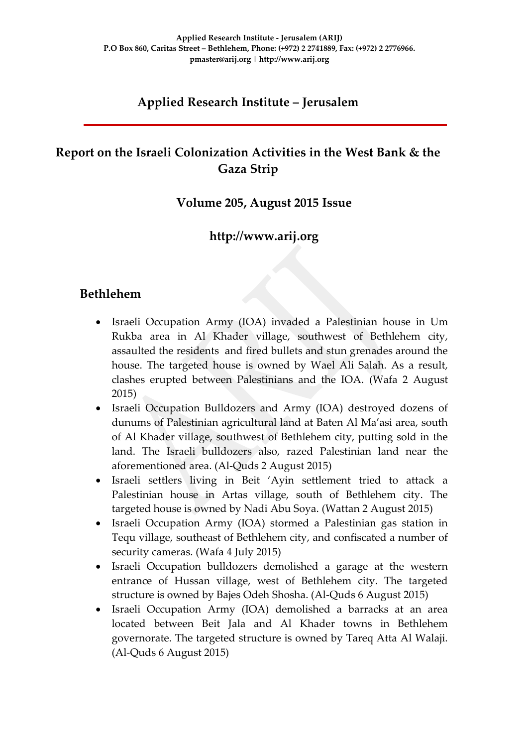# **Applied Research Institute – Jerusalem**

# **Report on the Israeli Colonization Activities in the West Bank & the Gaza Strip**

### **Volume 205, August 2015 Issue**

### **http://www.arij.org**

### **Bethlehem**

- Israeli Occupation Army (IOA) invaded a Palestinian house in Um Rukba area in Al Khader village, southwest of Bethlehem city, assaulted the residents and fired bullets and stun grenades around the house. The targeted house is owned by Wael Ali Salah. As a result, clashes erupted between Palestinians and the IOA. (Wafa 2 August 2015)
- Israeli Occupation Bulldozers and Army (IOA) destroyed dozens of dunums of Palestinian agricultural land at Baten Al Ma'asi area, south of Al Khader village, southwest of Bethlehem city, putting sold in the land. The Israeli bulldozers also, razed Palestinian land near the aforementioned area. (Al-Quds 2 August 2015)
- Israeli settlers living in Beit 'Ayin settlement tried to attack a Palestinian house in Artas village, south of Bethlehem city. The targeted house is owned by Nadi Abu Soya. (Wattan 2 August 2015)
- Israeli Occupation Army (IOA) stormed a Palestinian gas station in Tequ village, southeast of Bethlehem city, and confiscated a number of security cameras. (Wafa 4 July 2015)
- Israeli Occupation bulldozers demolished a garage at the western entrance of Hussan village, west of Bethlehem city. The targeted structure is owned by Bajes Odeh Shosha. (Al-Quds 6 August 2015)
- Israeli Occupation Army (IOA) demolished a barracks at an area located between Beit Jala and Al Khader towns in Bethlehem governorate. The targeted structure is owned by Tareq Atta Al Walaji. (Al-Quds 6 August 2015)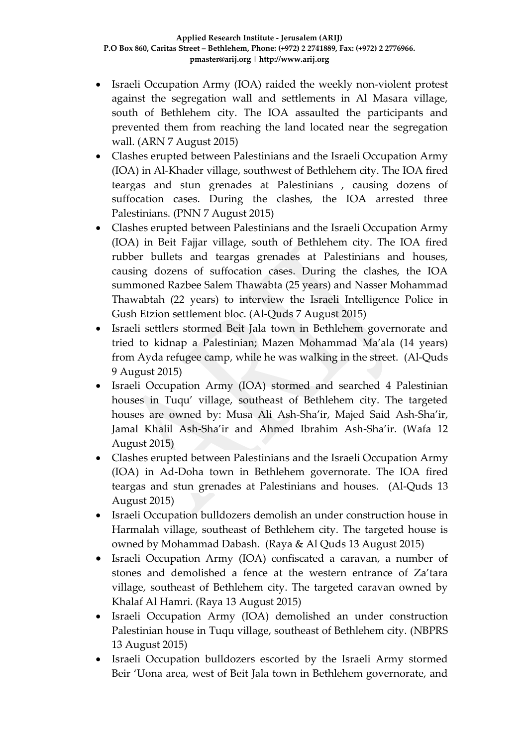- Israeli Occupation Army (IOA) raided the weekly non-violent protest against the segregation wall and settlements in Al Masara village, south of Bethlehem city. The IOA assaulted the participants and prevented them from reaching the land located near the segregation wall. (ARN 7 August 2015)
- Clashes erupted between Palestinians and the Israeli Occupation Army (IOA) in Al-Khader village, southwest of Bethlehem city. The IOA fired teargas and stun grenades at Palestinians , causing dozens of suffocation cases. During the clashes, the IOA arrested three Palestinians. (PNN 7 August 2015)
- Clashes erupted between Palestinians and the Israeli Occupation Army (IOA) in Beit Fajjar village, south of Bethlehem city. The IOA fired rubber bullets and teargas grenades at Palestinians and houses, causing dozens of suffocation cases. During the clashes, the IOA summoned Razbee Salem Thawabta (25 years) and Nasser Mohammad Thawabtah (22 years) to interview the Israeli Intelligence Police in Gush Etzion settlement bloc. (Al-Quds 7 August 2015)
- Israeli settlers stormed Beit Jala town in Bethlehem governorate and tried to kidnap a Palestinian; Mazen Mohammad Ma'ala (14 years) from Ayda refugee camp, while he was walking in the street. (Al-Quds 9 August 2015)
- Israeli Occupation Army (IOA) stormed and searched 4 Palestinian houses in Tuqu' village, southeast of Bethlehem city. The targeted houses are owned by: Musa Ali Ash-Sha'ir, Majed Said Ash-Sha'ir, Jamal Khalil Ash-Sha'ir and Ahmed Ibrahim Ash-Sha'ir. (Wafa 12 August 2015)
- Clashes erupted between Palestinians and the Israeli Occupation Army (IOA) in Ad-Doha town in Bethlehem governorate. The IOA fired teargas and stun grenades at Palestinians and houses. (Al-Quds 13 August 2015)
- Israeli Occupation bulldozers demolish an under construction house in Harmalah village, southeast of Bethlehem city. The targeted house is owned by Mohammad Dabash. (Raya & Al Quds 13 August 2015)
- Israeli Occupation Army (IOA) confiscated a caravan, a number of stones and demolished a fence at the western entrance of Za'tara village, southeast of Bethlehem city. The targeted caravan owned by Khalaf Al Hamri. (Raya 13 August 2015)
- Israeli Occupation Army (IOA) demolished an under construction Palestinian house in Tuqu village, southeast of Bethlehem city. (NBPRS 13 August 2015)
- Israeli Occupation bulldozers escorted by the Israeli Army stormed Beir 'Uona area, west of Beit Jala town in Bethlehem governorate, and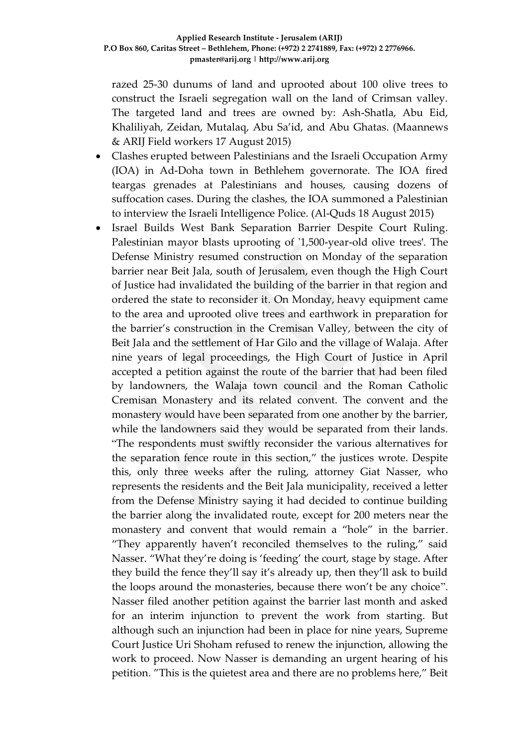razed 25-30 dunums of land and uprooted about 100 olive trees to construct the Israeli segregation wall on the land of Crimsan valley. The targeted land and trees are owned by: Ash-Shatla, Abu Eid, Khaliliyah, Zeidan, Mutalaq, Abu Sa'id, and Abu Ghatas. (Maannews & ARIJ Field workers 17 August 2015)

- Clashes erupted between Palestinians and the Israeli Occupation Army (IOA) in Ad-Doha town in Bethlehem governorate. The IOA fired teargas grenades at Palestinians and houses, causing dozens of suffocation cases. During the clashes, the IOA summoned a Palestinian to interview the Israeli Intelligence Police. (Al-Quds 18 August 2015)
- Israel Builds West Bank Separation Barrier Despite Court Ruling. Palestinian mayor blasts uprooting of '1,500-year-old olive trees'. The Defense Ministry resumed construction on Monday of the separation barrier near Beit Jala, south of Jerusalem, even though the High Court of Justice had invalidated the building of the barrier in that region and ordered the state to reconsider it. On Monday, heavy equipment came to the area and uprooted olive trees and earthwork in preparation for the barrier's construction in the Cremisan Valley, between the city of Beit Jala and the settlement of Har Gilo and the village of Walaja. After nine years of legal proceedings, the High Court of Justice in April accepted a petition against the route of the barrier that had been filed by landowners, the Walaja town council and the Roman Catholic Cremisan Monastery and its related convent. The convent and the monastery would have been separated from one another by the barrier, while the landowners said they would be separated from their lands. "The respondents must swiftly reconsider the various alternatives for the separation fence route in this section," the justices wrote. Despite this, only three weeks after the ruling, attorney Giat Nasser, who represents the residents and the Beit Jala municipality, received a letter from the Defense Ministry saying it had decided to continue building the barrier along the invalidated route, except for 200 meters near the monastery and convent that would remain a "hole" in the barrier. "They apparently haven't reconciled themselves to the ruling," said Nasser. "What they're doing is 'feeding' the court, stage by stage. After they build the fence they'll say it's already up, then they'll ask to build the loops around the monasteries, because there won't be any choice". Nasser filed another petition against the barrier last month and asked for an interim injunction to prevent the work from starting. But although such an injunction had been in place for nine years, Supreme Court Justice Uri Shoham refused to renew the injunction, allowing the work to proceed. Now Nasser is demanding an urgent hearing of his petition. "This is the quietest area and there are no problems here," Beit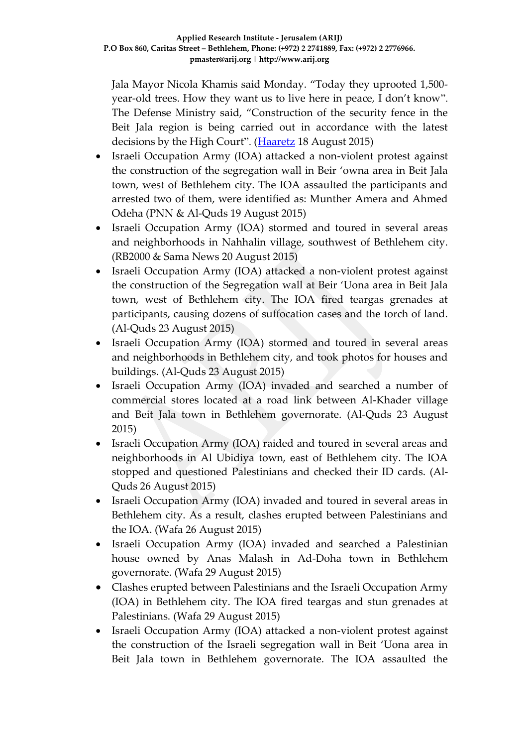Jala Mayor Nicola Khamis said Monday. "Today they uprooted 1,500 year-old trees. How they want us to live here in peace, I don't know". The Defense Ministry said, "Construction of the security fence in the Beit Jala region is being carried out in accordance with the latest decisions by the High Court". [\(Haaretz](http://www.haaretz.com/news/diplomacy-defense/.premium-1.671636) 18 August 2015)

- Israeli Occupation Army (IOA) attacked a non-violent protest against the construction of the segregation wall in Beir 'owna area in Beit Jala town, west of Bethlehem city. The IOA assaulted the participants and arrested two of them, were identified as: Munther Amera and Ahmed Odeha (PNN & Al-Quds 19 August 2015)
- Israeli Occupation Army (IOA) stormed and toured in several areas and neighborhoods in Nahhalin village, southwest of Bethlehem city. (RB2000 & Sama News 20 August 2015)
- Israeli Occupation Army (IOA) attacked a non-violent protest against the construction of the Segregation wall at Beir 'Uona area in Beit Jala town, west of Bethlehem city. The IOA fired teargas grenades at participants, causing dozens of suffocation cases and the torch of land. (Al-Quds 23 August 2015)
- Israeli Occupation Army (IOA) stormed and toured in several areas and neighborhoods in Bethlehem city, and took photos for houses and buildings. (Al-Quds 23 August 2015)
- Israeli Occupation Army (IOA) invaded and searched a number of commercial stores located at a road link between Al-Khader village and Beit Jala town in Bethlehem governorate. (Al-Quds 23 August 2015)
- Israeli Occupation Army (IOA) raided and toured in several areas and neighborhoods in Al Ubidiya town, east of Bethlehem city. The IOA stopped and questioned Palestinians and checked their ID cards. (Al-Quds 26 August 2015)
- Israeli Occupation Army (IOA) invaded and toured in several areas in Bethlehem city. As a result, clashes erupted between Palestinians and the IOA. (Wafa 26 August 2015)
- Israeli Occupation Army (IOA) invaded and searched a Palestinian house owned by Anas Malash in Ad-Doha town in Bethlehem governorate. (Wafa 29 August 2015)
- Clashes erupted between Palestinians and the Israeli Occupation Army (IOA) in Bethlehem city. The IOA fired teargas and stun grenades at Palestinians. (Wafa 29 August 2015)
- Israeli Occupation Army (IOA) attacked a non-violent protest against the construction of the Israeli segregation wall in Beit 'Uona area in Beit Jala town in Bethlehem governorate. The IOA assaulted the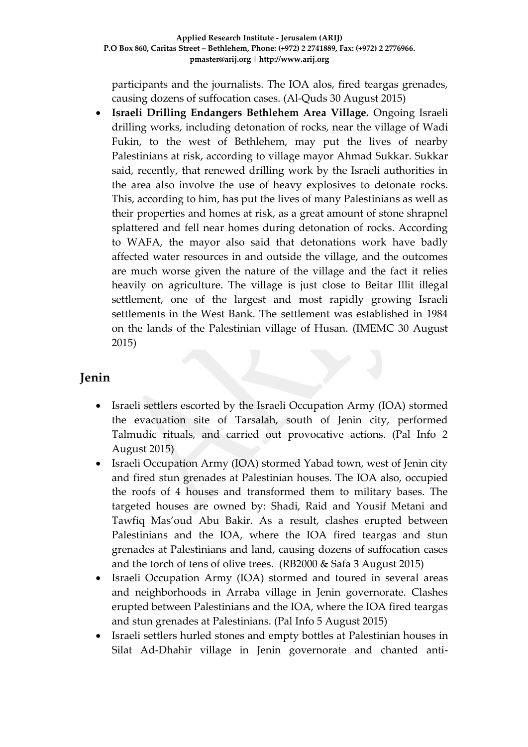participants and the journalists. The IOA alos, fired teargas grenades, causing dozens of suffocation cases. (Al-Quds 30 August 2015)

 **Israeli Drilling Endangers Bethlehem Area Village.** Ongoing Israeli drilling works, including detonation of rocks, near the village of Wadi Fukin, to the west of Bethlehem, may put the lives of nearby Palestinians at risk, according to village mayor Ahmad Sukkar. Sukkar said, recently, that renewed drilling work by the Israeli authorities in the area also involve the use of heavy explosives to detonate rocks. This, according to him, has put the lives of many Palestinians as well as their properties and homes at risk, as a great amount of stone shrapnel splattered and fell near homes during detonation of rocks. According to WAFA, the mayor also said that detonations work have badly affected water resources in and outside the village, and the outcomes are much worse given the nature of the village and the fact it relies heavily on agriculture. The village is just close to Beitar Illit illegal settlement, one of the largest and most rapidly growing Israeli settlements in the West Bank. The settlement was established in 1984 on the lands of the Palestinian village of Husan. (IMEMC 30 August 2015)

### **Jenin**

- Israeli settlers escorted by the Israeli Occupation Army (IOA) stormed the evacuation site of Tarsalah, south of Jenin city, performed Talmudic rituals, and carried out provocative actions. (Pal Info 2 August 2015)
- Israeli Occupation Army (IOA) stormed Yabad town, west of Jenin city and fired stun grenades at Palestinian houses. The IOA also, occupied the roofs of 4 houses and transformed them to military bases. The targeted houses are owned by: Shadi, Raid and Yousif Metani and Tawfiq Mas'oud Abu Bakir. As a result, clashes erupted between Palestinians and the IOA, where the IOA fired teargas and stun grenades at Palestinians and land, causing dozens of suffocation cases and the torch of tens of olive trees. (RB2000 & Safa 3 August 2015)
- Israeli Occupation Army (IOA) stormed and toured in several areas and neighborhoods in Arraba village in Jenin governorate. Clashes erupted between Palestinians and the IOA, where the IOA fired teargas and stun grenades at Palestinians. (Pal Info 5 August 2015)
- Israeli settlers hurled stones and empty bottles at Palestinian houses in Silat Ad-Dhahir village in Jenin governorate and chanted anti-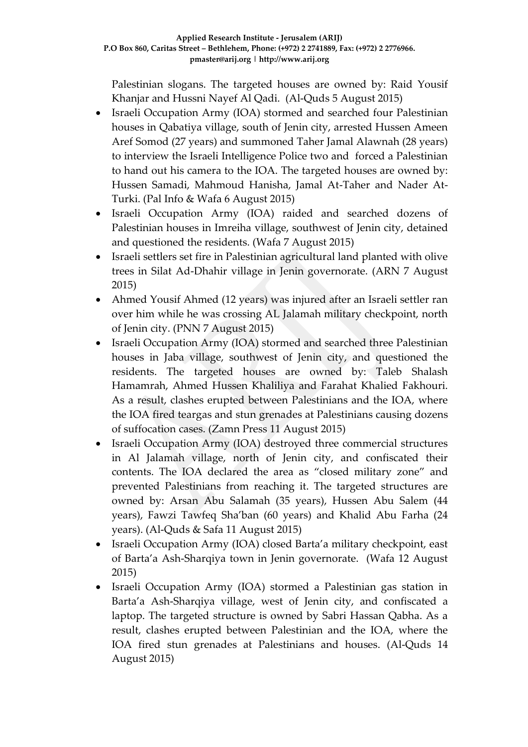Palestinian slogans. The targeted houses are owned by: Raid Yousif Khanjar and Hussni Nayef Al Qadi. (Al-Quds 5 August 2015)

- Israeli Occupation Army (IOA) stormed and searched four Palestinian houses in Qabatiya village, south of Jenin city, arrested Hussen Ameen Aref Somod (27 years) and summoned Taher Jamal Alawnah (28 years) to interview the Israeli Intelligence Police two and forced a Palestinian to hand out his camera to the IOA. The targeted houses are owned by: Hussen Samadi, Mahmoud Hanisha, Jamal At-Taher and Nader At-Turki. (Pal Info & Wafa 6 August 2015)
- Israeli Occupation Army (IOA) raided and searched dozens of Palestinian houses in Imreiha village, southwest of Jenin city, detained and questioned the residents. (Wafa 7 August 2015)
- Israeli settlers set fire in Palestinian agricultural land planted with olive trees in Silat Ad-Dhahir village in Jenin governorate. (ARN 7 August 2015)
- Ahmed Yousif Ahmed (12 years) was injured after an Israeli settler ran over him while he was crossing AL Jalamah military checkpoint, north of Jenin city. (PNN 7 August 2015)
- Israeli Occupation Army (IOA) stormed and searched three Palestinian houses in Jaba village, southwest of Jenin city, and questioned the residents. The targeted houses are owned by: Taleb Shalash Hamamrah, Ahmed Hussen Khaliliya and Farahat Khalied Fakhouri. As a result, clashes erupted between Palestinians and the IOA, where the IOA fired teargas and stun grenades at Palestinians causing dozens of suffocation cases. (Zamn Press 11 August 2015)
- Israeli Occupation Army (IOA) destroyed three commercial structures in Al Jalamah village, north of Jenin city, and confiscated their contents. The IOA declared the area as "closed military zone" and prevented Palestinians from reaching it. The targeted structures are owned by: Arsan Abu Salamah (35 years), Hussen Abu Salem (44 years), Fawzi Tawfeq Sha'ban (60 years) and Khalid Abu Farha (24 years). (Al-Quds & Safa 11 August 2015)
- Israeli Occupation Army (IOA) closed Barta'a military checkpoint, east of Barta'a Ash-Sharqiya town in Jenin governorate. (Wafa 12 August 2015)
- Israeli Occupation Army (IOA) stormed a Palestinian gas station in Barta'a Ash-Sharqiya village, west of Jenin city, and confiscated a laptop. The targeted structure is owned by Sabri Hassan Qabha. As a result, clashes erupted between Palestinian and the IOA, where the IOA fired stun grenades at Palestinians and houses. (Al-Quds 14 August 2015)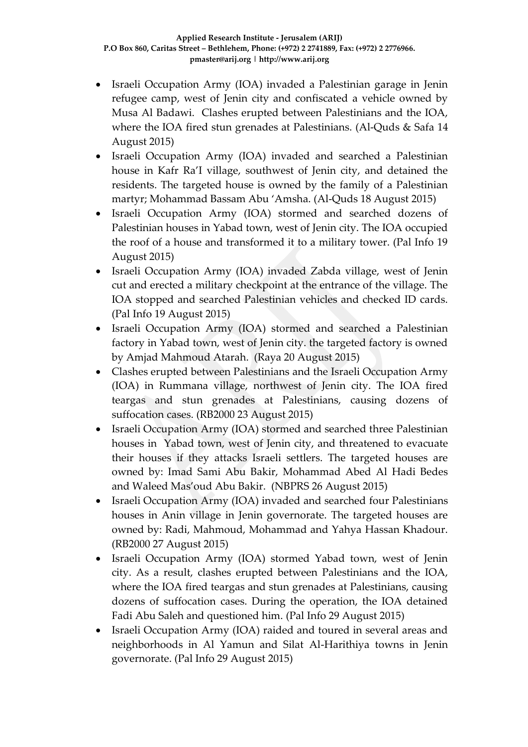- Israeli Occupation Army (IOA) invaded a Palestinian garage in Jenin refugee camp, west of Jenin city and confiscated a vehicle owned by Musa Al Badawi. Clashes erupted between Palestinians and the IOA, where the IOA fired stun grenades at Palestinians. (Al-Quds & Safa 14 August 2015)
- Israeli Occupation Army (IOA) invaded and searched a Palestinian house in Kafr Ra'I village, southwest of Jenin city, and detained the residents. The targeted house is owned by the family of a Palestinian martyr; Mohammad Bassam Abu 'Amsha. (Al-Quds 18 August 2015)
- Israeli Occupation Army (IOA) stormed and searched dozens of Palestinian houses in Yabad town, west of Jenin city. The IOA occupied the roof of a house and transformed it to a military tower. (Pal Info 19 August 2015)
- Israeli Occupation Army (IOA) invaded Zabda village, west of Jenin cut and erected a military checkpoint at the entrance of the village. The IOA stopped and searched Palestinian vehicles and checked ID cards. (Pal Info 19 August 2015)
- Israeli Occupation Army (IOA) stormed and searched a Palestinian factory in Yabad town, west of Jenin city. the targeted factory is owned by Amjad Mahmoud Atarah. (Raya 20 August 2015)
- Clashes erupted between Palestinians and the Israeli Occupation Army (IOA) in Rummana village, northwest of Jenin city. The IOA fired teargas and stun grenades at Palestinians, causing dozens of suffocation cases. (RB2000 23 August 2015)
- Israeli Occupation Army (IOA) stormed and searched three Palestinian houses in Yabad town, west of Jenin city, and threatened to evacuate their houses if they attacks Israeli settlers. The targeted houses are owned by: Imad Sami Abu Bakir, Mohammad Abed Al Hadi Bedes and Waleed Mas'oud Abu Bakir. (NBPRS 26 August 2015)
- Israeli Occupation Army (IOA) invaded and searched four Palestinians houses in Anin village in Jenin governorate. The targeted houses are owned by: Radi, Mahmoud, Mohammad and Yahya Hassan Khadour. (RB2000 27 August 2015)
- Israeli Occupation Army (IOA) stormed Yabad town, west of Jenin city. As a result, clashes erupted between Palestinians and the IOA, where the IOA fired teargas and stun grenades at Palestinians, causing dozens of suffocation cases. During the operation, the IOA detained Fadi Abu Saleh and questioned him. (Pal Info 29 August 2015)
- Israeli Occupation Army (IOA) raided and toured in several areas and neighborhoods in Al Yamun and Silat Al-Harithiya towns in Jenin governorate. (Pal Info 29 August 2015)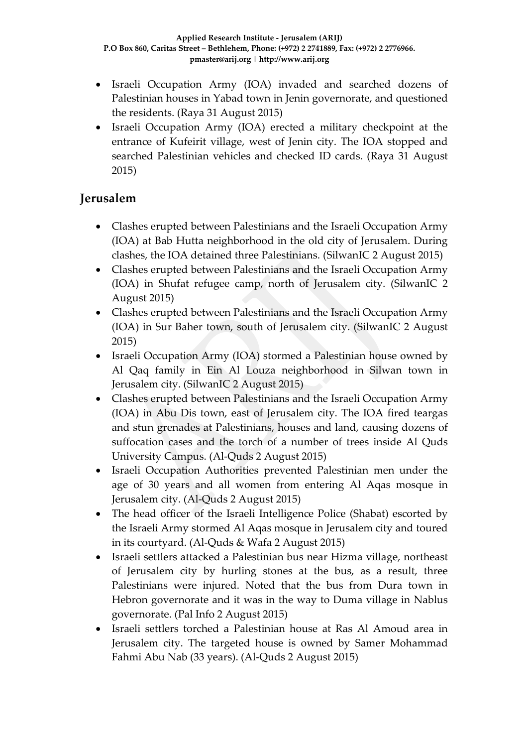- Israeli Occupation Army (IOA) invaded and searched dozens of Palestinian houses in Yabad town in Jenin governorate, and questioned the residents. (Raya 31 August 2015)
- Israeli Occupation Army (IOA) erected a military checkpoint at the entrance of Kufeirit village, west of Jenin city. The IOA stopped and searched Palestinian vehicles and checked ID cards. (Raya 31 August 2015)

### **Jerusalem**

- Clashes erupted between Palestinians and the Israeli Occupation Army (IOA) at Bab Hutta neighborhood in the old city of Jerusalem. During clashes, the IOA detained three Palestinians. (SilwanIC 2 August 2015)
- Clashes erupted between Palestinians and the Israeli Occupation Army (IOA) in Shufat refugee camp, north of Jerusalem city. (SilwanIC 2 August 2015)
- Clashes erupted between Palestinians and the Israeli Occupation Army (IOA) in Sur Baher town, south of Jerusalem city. (SilwanIC 2 August 2015)
- Israeli Occupation Army (IOA) stormed a Palestinian house owned by Al Qaq family in Ein Al Louza neighborhood in Silwan town in Jerusalem city. (SilwanIC 2 August 2015)
- Clashes erupted between Palestinians and the Israeli Occupation Army (IOA) in Abu Dis town, east of Jerusalem city. The IOA fired teargas and stun grenades at Palestinians, houses and land, causing dozens of suffocation cases and the torch of a number of trees inside Al Quds University Campus. (Al-Quds 2 August 2015)
- Israeli Occupation Authorities prevented Palestinian men under the age of 30 years and all women from entering Al Aqas mosque in Jerusalem city. (Al-Quds 2 August 2015)
- The head officer of the Israeli Intelligence Police (Shabat) escorted by the Israeli Army stormed Al Aqas mosque in Jerusalem city and toured in its courtyard. (Al-Quds & Wafa 2 August 2015)
- Israeli settlers attacked a Palestinian bus near Hizma village, northeast of Jerusalem city by hurling stones at the bus, as a result, three Palestinians were injured. Noted that the bus from Dura town in Hebron governorate and it was in the way to Duma village in Nablus governorate. (Pal Info 2 August 2015)
- Israeli settlers torched a Palestinian house at Ras Al Amoud area in Jerusalem city. The targeted house is owned by Samer Mohammad Fahmi Abu Nab (33 years). (Al-Quds 2 August 2015)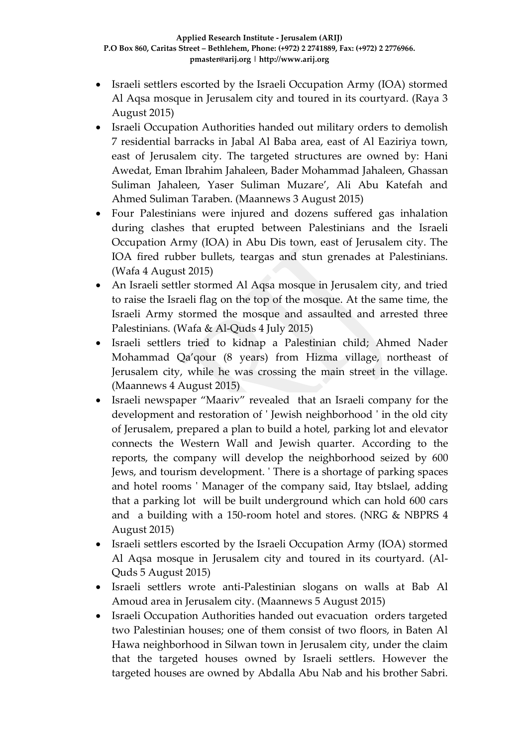- Israeli settlers escorted by the Israeli Occupation Army (IOA) stormed Al Aqsa mosque in Jerusalem city and toured in its courtyard. (Raya 3 August 2015)
- Israeli Occupation Authorities handed out military orders to demolish 7 residential barracks in Jabal Al Baba area, east of Al Eaziriya town, east of Jerusalem city. The targeted structures are owned by: Hani Awedat, Eman Ibrahim Jahaleen, Bader Mohammad Jahaleen, Ghassan Suliman Jahaleen, Yaser Suliman Muzare', Ali Abu Katefah and Ahmed Suliman Taraben. (Maannews 3 August 2015)
- Four Palestinians were injured and dozens suffered gas inhalation during clashes that erupted between Palestinians and the Israeli Occupation Army (IOA) in Abu Dis town, east of Jerusalem city. The IOA fired rubber bullets, teargas and stun grenades at Palestinians. (Wafa 4 August 2015)
- An Israeli settler stormed Al Aqsa mosque in Jerusalem city, and tried to raise the Israeli flag on the top of the mosque. At the same time, the Israeli Army stormed the mosque and assaulted and arrested three Palestinians. (Wafa & Al-Quds 4 July 2015)
- Israeli settlers tried to kidnap a Palestinian child; Ahmed Nader Mohammad Qa'qour (8 years) from Hizma village, northeast of Jerusalem city, while he was crossing the main street in the village. (Maannews 4 August 2015)
- Israeli newspaper "Maariv" revealed that an Israeli company for the development and restoration of ' Jewish neighborhood ' in the old city of Jerusalem, prepared a plan to build a hotel, parking lot and elevator connects the Western Wall and Jewish quarter. According to the reports, the company will develop the neighborhood seized by 600 Jews, and tourism development. ' There is a shortage of parking spaces and hotel rooms ' Manager of the company said, Itay btslael, adding that a parking lot will be built underground which can hold 600 cars and a building with a 150-room hotel and stores. (NRG & NBPRS 4 August 2015)
- Israeli settlers escorted by the Israeli Occupation Army (IOA) stormed Al Aqsa mosque in Jerusalem city and toured in its courtyard. (Al-Quds 5 August 2015)
- Israeli settlers wrote anti-Palestinian slogans on walls at Bab Al Amoud area in Jerusalem city. (Maannews 5 August 2015)
- Israeli Occupation Authorities handed out evacuation orders targeted two Palestinian houses; one of them consist of two floors, in Baten Al Hawa neighborhood in Silwan town in Jerusalem city, under the claim that the targeted houses owned by Israeli settlers. However the targeted houses are owned by Abdalla Abu Nab and his brother Sabri.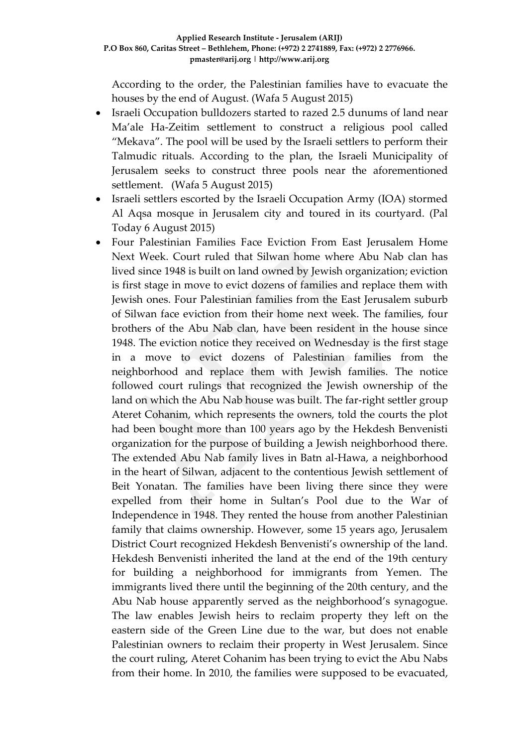According to the order, the Palestinian families have to evacuate the houses by the end of August. (Wafa 5 August 2015)

- Israeli Occupation bulldozers started to razed 2.5 dunums of land near Ma'ale Ha-Zeitim settlement to construct a religious pool called "Mekava". The pool will be used by the Israeli settlers to perform their Talmudic rituals. According to the plan, the Israeli Municipality of Jerusalem seeks to construct three pools near the aforementioned settlement. (Wafa 5 August 2015)
- Israeli settlers escorted by the Israeli Occupation Army (IOA) stormed Al Aqsa mosque in Jerusalem city and toured in its courtyard. (Pal Today 6 August 2015)
- Four Palestinian Families Face Eviction From East Jerusalem Home Next Week. Court ruled that Silwan home where Abu Nab clan has lived since 1948 is built on land owned by Jewish organization; eviction is first stage in move to evict dozens of families and replace them with Jewish ones. Four Palestinian families from the East Jerusalem suburb of Silwan face eviction from their home next week. The families, four brothers of the Abu Nab clan, have been resident in the house since 1948. The eviction notice they received on Wednesday is the first stage in a move to evict dozens of Palestinian families from the neighborhood and replace them with Jewish families. The notice followed court rulings that recognized the Jewish ownership of the land on which the Abu Nab house was built. The far-right settler group Ateret Cohanim, which represents the owners, told the courts the plot had been bought more than 100 years ago by the Hekdesh Benvenisti organization for the purpose of building a Jewish neighborhood there. The extended Abu Nab family lives in Batn al-Hawa, a neighborhood in the heart of Silwan, adjacent to the contentious Jewish settlement of Beit Yonatan. The families have been living there since they were expelled from their home in Sultan's Pool due to the War of Independence in 1948. They rented the house from another Palestinian family that claims ownership. However, some 15 years ago, Jerusalem District Court recognized Hekdesh Benvenisti's ownership of the land. Hekdesh Benvenisti inherited the land at the end of the 19th century for building a neighborhood for immigrants from Yemen. The immigrants lived there until the beginning of the 20th century, and the Abu Nab house apparently served as the neighborhood's synagogue. The law enables Jewish heirs to reclaim property they left on the eastern side of the Green Line due to the war, but does not enable Palestinian owners to reclaim their property in West Jerusalem. Since the court ruling, Ateret Cohanim has been trying to evict the Abu Nabs from their home. In 2010, the families were supposed to be evacuated,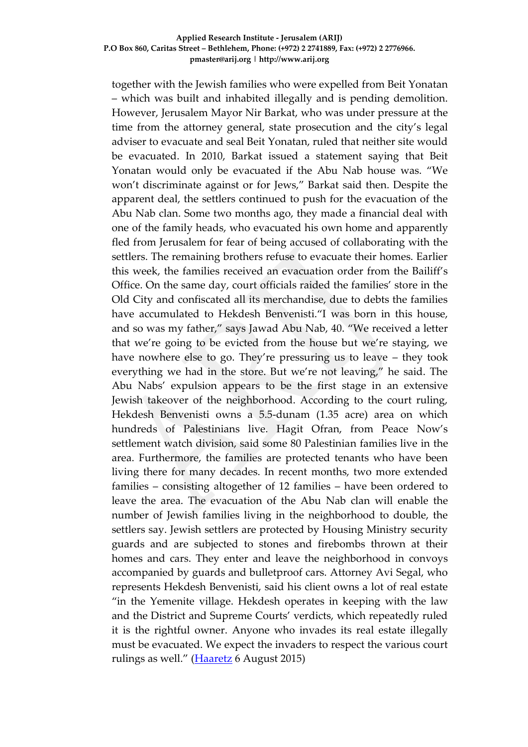together with the Jewish families who were expelled from Beit Yonatan – which was built and inhabited illegally and is pending demolition. However, Jerusalem Mayor Nir Barkat, who was under pressure at the time from the attorney general, state prosecution and the city's legal adviser to evacuate and seal Beit Yonatan, ruled that neither site would be evacuated. In 2010, Barkat issued a statement saying that Beit Yonatan would only be evacuated if the Abu Nab house was. "We won't discriminate against or for Jews," Barkat said then. Despite the apparent deal, the settlers continued to push for the evacuation of the Abu Nab clan. Some two months ago, they made a financial deal with one of the family heads, who evacuated his own home and apparently fled from Jerusalem for fear of being accused of collaborating with the settlers. The remaining brothers refuse to evacuate their homes. Earlier this week, the families received an evacuation order from the Bailiff's Office. On the same day, court officials raided the families' store in the Old City and confiscated all its merchandise, due to debts the families have accumulated to Hekdesh Benvenisti."I was born in this house, and so was my father," says Jawad Abu Nab, 40. "We received a letter that we're going to be evicted from the house but we're staying, we have nowhere else to go. They're pressuring us to leave – they took everything we had in the store. But we're not leaving," he said. The Abu Nabs' expulsion appears to be the first stage in an extensive Jewish takeover of the neighborhood. According to the court ruling, Hekdesh Benvenisti owns a 5.5-dunam (1.35 acre) area on which hundreds of Palestinians live. Hagit Ofran, from Peace Now's settlement watch division, said some 80 Palestinian families live in the area. Furthermore, the families are protected tenants who have been living there for many decades. In recent months, two more extended families – consisting altogether of 12 families – have been ordered to leave the area. The evacuation of the Abu Nab clan will enable the number of Jewish families living in the neighborhood to double, the settlers say. Jewish settlers are protected by Housing Ministry security guards and are subjected to stones and firebombs thrown at their homes and cars. They enter and leave the neighborhood in convoys accompanied by guards and bulletproof cars. Attorney Avi Segal, who represents Hekdesh Benvenisti, said his client owns a lot of real estate "in the Yemenite village. Hekdesh operates in keeping with the law and the District and Supreme Courts' verdicts, which repeatedly ruled it is the rightful owner. Anyone who invades its real estate illegally must be evacuated. We expect the invaders to respect the various court rulings as well." [\(Haaretz](http://www.haaretz.com/beta/.premium-1.669773) 6 August 2015)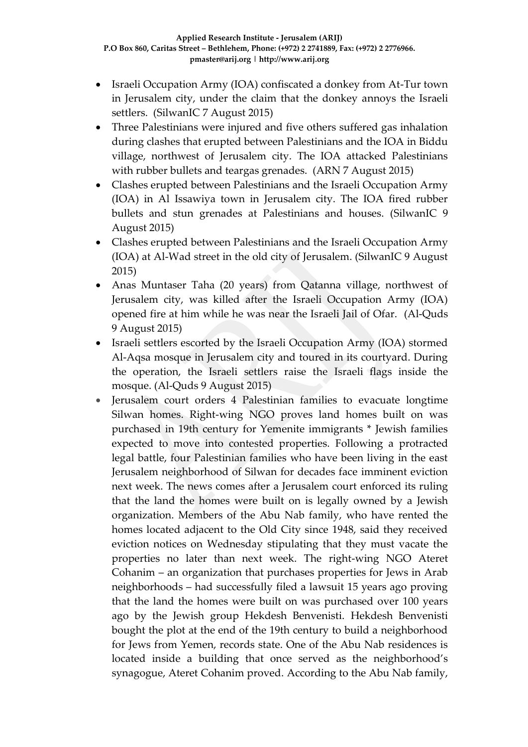- Israeli Occupation Army (IOA) confiscated a donkey from At-Tur town in Jerusalem city, under the claim that the donkey annoys the Israeli settlers. (SilwanIC 7 August 2015)
- Three Palestinians were injured and five others suffered gas inhalation during clashes that erupted between Palestinians and the IOA in Biddu village, northwest of Jerusalem city. The IOA attacked Palestinians with rubber bullets and teargas grenades. (ARN 7 August 2015)
- Clashes erupted between Palestinians and the Israeli Occupation Army (IOA) in Al Issawiya town in Jerusalem city. The IOA fired rubber bullets and stun grenades at Palestinians and houses. (SilwanIC 9 August 2015)
- Clashes erupted between Palestinians and the Israeli Occupation Army (IOA) at Al-Wad street in the old city of Jerusalem. (SilwanIC 9 August 2015)
- Anas Muntaser Taha (20 years) from Qatanna village, northwest of Jerusalem city, was killed after the Israeli Occupation Army (IOA) opened fire at him while he was near the Israeli Jail of Ofar. (Al-Quds 9 August 2015)
- Israeli settlers escorted by the Israeli Occupation Army (IOA) stormed Al-Aqsa mosque in Jerusalem city and toured in its courtyard. During the operation, the Israeli settlers raise the Israeli flags inside the mosque. (Al-Quds 9 August 2015)
- Jerusalem court orders 4 Palestinian families to evacuate longtime Silwan homes. Right-wing NGO proves land homes built on was purchased in 19th century for Yemenite immigrants \* Jewish families expected to move into contested properties. Following a protracted legal battle, four Palestinian families who have been living in the east Jerusalem neighborhood of Silwan for decades face imminent eviction next week. The news comes after a Jerusalem court enforced its ruling that the land the homes were built on is legally owned by a Jewish organization. Members of the Abu Nab family, who have rented the homes located adjacent to the Old City since 1948, said they received eviction notices on Wednesday stipulating that they must vacate the properties no later than next week. The right-wing NGO Ateret Cohanim – an organization that purchases properties for Jews in Arab neighborhoods – had successfully filed a lawsuit 15 years ago proving that the land the homes were built on was purchased over 100 years ago by the Jewish group Hekdesh Benvenisti. Hekdesh Benvenisti bought the plot at the end of the 19th century to build a neighborhood for Jews from Yemen, records state. One of the Abu Nab residences is located inside a building that once served as the neighborhood's synagogue, Ateret Cohanim proved. According to the Abu Nab family,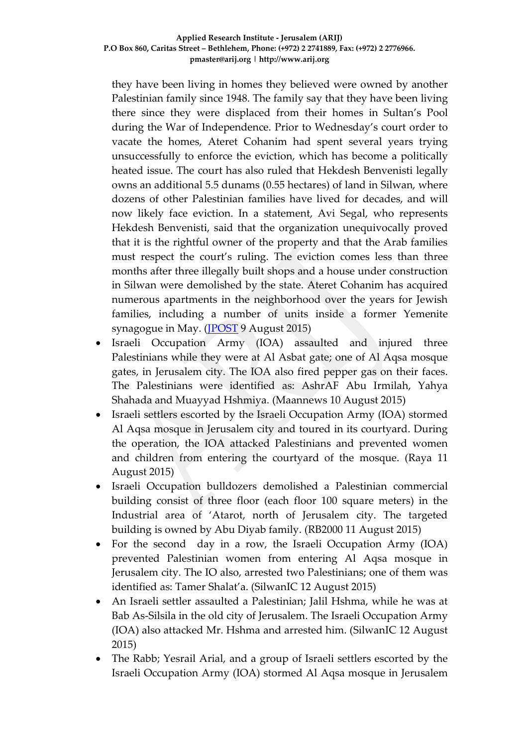they have been living in homes they believed were owned by another Palestinian family since 1948. The family say that they have been living there since they were displaced from their homes in Sultan's Pool during the War of Independence. Prior to Wednesday's court order to vacate the homes, Ateret Cohanim had spent several years trying unsuccessfully to enforce the eviction, which has become a politically heated issue. The court has also ruled that Hekdesh Benvenisti legally owns an additional 5.5 dunams (0.55 hectares) of land in Silwan, where dozens of other Palestinian families have lived for decades, and will now likely face eviction. In a statement, Avi Segal, who represents Hekdesh Benvenisti, said that the organization unequivocally proved that it is the rightful owner of the property and that the Arab families must respect the court's ruling. The eviction comes less than three months after three illegally built shops and a house under construction in Silwan were demolished by the state. Ateret Cohanim has acquired numerous apartments in the neighborhood over the years for Jewish families, including a number of units inside a former Yemenite synagogue in May. [\(JPOST](http://www.jpost.com/Arab-Israeli-Conflict/Jerusalem-court-orders-4-Palestinian-families-to-vacate-longtime-Silwan-homes-411384) 9 August 2015)

- Israeli Occupation Army (IOA) assaulted and injured three Palestinians while they were at Al Asbat gate; one of Al Aqsa mosque gates, in Jerusalem city. The IOA also fired pepper gas on their faces. The Palestinians were identified as: AshrAF Abu Irmilah, Yahya Shahada and Muayyad Hshmiya. (Maannews 10 August 2015)
- Israeli settlers escorted by the Israeli Occupation Army (IOA) stormed Al Aqsa mosque in Jerusalem city and toured in its courtyard. During the operation, the IOA attacked Palestinians and prevented women and children from entering the courtyard of the mosque. (Raya 11 August 2015)
- Israeli Occupation bulldozers demolished a Palestinian commercial building consist of three floor (each floor 100 square meters) in the Industrial area of 'Atarot, north of Jerusalem city. The targeted building is owned by Abu Diyab family. (RB2000 11 August 2015)
- For the second day in a row, the Israeli Occupation Army (IOA) prevented Palestinian women from entering Al Aqsa mosque in Jerusalem city. The IO also, arrested two Palestinians; one of them was identified as: Tamer Shalat'a. (SilwanIC 12 August 2015)
- An Israeli settler assaulted a Palestinian; Jalil Hshma, while he was at Bab As-Silsila in the old city of Jerusalem. The Israeli Occupation Army (IOA) also attacked Mr. Hshma and arrested him. (SilwanIC 12 August 2015)
- The Rabb; Yesrail Arial, and a group of Israeli settlers escorted by the Israeli Occupation Army (IOA) stormed Al Aqsa mosque in Jerusalem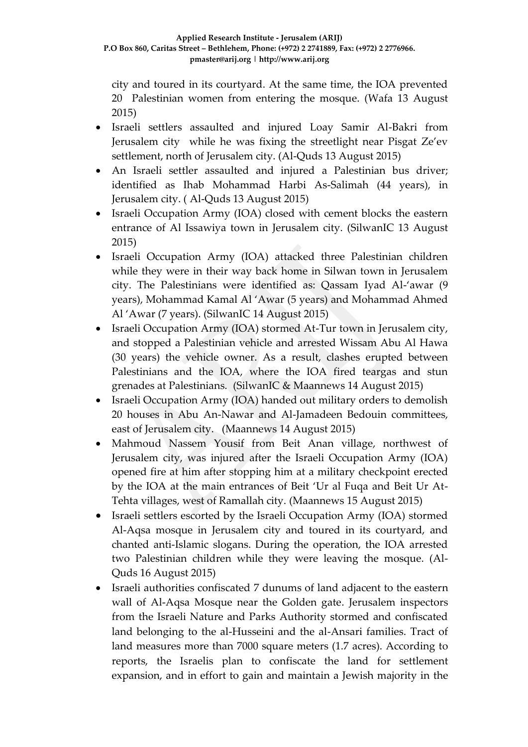city and toured in its courtyard. At the same time, the IOA prevented 20 Palestinian women from entering the mosque. (Wafa 13 August 2015)

- Israeli settlers assaulted and injured Loay Samir Al-Bakri from Jerusalem city while he was fixing the streetlight near Pisgat Ze'ev settlement, north of Jerusalem city. (Al-Quds 13 August 2015)
- An Israeli settler assaulted and injured a Palestinian bus driver; identified as Ihab Mohammad Harbi As-Salimah (44 years), in Jerusalem city. ( Al-Quds 13 August 2015)
- Israeli Occupation Army (IOA) closed with cement blocks the eastern entrance of Al Issawiya town in Jerusalem city. (SilwanIC 13 August 2015)
- Israeli Occupation Army (IOA) attacked three Palestinian children while they were in their way back home in Silwan town in Jerusalem city. The Palestinians were identified as: Qassam Iyad Al-'awar (9 years), Mohammad Kamal Al 'Awar (5 years) and Mohammad Ahmed Al 'Awar (7 years). (SilwanIC 14 August 2015)
- Israeli Occupation Army (IOA) stormed At-Tur town in Jerusalem city, and stopped a Palestinian vehicle and arrested Wissam Abu Al Hawa (30 years) the vehicle owner. As a result, clashes erupted between Palestinians and the IOA, where the IOA fired teargas and stun grenades at Palestinians. (SilwanIC & Maannews 14 August 2015)
- Israeli Occupation Army (IOA) handed out military orders to demolish 20 houses in Abu An-Nawar and Al-Jamadeen Bedouin committees, east of Jerusalem city. (Maannews 14 August 2015)
- Mahmoud Nassem Yousif from Beit Anan village, northwest of Jerusalem city, was injured after the Israeli Occupation Army (IOA) opened fire at him after stopping him at a military checkpoint erected by the IOA at the main entrances of Beit 'Ur al Fuqa and Beit Ur At-Tehta villages, west of Ramallah city. (Maannews 15 August 2015)
- Israeli settlers escorted by the Israeli Occupation Army (IOA) stormed Al-Aqsa mosque in Jerusalem city and toured in its courtyard, and chanted anti-Islamic slogans. During the operation, the IOA arrested two Palestinian children while they were leaving the mosque. (Al-Quds 16 August 2015)
- Israeli authorities confiscated 7 dunums of land adjacent to the eastern wall of Al-Aqsa Mosque near the Golden gate. Jerusalem inspectors from the Israeli Nature and Parks Authority stormed and confiscated land belonging to the al-Husseini and the al-Ansari families. Tract of land measures more than 7000 square meters (1.7 acres). According to reports, the Israelis plan to confiscate the land for settlement expansion, and in effort to gain and maintain a Jewish majority in the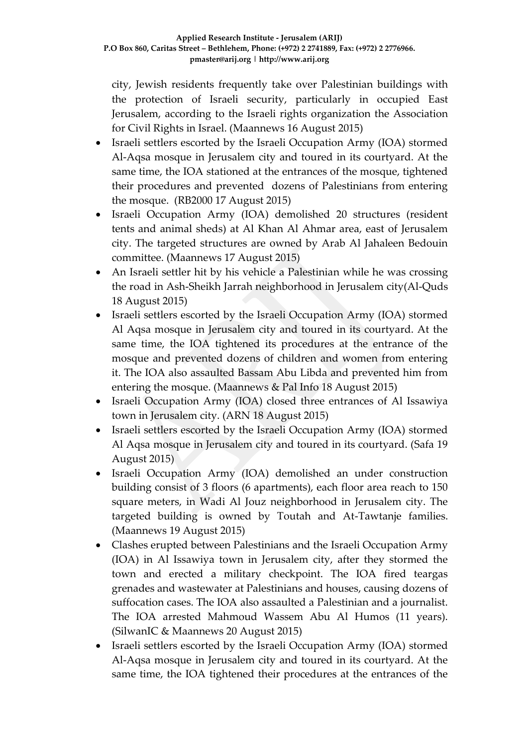city, Jewish residents frequently take over Palestinian buildings with the protection of Israeli security, particularly in occupied East Jerusalem, according to the Israeli rights organization the Association for Civil Rights in Israel. (Maannews 16 August 2015)

- Israeli settlers escorted by the Israeli Occupation Army (IOA) stormed Al-Aqsa mosque in Jerusalem city and toured in its courtyard. At the same time, the IOA stationed at the entrances of the mosque, tightened their procedures and prevented dozens of Palestinians from entering the mosque. (RB2000 17 August 2015)
- Israeli Occupation Army (IOA) demolished 20 structures (resident tents and animal sheds) at Al Khan Al Ahmar area, east of Jerusalem city. The targeted structures are owned by Arab Al Jahaleen Bedouin committee. (Maannews 17 August 2015)
- An Israeli settler hit by his vehicle a Palestinian while he was crossing the road in Ash-Sheikh Jarrah neighborhood in Jerusalem city(Al-Quds 18 August 2015)
- Israeli settlers escorted by the Israeli Occupation Army (IOA) stormed Al Aqsa mosque in Jerusalem city and toured in its courtyard. At the same time, the IOA tightened its procedures at the entrance of the mosque and prevented dozens of children and women from entering it. The IOA also assaulted Bassam Abu Libda and prevented him from entering the mosque. (Maannews & Pal Info 18 August 2015)
- Israeli Occupation Army (IOA) closed three entrances of Al Issawiya town in Jerusalem city. (ARN 18 August 2015)
- Israeli settlers escorted by the Israeli Occupation Army (IOA) stormed Al Aqsa mosque in Jerusalem city and toured in its courtyard. (Safa 19 August 2015)
- Israeli Occupation Army (IOA) demolished an under construction building consist of 3 floors (6 apartments), each floor area reach to 150 square meters, in Wadi Al Jouz neighborhood in Jerusalem city. The targeted building is owned by Toutah and At-Tawtanje families. (Maannews 19 August 2015)
- Clashes erupted between Palestinians and the Israeli Occupation Army (IOA) in Al Issawiya town in Jerusalem city, after they stormed the town and erected a military checkpoint. The IOA fired teargas grenades and wastewater at Palestinians and houses, causing dozens of suffocation cases. The IOA also assaulted a Palestinian and a journalist. The IOA arrested Mahmoud Wassem Abu Al Humos (11 years). (SilwanIC & Maannews 20 August 2015)
- Israeli settlers escorted by the Israeli Occupation Army (IOA) stormed Al-Aqsa mosque in Jerusalem city and toured in its courtyard. At the same time, the IOA tightened their procedures at the entrances of the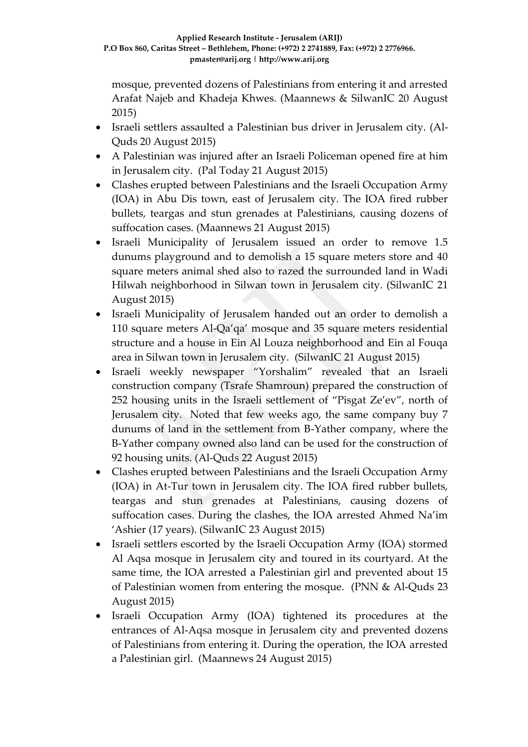mosque, prevented dozens of Palestinians from entering it and arrested Arafat Najeb and Khadeja Khwes. (Maannews & SilwanIC 20 August 2015)

- Israeli settlers assaulted a Palestinian bus driver in Jerusalem city. (Al-Quds 20 August 2015)
- A Palestinian was injured after an Israeli Policeman opened fire at him in Jerusalem city. (Pal Today 21 August 2015)
- Clashes erupted between Palestinians and the Israeli Occupation Army (IOA) in Abu Dis town, east of Jerusalem city. The IOA fired rubber bullets, teargas and stun grenades at Palestinians, causing dozens of suffocation cases. (Maannews 21 August 2015)
- Israeli Municipality of Jerusalem issued an order to remove 1.5 dunums playground and to demolish a 15 square meters store and 40 square meters animal shed also to razed the surrounded land in Wadi Hilwah neighborhood in Silwan town in Jerusalem city. (SilwanIC 21 August 2015)
- Israeli Municipality of Jerusalem handed out an order to demolish a 110 square meters Al-Qa'qa' mosque and 35 square meters residential structure and a house in Ein Al Louza neighborhood and Ein al Fouqa area in Silwan town in Jerusalem city. (SilwanIC 21 August 2015)
- Israeli weekly newspaper "Yorshalim" revealed that an Israeli construction company (Tsrafe Shamroun) prepared the construction of 252 housing units in the Israeli settlement of "Pisgat Ze'ev", north of Jerusalem city. Noted that few weeks ago, the same company buy 7 dunums of land in the settlement from B-Yather company, where the B-Yather company owned also land can be used for the construction of 92 housing units. (Al-Quds 22 August 2015)
- Clashes erupted between Palestinians and the Israeli Occupation Army (IOA) in At-Tur town in Jerusalem city. The IOA fired rubber bullets, teargas and stun grenades at Palestinians, causing dozens of suffocation cases. During the clashes, the IOA arrested Ahmed Na'im 'Ashier (17 years). (SilwanIC 23 August 2015)
- Israeli settlers escorted by the Israeli Occupation Army (IOA) stormed Al Aqsa mosque in Jerusalem city and toured in its courtyard. At the same time, the IOA arrested a Palestinian girl and prevented about 15 of Palestinian women from entering the mosque. (PNN & Al-Quds 23 August 2015)
- Israeli Occupation Army (IOA) tightened its procedures at the entrances of Al-Aqsa mosque in Jerusalem city and prevented dozens of Palestinians from entering it. During the operation, the IOA arrested a Palestinian girl. (Maannews 24 August 2015)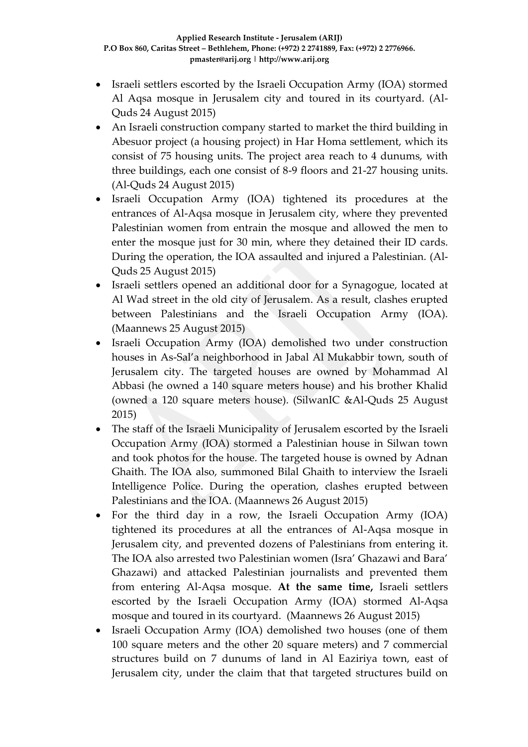- Israeli settlers escorted by the Israeli Occupation Army (IOA) stormed Al Aqsa mosque in Jerusalem city and toured in its courtyard. (Al-Quds 24 August 2015)
- An Israeli construction company started to market the third building in Abesuor project (a housing project) in Har Homa settlement, which its consist of 75 housing units. The project area reach to 4 dunums, with three buildings, each one consist of 8-9 floors and 21-27 housing units. (Al-Quds 24 August 2015)
- Israeli Occupation Army (IOA) tightened its procedures at the entrances of Al-Aqsa mosque in Jerusalem city, where they prevented Palestinian women from entrain the mosque and allowed the men to enter the mosque just for 30 min, where they detained their ID cards. During the operation, the IOA assaulted and injured a Palestinian. (Al-Quds 25 August 2015)
- Israeli settlers opened an additional door for a Synagogue, located at Al Wad street in the old city of Jerusalem. As a result, clashes erupted between Palestinians and the Israeli Occupation Army (IOA). (Maannews 25 August 2015)
- Israeli Occupation Army (IOA) demolished two under construction houses in As-Sal'a neighborhood in Jabal Al Mukabbir town, south of Jerusalem city. The targeted houses are owned by Mohammad Al Abbasi (he owned a 140 square meters house) and his brother Khalid (owned a 120 square meters house). (SilwanIC &Al-Quds 25 August 2015)
- The staff of the Israeli Municipality of Jerusalem escorted by the Israeli Occupation Army (IOA) stormed a Palestinian house in Silwan town and took photos for the house. The targeted house is owned by Adnan Ghaith. The IOA also, summoned Bilal Ghaith to interview the Israeli Intelligence Police. During the operation, clashes erupted between Palestinians and the IOA. (Maannews 26 August 2015)
- For the third day in a row, the Israeli Occupation Army (IOA) tightened its procedures at all the entrances of Al-Aqsa mosque in Jerusalem city, and prevented dozens of Palestinians from entering it. The IOA also arrested two Palestinian women (Isra' Ghazawi and Bara' Ghazawi) and attacked Palestinian journalists and prevented them from entering Al-Aqsa mosque. **At the same time,** Israeli settlers escorted by the Israeli Occupation Army (IOA) stormed Al-Aqsa mosque and toured in its courtyard. (Maannews 26 August 2015)
- Israeli Occupation Army (IOA) demolished two houses (one of them 100 square meters and the other 20 square meters) and 7 commercial structures build on 7 dunums of land in Al Eaziriya town, east of Jerusalem city, under the claim that that targeted structures build on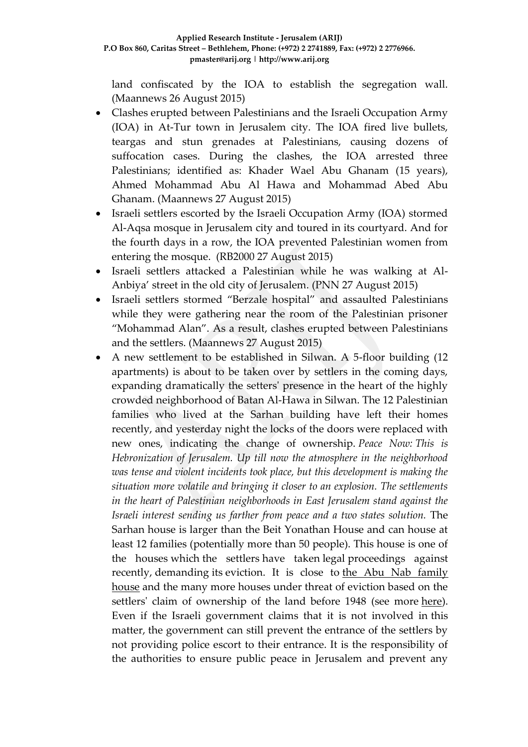land confiscated by the IOA to establish the segregation wall. (Maannews 26 August 2015)

- Clashes erupted between Palestinians and the Israeli Occupation Army (IOA) in At-Tur town in Jerusalem city. The IOA fired live bullets, teargas and stun grenades at Palestinians, causing dozens of suffocation cases. During the clashes, the IOA arrested three Palestinians; identified as: Khader Wael Abu Ghanam (15 years), Ahmed Mohammad Abu Al Hawa and Mohammad Abed Abu Ghanam. (Maannews 27 August 2015)
- Israeli settlers escorted by the Israeli Occupation Army (IOA) stormed Al-Aqsa mosque in Jerusalem city and toured in its courtyard. And for the fourth days in a row, the IOA prevented Palestinian women from entering the mosque. (RB2000 27 August 2015)
- Israeli settlers attacked a Palestinian while he was walking at Al-Anbiya' street in the old city of Jerusalem. (PNN 27 August 2015)
- Israeli settlers stormed "Berzale hospital" and assaulted Palestinians while they were gathering near the room of the Palestinian prisoner "Mohammad Alan". As a result, clashes erupted between Palestinians and the settlers. (Maannews 27 August 2015)
- A new settlement to be established in Silwan. A 5-floor building (12 apartments) is about to be taken over by settlers in the coming days, expanding dramatically the setters' presence in the heart of the highly crowded neighborhood of Batan Al-Hawa in Silwan. The 12 Palestinian families who lived at the Sarhan building have left their homes recently, and yesterday night the locks of the doors were replaced with new ones, indicating the change of ownership. *Peace Now: This is Hebronization of Jerusalem. Up till now the atmosphere in the neighborhood was tense and violent incidents took place, but this development is making the situation more volatile and bringing it closer to an explosion. The settlements in the heart of Palestinian neighborhoods in East Jerusalem stand against the Israeli interest sending us farther from peace and a two states solution.* The Sarhan house is larger than the Beit Yonathan House and can house at least 12 families (potentially more than 50 people). This house is one of the houses which the settlers have taken legal proceedings against recently, demanding its eviction. It is close to the Abu Nab [family](http://peacenow.org.il/eng/abunab2) [house](http://peacenow.org.il/eng/abunab2) and the many more houses under threat of eviction based on the settlers' claim of ownership of the land before 1948 (see more [here\)](http://peacenow.org.il/eng/abunab2). Even if the Israeli government claims that it is not involved in this matter, the government can still prevent the entrance of the settlers by not providing police escort to their entrance. It is the responsibility of the authorities to ensure public peace in Jerusalem and prevent any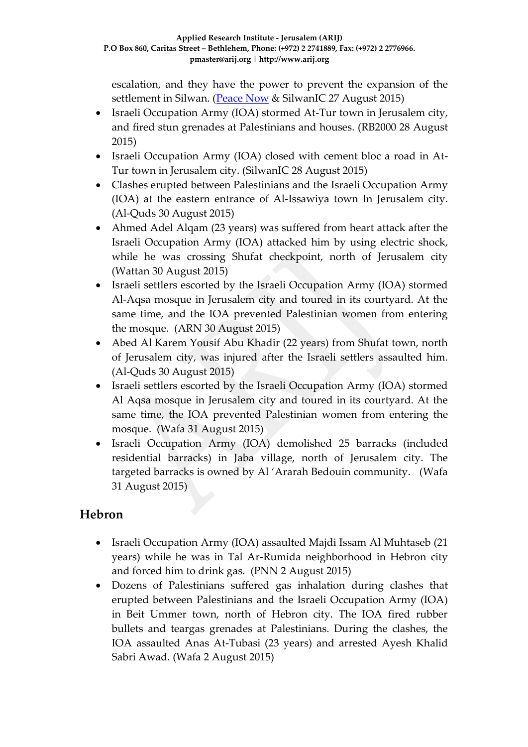escalation, and they have the power to prevent the expansion of the settlement in Silwan. [\(Peace Now](http://peacenow.org.il/eng/SarhanHouse) & SilwanIC 27 August 2015)

- Israeli Occupation Army (IOA) stormed At-Tur town in Jerusalem city, and fired stun grenades at Palestinians and houses. (RB2000 28 August 2015)
- Israeli Occupation Army (IOA) closed with cement bloc a road in At-Tur town in Jerusalem city. (SilwanIC 28 August 2015)
- Clashes erupted between Palestinians and the Israeli Occupation Army (IOA) at the eastern entrance of Al-Issawiya town In Jerusalem city. (Al-Quds 30 August 2015)
- Ahmed Adel Alqam (23 years) was suffered from heart attack after the Israeli Occupation Army (IOA) attacked him by using electric shock, while he was crossing Shufat checkpoint, north of Jerusalem city (Wattan 30 August 2015)
- Israeli settlers escorted by the Israeli Occupation Army (IOA) stormed Al-Aqsa mosque in Jerusalem city and toured in its courtyard. At the same time, and the IOA prevented Palestinian women from entering the mosque. (ARN 30 August 2015)
- Abed Al Karem Yousif Abu Khadir (22 years) from Shufat town, north of Jerusalem city, was injured after the Israeli settlers assaulted him. (Al-Quds 30 August 2015)
- Israeli settlers escorted by the Israeli Occupation Army (IOA) stormed Al Aqsa mosque in Jerusalem city and toured in its courtyard. At the same time, the IOA prevented Palestinian women from entering the mosque. (Wafa 31 August 2015)
- Israeli Occupation Army (IOA) demolished 25 barracks (included residential barracks) in Jaba village, north of Jerusalem city. The targeted barracks is owned by Al 'Ararah Bedouin community. (Wafa 31 August 2015)

## **Hebron**

- Israeli Occupation Army (IOA) assaulted Majdi Issam Al Muhtaseb (21 years) while he was in Tal Ar-Rumida neighborhood in Hebron city and forced him to drink gas. (PNN 2 August 2015)
- Dozens of Palestinians suffered gas inhalation during clashes that erupted between Palestinians and the Israeli Occupation Army (IOA) in Beit Ummer town, north of Hebron city. The IOA fired rubber bullets and teargas grenades at Palestinians. During the clashes, the IOA assaulted Anas At-Tubasi (23 years) and arrested Ayesh Khalid Sabri Awad. (Wafa 2 August 2015)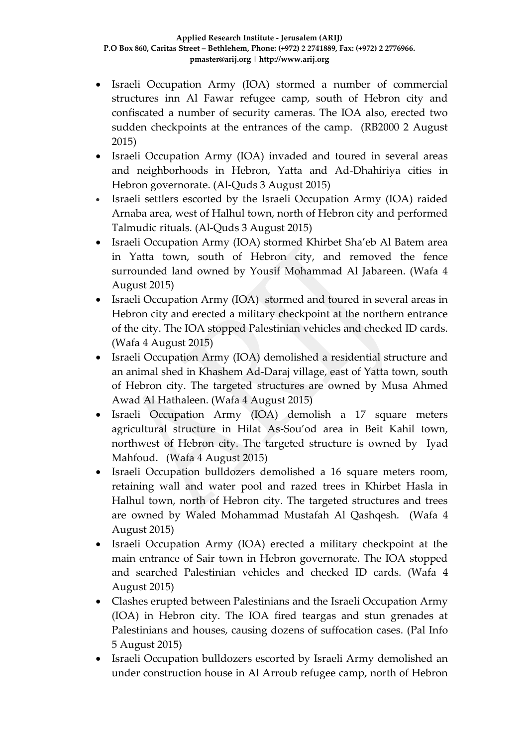- Israeli Occupation Army (IOA) stormed a number of commercial structures inn Al Fawar refugee camp, south of Hebron city and confiscated a number of security cameras. The IOA also, erected two sudden checkpoints at the entrances of the camp. (RB2000 2 August 2015)
- Israeli Occupation Army (IOA) invaded and toured in several areas and neighborhoods in Hebron, Yatta and Ad-Dhahiriya cities in Hebron governorate. (Al-Quds 3 August 2015)
- Israeli settlers escorted by the Israeli Occupation Army (IOA) raided Arnaba area, west of Halhul town, north of Hebron city and performed Talmudic rituals. (Al-Quds 3 August 2015)
- Israeli Occupation Army (IOA) stormed Khirbet Sha'eb Al Batem area in Yatta town, south of Hebron city, and removed the fence surrounded land owned by Yousif Mohammad Al Jabareen. (Wafa 4 August 2015)
- Israeli Occupation Army (IOA) stormed and toured in several areas in Hebron city and erected a military checkpoint at the northern entrance of the city. The IOA stopped Palestinian vehicles and checked ID cards. (Wafa 4 August 2015)
- Israeli Occupation Army (IOA) demolished a residential structure and an animal shed in Khashem Ad-Daraj village, east of Yatta town, south of Hebron city. The targeted structures are owned by Musa Ahmed Awad Al Hathaleen. (Wafa 4 August 2015)
- Israeli Occupation Army (IOA) demolish a 17 square meters agricultural structure in Hilat As-Sou'od area in Beit Kahil town, northwest of Hebron city. The targeted structure is owned by Iyad Mahfoud. (Wafa 4 August 2015)
- Israeli Occupation bulldozers demolished a 16 square meters room, retaining wall and water pool and razed trees in Khirbet Hasla in Halhul town, north of Hebron city. The targeted structures and trees are owned by Waled Mohammad Mustafah Al Qashqesh. (Wafa 4 August 2015)
- Israeli Occupation Army (IOA) erected a military checkpoint at the main entrance of Sair town in Hebron governorate. The IOA stopped and searched Palestinian vehicles and checked ID cards. (Wafa 4 August 2015)
- Clashes erupted between Palestinians and the Israeli Occupation Army (IOA) in Hebron city. The IOA fired teargas and stun grenades at Palestinians and houses, causing dozens of suffocation cases. (Pal Info 5 August 2015)
- Israeli Occupation bulldozers escorted by Israeli Army demolished an under construction house in Al Arroub refugee camp, north of Hebron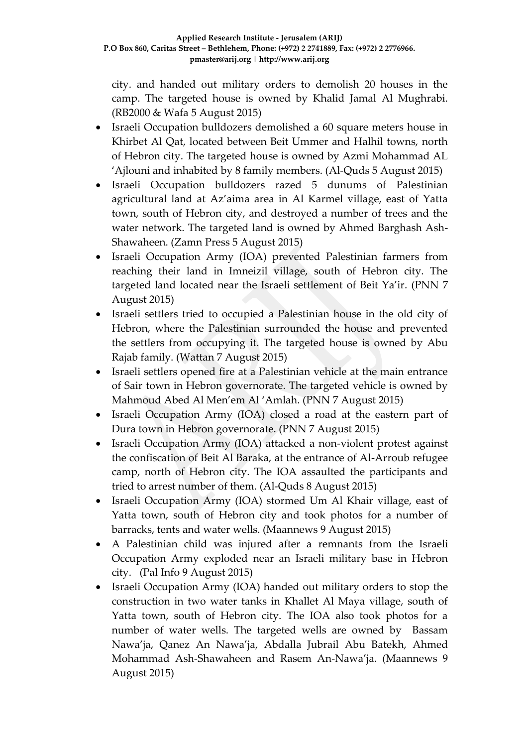city. and handed out military orders to demolish 20 houses in the camp. The targeted house is owned by Khalid Jamal Al Mughrabi. (RB2000 & Wafa 5 August 2015)

- Israeli Occupation bulldozers demolished a 60 square meters house in Khirbet Al Qat, located between Beit Ummer and Halhil towns, north of Hebron city. The targeted house is owned by Azmi Mohammad AL 'Ajlouni and inhabited by 8 family members. (Al-Quds 5 August 2015)
- Israeli Occupation bulldozers razed 5 dunums of Palestinian agricultural land at Az'aima area in Al Karmel village, east of Yatta town, south of Hebron city, and destroyed a number of trees and the water network. The targeted land is owned by Ahmed Barghash Ash-Shawaheen. (Zamn Press 5 August 2015)
- Israeli Occupation Army (IOA) prevented Palestinian farmers from reaching their land in Imneizil village, south of Hebron city. The targeted land located near the Israeli settlement of Beit Ya'ir. (PNN 7 August 2015)
- Israeli settlers tried to occupied a Palestinian house in the old city of Hebron, where the Palestinian surrounded the house and prevented the settlers from occupying it. The targeted house is owned by Abu Rajab family. (Wattan 7 August 2015)
- Israeli settlers opened fire at a Palestinian vehicle at the main entrance of Sair town in Hebron governorate. The targeted vehicle is owned by Mahmoud Abed Al Men'em Al 'Amlah. (PNN 7 August 2015)
- Israeli Occupation Army (IOA) closed a road at the eastern part of Dura town in Hebron governorate. (PNN 7 August 2015)
- Israeli Occupation Army (IOA) attacked a non-violent protest against the confiscation of Beit Al Baraka, at the entrance of Al-Arroub refugee camp, north of Hebron city. The IOA assaulted the participants and tried to arrest number of them. (Al-Quds 8 August 2015)
- Israeli Occupation Army (IOA) stormed Um Al Khair village, east of Yatta town, south of Hebron city and took photos for a number of barracks, tents and water wells. (Maannews 9 August 2015)
- A Palestinian child was injured after a remnants from the Israeli Occupation Army exploded near an Israeli military base in Hebron city. (Pal Info 9 August 2015)
- Israeli Occupation Army (IOA) handed out military orders to stop the construction in two water tanks in Khallet Al Maya village, south of Yatta town, south of Hebron city. The IOA also took photos for a number of water wells. The targeted wells are owned by Bassam Nawa'ja, Qanez An Nawa'ja, Abdalla Jubrail Abu Batekh, Ahmed Mohammad Ash-Shawaheen and Rasem An-Nawa'ja. (Maannews 9 August 2015)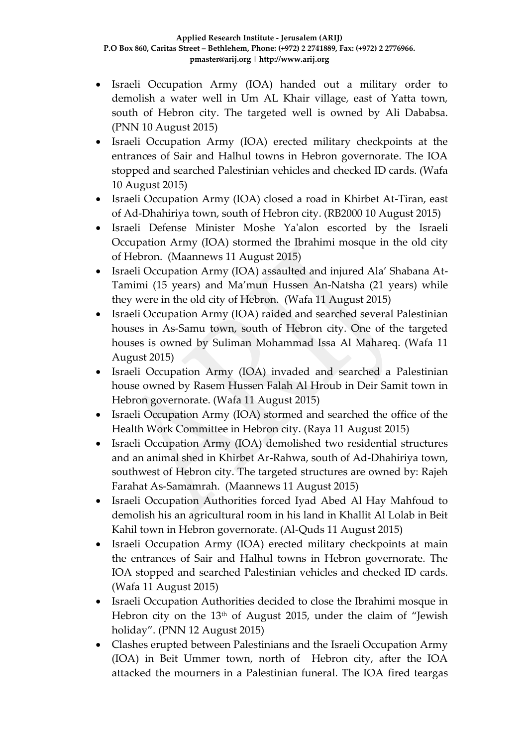- Israeli Occupation Army (IOA) handed out a military order to demolish a water well in Um AL Khair village, east of Yatta town, south of Hebron city. The targeted well is owned by Ali Dababsa. (PNN 10 August 2015)
- Israeli Occupation Army (IOA) erected military checkpoints at the entrances of Sair and Halhul towns in Hebron governorate. The IOA stopped and searched Palestinian vehicles and checked ID cards. (Wafa 10 August 2015)
- Israeli Occupation Army (IOA) closed a road in Khirbet At-Tiran, east of Ad-Dhahiriya town, south of Hebron city. (RB2000 10 August 2015)
- Israeli Defense Minister Moshe Ya'alon escorted by the Israeli Occupation Army (IOA) stormed the Ibrahimi mosque in the old city of Hebron. (Maannews 11 August 2015)
- Israeli Occupation Army (IOA) assaulted and injured Ala' Shabana At-Tamimi (15 years) and Ma'mun Hussen An-Natsha (21 years) while they were in the old city of Hebron. (Wafa 11 August 2015)
- Israeli Occupation Army (IOA) raided and searched several Palestinian houses in As-Samu town, south of Hebron city. One of the targeted houses is owned by Suliman Mohammad Issa Al Mahareq. (Wafa 11 August 2015)
- Israeli Occupation Army (IOA) invaded and searched a Palestinian house owned by Rasem Hussen Falah Al Hroub in Deir Samit town in Hebron governorate. (Wafa 11 August 2015)
- Israeli Occupation Army (IOA) stormed and searched the office of the Health Work Committee in Hebron city. (Raya 11 August 2015)
- Israeli Occupation Army (IOA) demolished two residential structures and an animal shed in Khirbet Ar-Rahwa, south of Ad-Dhahiriya town, southwest of Hebron city. The targeted structures are owned by: Rajeh Farahat As-Samamrah. (Maannews 11 August 2015)
- Israeli Occupation Authorities forced Iyad Abed Al Hay Mahfoud to demolish his an agricultural room in his land in Khallit Al Lolab in Beit Kahil town in Hebron governorate. (Al-Quds 11 August 2015)
- Israeli Occupation Army (IOA) erected military checkpoints at main the entrances of Sair and Halhul towns in Hebron governorate. The IOA stopped and searched Palestinian vehicles and checked ID cards. (Wafa 11 August 2015)
- Israeli Occupation Authorities decided to close the Ibrahimi mosque in Hebron city on the 13th of August 2015, under the claim of "Jewish holiday". (PNN 12 August 2015)
- Clashes erupted between Palestinians and the Israeli Occupation Army (IOA) in Beit Ummer town, north of Hebron city, after the IOA attacked the mourners in a Palestinian funeral. The IOA fired teargas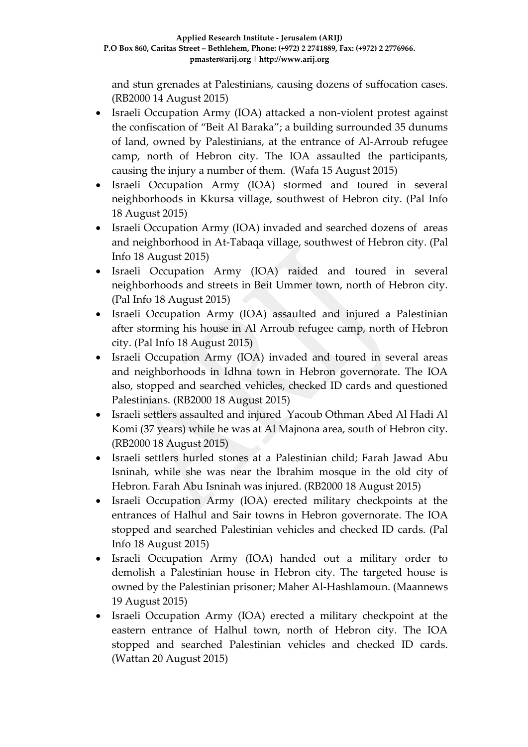and stun grenades at Palestinians, causing dozens of suffocation cases. (RB2000 14 August 2015)

- Israeli Occupation Army (IOA) attacked a non-violent protest against the confiscation of "Beit Al Baraka"; a building surrounded 35 dunums of land, owned by Palestinians, at the entrance of Al-Arroub refugee camp, north of Hebron city. The IOA assaulted the participants, causing the injury a number of them. (Wafa 15 August 2015)
- Israeli Occupation Army (IOA) stormed and toured in several neighborhoods in Kkursa village, southwest of Hebron city. (Pal Info 18 August 2015)
- Israeli Occupation Army (IOA) invaded and searched dozens of areas and neighborhood in At-Tabaqa village, southwest of Hebron city. (Pal Info 18 August 2015)
- Israeli Occupation Army (IOA) raided and toured in several neighborhoods and streets in Beit Ummer town, north of Hebron city. (Pal Info 18 August 2015)
- Israeli Occupation Army (IOA) assaulted and injured a Palestinian after storming his house in Al Arroub refugee camp, north of Hebron city. (Pal Info 18 August 2015)
- Israeli Occupation Army (IOA) invaded and toured in several areas and neighborhoods in Idhna town in Hebron governorate. The IOA also, stopped and searched vehicles, checked ID cards and questioned Palestinians. (RB2000 18 August 2015)
- Israeli settlers assaulted and injured Yacoub Othman Abed Al Hadi Al Komi (37 years) while he was at Al Majnona area, south of Hebron city. (RB2000 18 August 2015)
- Israeli settlers hurled stones at a Palestinian child; Farah Jawad Abu Isninah, while she was near the Ibrahim mosque in the old city of Hebron. Farah Abu Isninah was injured. (RB2000 18 August 2015)
- Israeli Occupation Army (IOA) erected military checkpoints at the entrances of Halhul and Sair towns in Hebron governorate. The IOA stopped and searched Palestinian vehicles and checked ID cards. (Pal Info 18 August 2015)
- Israeli Occupation Army (IOA) handed out a military order to demolish a Palestinian house in Hebron city. The targeted house is owned by the Palestinian prisoner; Maher Al-Hashlamoun. (Maannews 19 August 2015)
- Israeli Occupation Army (IOA) erected a military checkpoint at the eastern entrance of Halhul town, north of Hebron city. The IOA stopped and searched Palestinian vehicles and checked ID cards. (Wattan 20 August 2015)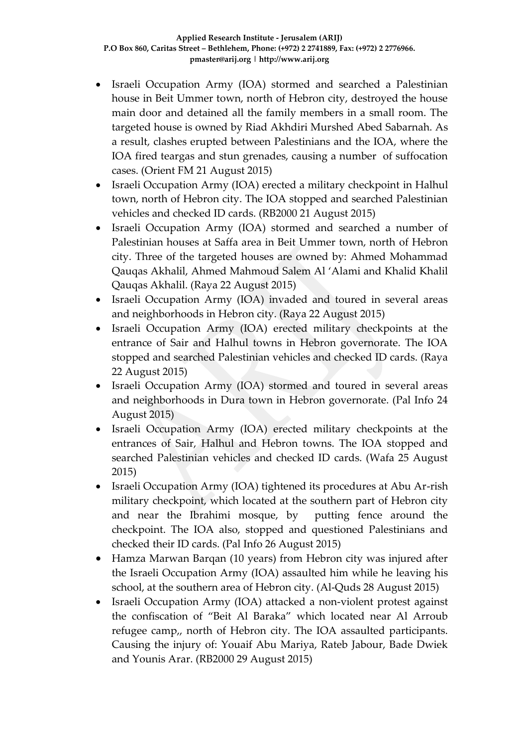- Israeli Occupation Army (IOA) stormed and searched a Palestinian house in Beit Ummer town, north of Hebron city, destroyed the house main door and detained all the family members in a small room. The targeted house is owned by Riad Akhdiri Murshed Abed Sabarnah. As a result, clashes erupted between Palestinians and the IOA, where the IOA fired teargas and stun grenades, causing a number of suffocation cases. (Orient FM 21 August 2015)
- Israeli Occupation Army (IOA) erected a military checkpoint in Halhul town, north of Hebron city. The IOA stopped and searched Palestinian vehicles and checked ID cards. (RB2000 21 August 2015)
- Israeli Occupation Army (IOA) stormed and searched a number of Palestinian houses at Saffa area in Beit Ummer town, north of Hebron city. Three of the targeted houses are owned by: Ahmed Mohammad Qauqas Akhalil, Ahmed Mahmoud Salem Al 'Alami and Khalid Khalil Qauqas Akhalil. (Raya 22 August 2015)
- Israeli Occupation Army (IOA) invaded and toured in several areas and neighborhoods in Hebron city. (Raya 22 August 2015)
- Israeli Occupation Army (IOA) erected military checkpoints at the entrance of Sair and Halhul towns in Hebron governorate. The IOA stopped and searched Palestinian vehicles and checked ID cards. (Raya 22 August 2015)
- Israeli Occupation Army (IOA) stormed and toured in several areas and neighborhoods in Dura town in Hebron governorate. (Pal Info 24 August 2015)
- Israeli Occupation Army (IOA) erected military checkpoints at the entrances of Sair, Halhul and Hebron towns. The IOA stopped and searched Palestinian vehicles and checked ID cards. (Wafa 25 August 2015)
- Israeli Occupation Army (IOA) tightened its procedures at Abu Ar-rish military checkpoint, which located at the southern part of Hebron city and near the Ibrahimi mosque, by putting fence around the checkpoint. The IOA also, stopped and questioned Palestinians and checked their ID cards. (Pal Info 26 August 2015)
- Hamza Marwan Barqan (10 years) from Hebron city was injured after the Israeli Occupation Army (IOA) assaulted him while he leaving his school, at the southern area of Hebron city. (Al-Quds 28 August 2015)
- Israeli Occupation Army (IOA) attacked a non-violent protest against the confiscation of "Beit Al Baraka" which located near Al Arroub refugee camp,, north of Hebron city. The IOA assaulted participants. Causing the injury of: Youaif Abu Mariya, Rateb Jabour, Bade Dwiek and Younis Arar. (RB2000 29 August 2015)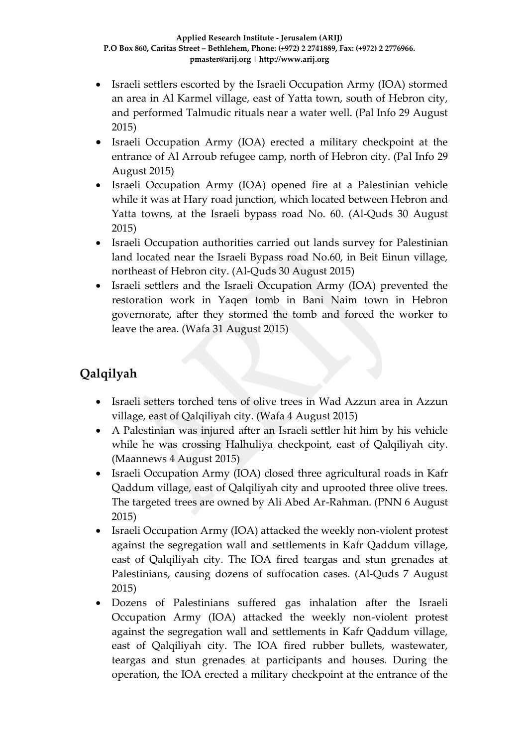- Israeli settlers escorted by the Israeli Occupation Army (IOA) stormed an area in Al Karmel village, east of Yatta town, south of Hebron city, and performed Talmudic rituals near a water well. (Pal Info 29 August 2015)
- Israeli Occupation Army (IOA) erected a military checkpoint at the entrance of Al Arroub refugee camp, north of Hebron city. (Pal Info 29 August 2015)
- Israeli Occupation Army (IOA) opened fire at a Palestinian vehicle while it was at Hary road junction, which located between Hebron and Yatta towns, at the Israeli bypass road No. 60. (Al-Quds 30 August 2015)
- Israeli Occupation authorities carried out lands survey for Palestinian land located near the Israeli Bypass road No.60, in Beit Einun village, northeast of Hebron city. (Al-Quds 30 August 2015)
- Israeli settlers and the Israeli Occupation Army (IOA) prevented the restoration work in Yaqen tomb in Bani Naim town in Hebron governorate, after they stormed the tomb and forced the worker to leave the area. (Wafa 31 August 2015)

# **Qalqilyah**

- Israeli setters torched tens of olive trees in Wad Azzun area in Azzun village, east of Qalqiliyah city. (Wafa 4 August 2015)
- A Palestinian was injured after an Israeli settler hit him by his vehicle while he was crossing Halhuliya checkpoint, east of Qalqiliyah city. (Maannews 4 August 2015)
- Israeli Occupation Army (IOA) closed three agricultural roads in Kafr Qaddum village, east of Qalqiliyah city and uprooted three olive trees. The targeted trees are owned by Ali Abed Ar-Rahman. (PNN 6 August 2015)
- Israeli Occupation Army (IOA) attacked the weekly non-violent protest against the segregation wall and settlements in Kafr Qaddum village, east of Qalqiliyah city. The IOA fired teargas and stun grenades at Palestinians, causing dozens of suffocation cases. (Al-Quds 7 August 2015)
- Dozens of Palestinians suffered gas inhalation after the Israeli Occupation Army (IOA) attacked the weekly non-violent protest against the segregation wall and settlements in Kafr Qaddum village, east of Qalqiliyah city. The IOA fired rubber bullets, wastewater, teargas and stun grenades at participants and houses. During the operation, the IOA erected a military checkpoint at the entrance of the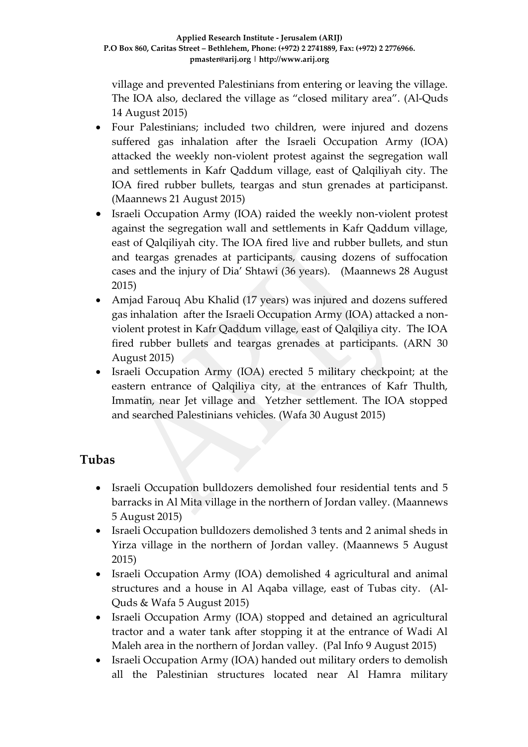village and prevented Palestinians from entering or leaving the village. The IOA also, declared the village as "closed military area". (Al-Quds 14 August 2015)

- Four Palestinians; included two children, were injured and dozens suffered gas inhalation after the Israeli Occupation Army (IOA) attacked the weekly non-violent protest against the segregation wall and settlements in Kafr Qaddum village, east of Qalqiliyah city. The IOA fired rubber bullets, teargas and stun grenades at participanst. (Maannews 21 August 2015)
- Israeli Occupation Army (IOA) raided the weekly non-violent protest against the segregation wall and settlements in Kafr Qaddum village, east of Qalqiliyah city. The IOA fired live and rubber bullets, and stun and teargas grenades at participants, causing dozens of suffocation cases and the injury of Dia' Shtawi (36 years). (Maannews 28 August 2015)
- Amjad Farouq Abu Khalid (17 years) was injured and dozens suffered gas inhalation after the Israeli Occupation Army (IOA) attacked a nonviolent protest in Kafr Qaddum village, east of Qalqiliya city. The IOA fired rubber bullets and teargas grenades at participants. (ARN 30 August 2015)
- Israeli Occupation Army (IOA) erected 5 military checkpoint; at the eastern entrance of Qalqiliya city, at the entrances of Kafr Thulth, Immatin, near Jet village and Yetzher settlement. The IOA stopped and searched Palestinians vehicles. (Wafa 30 August 2015)

## **Tubas**

- Israeli Occupation bulldozers demolished four residential tents and 5 barracks in Al Mita village in the northern of Jordan valley. (Maannews 5 August 2015)
- Israeli Occupation bulldozers demolished 3 tents and 2 animal sheds in Yirza village in the northern of Jordan valley. (Maannews 5 August 2015)
- Israeli Occupation Army (IOA) demolished 4 agricultural and animal structures and a house in Al Aqaba village, east of Tubas city. (Al-Quds & Wafa 5 August 2015)
- Israeli Occupation Army (IOA) stopped and detained an agricultural tractor and a water tank after stopping it at the entrance of Wadi Al Maleh area in the northern of Jordan valley. (Pal Info 9 August 2015)
- Israeli Occupation Army (IOA) handed out military orders to demolish all the Palestinian structures located near Al Hamra military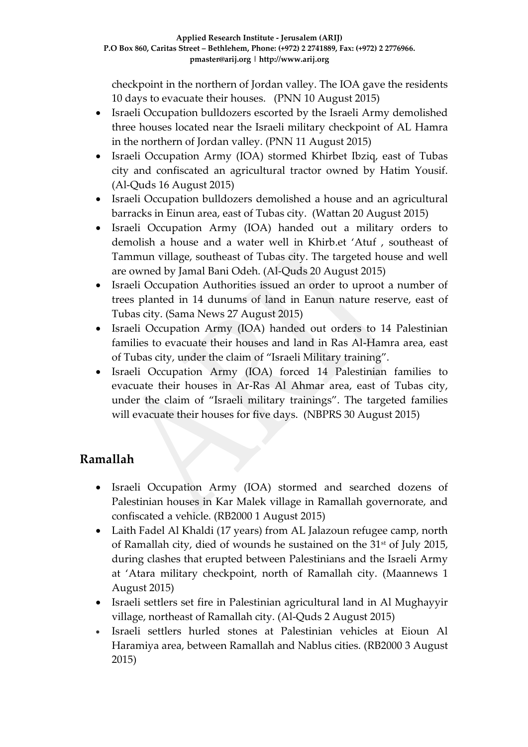checkpoint in the northern of Jordan valley. The IOA gave the residents 10 days to evacuate their houses. (PNN 10 August 2015)

- Israeli Occupation bulldozers escorted by the Israeli Army demolished three houses located near the Israeli military checkpoint of AL Hamra in the northern of Jordan valley. (PNN 11 August 2015)
- Israeli Occupation Army (IOA) stormed Khirbet Ibziq, east of Tubas city and confiscated an agricultural tractor owned by Hatim Yousif. (Al-Quds 16 August 2015)
- Israeli Occupation bulldozers demolished a house and an agricultural barracks in Einun area, east of Tubas city. (Wattan 20 August 2015)
- Israeli Occupation Army (IOA) handed out a military orders to demolish a house and a water well in Khirb.et 'Atuf , southeast of Tammun village, southeast of Tubas city. The targeted house and well are owned by Jamal Bani Odeh. (Al-Quds 20 August 2015)
- Israeli Occupation Authorities issued an order to uproot a number of trees planted in 14 dunums of land in Eanun nature reserve, east of Tubas city. (Sama News 27 August 2015)
- Israeli Occupation Army (IOA) handed out orders to 14 Palestinian families to evacuate their houses and land in Ras Al-Hamra area, east of Tubas city, under the claim of "Israeli Military training".
- Israeli Occupation Army (IOA) forced 14 Palestinian families to evacuate their houses in Ar-Ras Al Ahmar area, east of Tubas city, under the claim of "Israeli military trainings". The targeted families will evacuate their houses for five days. (NBPRS 30 August 2015)

## **Ramallah**

- Israeli Occupation Army (IOA) stormed and searched dozens of Palestinian houses in Kar Malek village in Ramallah governorate, and confiscated a vehicle. (RB2000 1 August 2015)
- Laith Fadel Al Khaldi (17 years) from AL Jalazoun refugee camp, north of Ramallah city, died of wounds he sustained on the 31<sup>st</sup> of July 2015, during clashes that erupted between Palestinians and the Israeli Army at 'Atara military checkpoint, north of Ramallah city. (Maannews 1 August 2015)
- Israeli settlers set fire in Palestinian agricultural land in Al Mughayyir village, northeast of Ramallah city. (Al-Quds 2 August 2015)
- Israeli settlers hurled stones at Palestinian vehicles at Eioun Al Haramiya area, between Ramallah and Nablus cities. (RB2000 3 August 2015)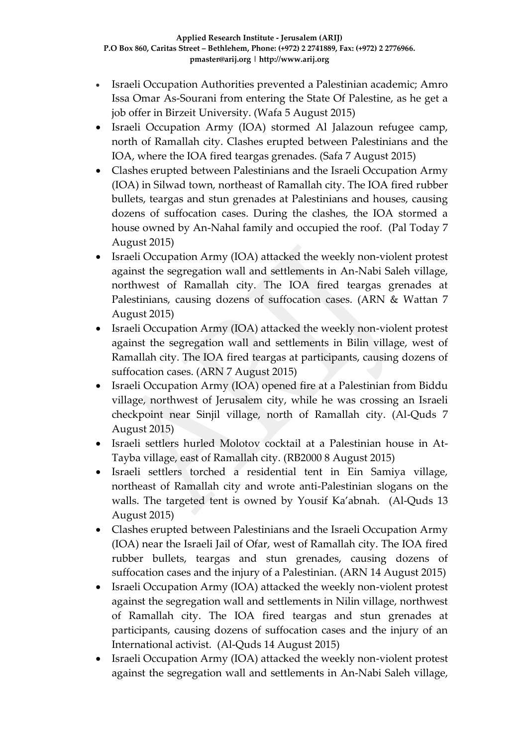- Israeli Occupation Authorities prevented a Palestinian academic; Amro Issa Omar As-Sourani from entering the State Of Palestine, as he get a job offer in Birzeit University. (Wafa 5 August 2015)
- Israeli Occupation Army (IOA) stormed Al Jalazoun refugee camp, north of Ramallah city. Clashes erupted between Palestinians and the IOA, where the IOA fired teargas grenades. (Safa 7 August 2015)
- Clashes erupted between Palestinians and the Israeli Occupation Army (IOA) in Silwad town, northeast of Ramallah city. The IOA fired rubber bullets, teargas and stun grenades at Palestinians and houses, causing dozens of suffocation cases. During the clashes, the IOA stormed a house owned by An-Nahal family and occupied the roof. (Pal Today 7 August 2015)
- Israeli Occupation Army (IOA) attacked the weekly non-violent protest against the segregation wall and settlements in An-Nabi Saleh village, northwest of Ramallah city. The IOA fired teargas grenades at Palestinians, causing dozens of suffocation cases. (ARN & Wattan 7 August 2015)
- Israeli Occupation Army (IOA) attacked the weekly non-violent protest against the segregation wall and settlements in Bilin village, west of Ramallah city. The IOA fired teargas at participants, causing dozens of suffocation cases. (ARN 7 August 2015)
- Israeli Occupation Army (IOA) opened fire at a Palestinian from Biddu village, northwest of Jerusalem city, while he was crossing an Israeli checkpoint near Sinjil village, north of Ramallah city. (Al-Quds 7 August 2015)
- Israeli settlers hurled Molotov cocktail at a Palestinian house in At-Tayba village, east of Ramallah city. (RB2000 8 August 2015)
- Israeli settlers torched a residential tent in Ein Samiya village, northeast of Ramallah city and wrote anti-Palestinian slogans on the walls. The targeted tent is owned by Yousif Ka'abnah. (Al-Quds 13 August 2015)
- Clashes erupted between Palestinians and the Israeli Occupation Army (IOA) near the Israeli Jail of Ofar, west of Ramallah city. The IOA fired rubber bullets, teargas and stun grenades, causing dozens of suffocation cases and the injury of a Palestinian. (ARN 14 August 2015)
- Israeli Occupation Army (IOA) attacked the weekly non-violent protest against the segregation wall and settlements in Nilin village, northwest of Ramallah city. The IOA fired teargas and stun grenades at participants, causing dozens of suffocation cases and the injury of an International activist. (Al-Quds 14 August 2015)
- Israeli Occupation Army (IOA) attacked the weekly non-violent protest against the segregation wall and settlements in An-Nabi Saleh village,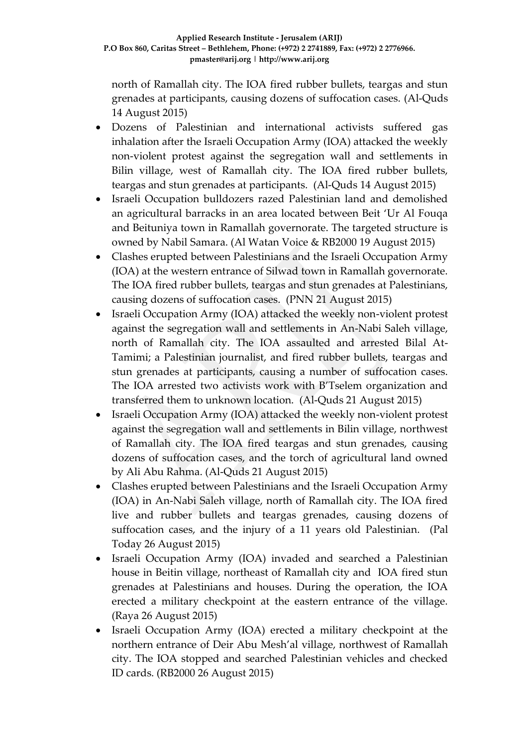north of Ramallah city. The IOA fired rubber bullets, teargas and stun grenades at participants, causing dozens of suffocation cases. (Al-Quds 14 August 2015)

- Dozens of Palestinian and international activists suffered gas inhalation after the Israeli Occupation Army (IOA) attacked the weekly non-violent protest against the segregation wall and settlements in Bilin village, west of Ramallah city. The IOA fired rubber bullets, teargas and stun grenades at participants. (Al-Quds 14 August 2015)
- Israeli Occupation bulldozers razed Palestinian land and demolished an agricultural barracks in an area located between Beit 'Ur Al Fouqa and Beituniya town in Ramallah governorate. The targeted structure is owned by Nabil Samara. (Al Watan Voice & RB2000 19 August 2015)
- Clashes erupted between Palestinians and the Israeli Occupation Army (IOA) at the western entrance of Silwad town in Ramallah governorate. The IOA fired rubber bullets, teargas and stun grenades at Palestinians, causing dozens of suffocation cases. (PNN 21 August 2015)
- Israeli Occupation Army (IOA) attacked the weekly non-violent protest against the segregation wall and settlements in An-Nabi Saleh village, north of Ramallah city. The IOA assaulted and arrested Bilal At-Tamimi; a Palestinian journalist, and fired rubber bullets, teargas and stun grenades at participants, causing a number of suffocation cases. The IOA arrested two activists work with B'Tselem organization and transferred them to unknown location. (Al-Quds 21 August 2015)
- Israeli Occupation Army (IOA) attacked the weekly non-violent protest against the segregation wall and settlements in Bilin village, northwest of Ramallah city. The IOA fired teargas and stun grenades, causing dozens of suffocation cases, and the torch of agricultural land owned by Ali Abu Rahma. (Al-Quds 21 August 2015)
- Clashes erupted between Palestinians and the Israeli Occupation Army (IOA) in An-Nabi Saleh village, north of Ramallah city. The IOA fired live and rubber bullets and teargas grenades, causing dozens of suffocation cases, and the injury of a 11 years old Palestinian. (Pal Today 26 August 2015)
- Israeli Occupation Army (IOA) invaded and searched a Palestinian house in Beitin village, northeast of Ramallah city and IOA fired stun grenades at Palestinians and houses. During the operation, the IOA erected a military checkpoint at the eastern entrance of the village. (Raya 26 August 2015)
- Israeli Occupation Army (IOA) erected a military checkpoint at the northern entrance of Deir Abu Mesh'al village, northwest of Ramallah city. The IOA stopped and searched Palestinian vehicles and checked ID cards. (RB2000 26 August 2015)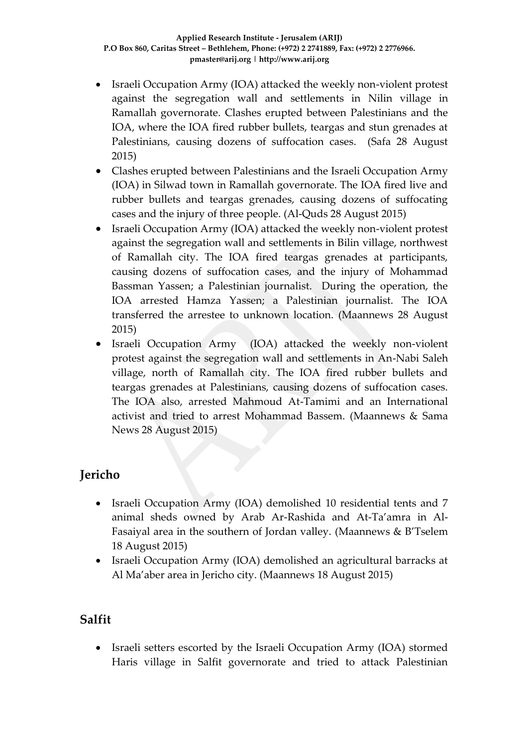- Israeli Occupation Army (IOA) attacked the weekly non-violent protest against the segregation wall and settlements in Nilin village in Ramallah governorate. Clashes erupted between Palestinians and the IOA, where the IOA fired rubber bullets, teargas and stun grenades at Palestinians, causing dozens of suffocation cases. (Safa 28 August 2015)
- Clashes erupted between Palestinians and the Israeli Occupation Army (IOA) in Silwad town in Ramallah governorate. The IOA fired live and rubber bullets and teargas grenades, causing dozens of suffocating cases and the injury of three people. (Al-Quds 28 August 2015)
- Israeli Occupation Army (IOA) attacked the weekly non-violent protest against the segregation wall and settlements in Bilin village, northwest of Ramallah city. The IOA fired teargas grenades at participants, causing dozens of suffocation cases, and the injury of Mohammad Bassman Yassen; a Palestinian journalist. During the operation, the IOA arrested Hamza Yassen; a Palestinian journalist. The IOA transferred the arrestee to unknown location. (Maannews 28 August 2015)
- Israeli Occupation Army (IOA) attacked the weekly non-violent protest against the segregation wall and settlements in An-Nabi Saleh village, north of Ramallah city. The IOA fired rubber bullets and teargas grenades at Palestinians, causing dozens of suffocation cases. The IOA also, arrested Mahmoud At-Tamimi and an International activist and tried to arrest Mohammad Bassem. (Maannews & Sama News 28 August 2015)

# **Jericho**

- Israeli Occupation Army (IOA) demolished 10 residential tents and 7 animal sheds owned by Arab Ar-Rashida and At-Ta'amra in Al-Fasaiyal area in the southern of Jordan valley. (Maannews & B'Tselem 18 August 2015)
- Israeli Occupation Army (IOA) demolished an agricultural barracks at Al Ma'aber area in Jericho city. (Maannews 18 August 2015)

## **Salfit**

• Israeli setters escorted by the Israeli Occupation Army (IOA) stormed Haris village in Salfit governorate and tried to attack Palestinian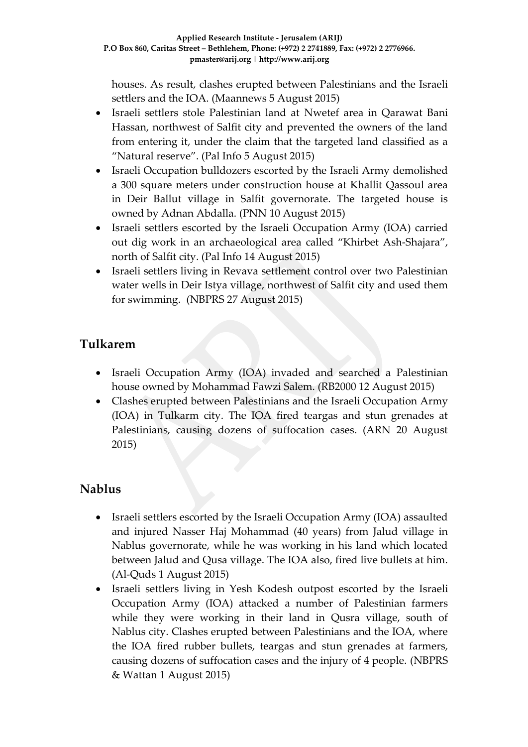houses. As result, clashes erupted between Palestinians and the Israeli settlers and the IOA. (Maannews 5 August 2015)

- Israeli settlers stole Palestinian land at Nwetef area in Qarawat Bani Hassan, northwest of Salfit city and prevented the owners of the land from entering it, under the claim that the targeted land classified as a "Natural reserve". (Pal Info 5 August 2015)
- Israeli Occupation bulldozers escorted by the Israeli Army demolished a 300 square meters under construction house at Khallit Qassoul area in Deir Ballut village in Salfit governorate. The targeted house is owned by Adnan Abdalla. (PNN 10 August 2015)
- Israeli settlers escorted by the Israeli Occupation Army (IOA) carried out dig work in an archaeological area called "Khirbet Ash-Shajara", north of Salfit city. (Pal Info 14 August 2015)
- Israeli settlers living in Revava settlement control over two Palestinian water wells in Deir Istya village, northwest of Salfit city and used them for swimming. (NBPRS 27 August 2015)

# **Tulkarem**

- Israeli Occupation Army (IOA) invaded and searched a Palestinian house owned by Mohammad Fawzi Salem. (RB2000 12 August 2015)
- Clashes erupted between Palestinians and the Israeli Occupation Army (IOA) in Tulkarm city. The IOA fired teargas and stun grenades at Palestinians, causing dozens of suffocation cases. (ARN 20 August 2015)

## **Nablus**

- Israeli settlers escorted by the Israeli Occupation Army (IOA) assaulted and injured Nasser Haj Mohammad (40 years) from Jalud village in Nablus governorate, while he was working in his land which located between Jalud and Qusa village. The IOA also, fired live bullets at him. (Al-Quds 1 August 2015)
- Israeli settlers living in Yesh Kodesh outpost escorted by the Israeli Occupation Army (IOA) attacked a number of Palestinian farmers while they were working in their land in Qusra village, south of Nablus city. Clashes erupted between Palestinians and the IOA, where the IOA fired rubber bullets, teargas and stun grenades at farmers, causing dozens of suffocation cases and the injury of 4 people. (NBPRS & Wattan 1 August 2015)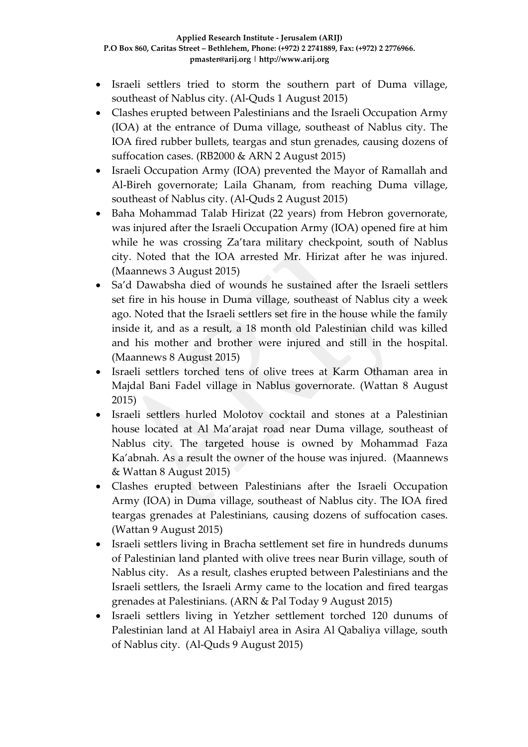- Israeli settlers tried to storm the southern part of Duma village, southeast of Nablus city. (Al-Quds 1 August 2015)
- Clashes erupted between Palestinians and the Israeli Occupation Army (IOA) at the entrance of Duma village, southeast of Nablus city. The IOA fired rubber bullets, teargas and stun grenades, causing dozens of suffocation cases. (RB2000 & ARN 2 August 2015)
- Israeli Occupation Army (IOA) prevented the Mayor of Ramallah and Al-Bireh governorate; Laila Ghanam, from reaching Duma village, southeast of Nablus city. (Al-Quds 2 August 2015)
- Baha Mohammad Talab Hirizat (22 years) from Hebron governorate, was injured after the Israeli Occupation Army (IOA) opened fire at him while he was crossing Za'tara military checkpoint, south of Nablus city. Noted that the IOA arrested Mr. Hirizat after he was injured. (Maannews 3 August 2015)
- Sa'd Dawabsha died of wounds he sustained after the Israeli settlers set fire in his house in Duma village, southeast of Nablus city a week ago. Noted that the Israeli settlers set fire in the house while the family inside it, and as a result, a 18 month old Palestinian child was killed and his mother and brother were injured and still in the hospital. (Maannews 8 August 2015)
- Israeli settlers torched tens of olive trees at Karm Othaman area in Majdal Bani Fadel village in Nablus governorate. (Wattan 8 August 2015)
- Israeli settlers hurled Molotov cocktail and stones at a Palestinian house located at Al Ma'arajat road near Duma village, southeast of Nablus city. The targeted house is owned by Mohammad Faza Ka'abnah. As a result the owner of the house was injured. (Maannews & Wattan 8 August 2015)
- Clashes erupted between Palestinians after the Israeli Occupation Army (IOA) in Duma village, southeast of Nablus city. The IOA fired teargas grenades at Palestinians, causing dozens of suffocation cases. (Wattan 9 August 2015)
- Israeli settlers living in Bracha settlement set fire in hundreds dunums of Palestinian land planted with olive trees near Burin village, south of Nablus city. As a result, clashes erupted between Palestinians and the Israeli settlers, the Israeli Army came to the location and fired teargas grenades at Palestinians. (ARN & Pal Today 9 August 2015)
- Israeli settlers living in Yetzher settlement torched 120 dunums of Palestinian land at Al Habaiyl area in Asira Al Qabaliya village, south of Nablus city. (Al-Quds 9 August 2015)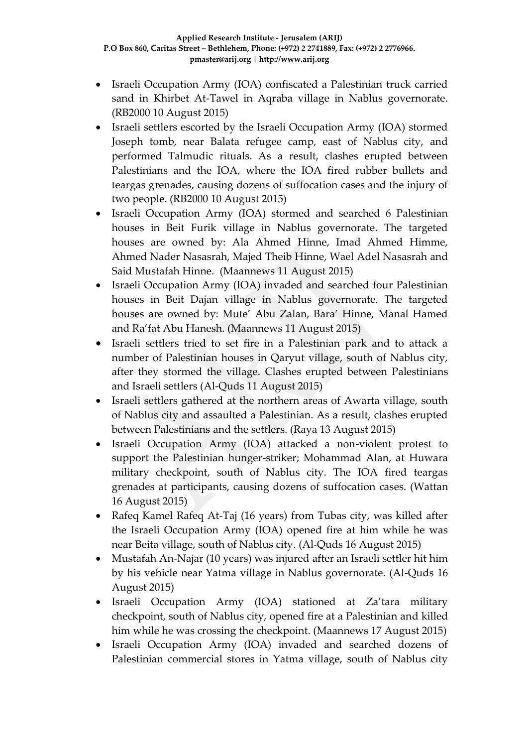- Israeli Occupation Army (IOA) confiscated a Palestinian truck carried sand in Khirbet At-Tawel in Aqraba village in Nablus governorate. (RB2000 10 August 2015)
- Israeli settlers escorted by the Israeli Occupation Army (IOA) stormed Joseph tomb, near Balata refugee camp, east of Nablus city, and performed Talmudic rituals. As a result, clashes erupted between Palestinians and the IOA, where the IOA fired rubber bullets and teargas grenades, causing dozens of suffocation cases and the injury of two people. (RB2000 10 August 2015)
- Israeli Occupation Army (IOA) stormed and searched 6 Palestinian houses in Beit Furik village in Nablus governorate. The targeted houses are owned by: Ala Ahmed Hinne, Imad Ahmed Himme, Ahmed Nader Nasasrah, Majed Theib Hinne, Wael Adel Nasasrah and Said Mustafah Hinne. (Maannews 11 August 2015)
- Israeli Occupation Army (IOA) invaded and searched four Palestinian houses in Beit Dajan village in Nablus governorate. The targeted houses are owned by: Mute' Abu Zalan, Bara' Hinne, Manal Hamed and Ra'fat Abu Hanesh. (Maannews 11 August 2015)
- Israeli settlers tried to set fire in a Palestinian park and to attack a number of Palestinian houses in Qaryut village, south of Nablus city, after they stormed the village. Clashes erupted between Palestinians and Israeli settlers (Al-Quds 11 August 2015)
- Israeli settlers gathered at the northern areas of Awarta village, south of Nablus city and assaulted a Palestinian. As a result, clashes erupted between Palestinians and the settlers. (Raya 13 August 2015)
- Israeli Occupation Army (IOA) attacked a non-violent protest to support the Palestinian hunger-striker; Mohammad Alan, at Huwara military checkpoint, south of Nablus city. The IOA fired teargas grenades at participants, causing dozens of suffocation cases. (Wattan 16 August 2015)
- Rafeq Kamel Rafeq At-Taj (16 years) from Tubas city, was killed after the Israeli Occupation Army (IOA) opened fire at him while he was near Beita village, south of Nablus city. (Al-Quds 16 August 2015)
- Mustafah An-Najar (10 years) was injured after an Israeli settler hit him by his vehicle near Yatma village in Nablus governorate. (Al-Quds 16 August 2015)
- Israeli Occupation Army (IOA) stationed at Za'tara military checkpoint, south of Nablus city, opened fire at a Palestinian and killed him while he was crossing the checkpoint. (Maannews 17 August 2015)
- Israeli Occupation Army (IOA) invaded and searched dozens of Palestinian commercial stores in Yatma village, south of Nablus city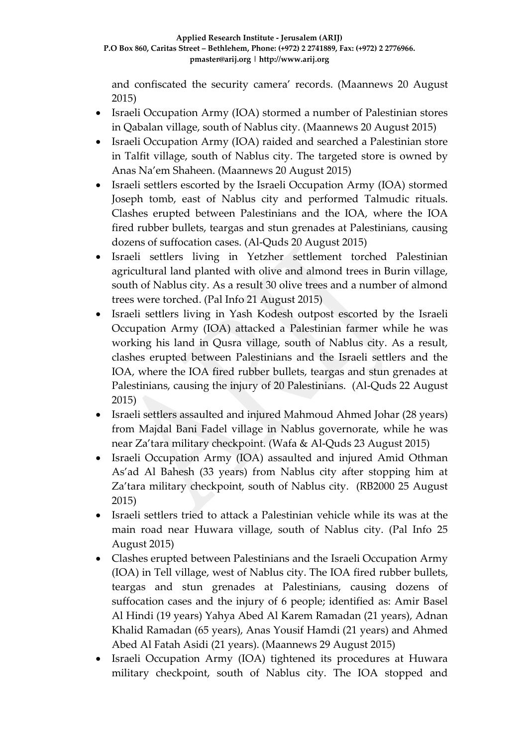and confiscated the security camera' records. (Maannews 20 August 2015)

- Israeli Occupation Army (IOA) stormed a number of Palestinian stores in Qabalan village, south of Nablus city. (Maannews 20 August 2015)
- Israeli Occupation Army (IOA) raided and searched a Palestinian store in Talfit village, south of Nablus city. The targeted store is owned by Anas Na'em Shaheen. (Maannews 20 August 2015)
- Israeli settlers escorted by the Israeli Occupation Army (IOA) stormed Joseph tomb, east of Nablus city and performed Talmudic rituals. Clashes erupted between Palestinians and the IOA, where the IOA fired rubber bullets, teargas and stun grenades at Palestinians, causing dozens of suffocation cases. (Al-Quds 20 August 2015)
- Israeli settlers living in Yetzher settlement torched Palestinian agricultural land planted with olive and almond trees in Burin village, south of Nablus city. As a result 30 olive trees and a number of almond trees were torched. (Pal Info 21 August 2015)
- Israeli settlers living in Yash Kodesh outpost escorted by the Israeli Occupation Army (IOA) attacked a Palestinian farmer while he was working his land in Qusra village, south of Nablus city. As a result, clashes erupted between Palestinians and the Israeli settlers and the IOA, where the IOA fired rubber bullets, teargas and stun grenades at Palestinians, causing the injury of 20 Palestinians. (Al-Quds 22 August 2015)
- Israeli settlers assaulted and injured Mahmoud Ahmed Johar (28 years) from Majdal Bani Fadel village in Nablus governorate, while he was near Za'tara military checkpoint. (Wafa & Al-Quds 23 August 2015)
- Israeli Occupation Army (IOA) assaulted and injured Amid Othman As'ad Al Bahesh (33 years) from Nablus city after stopping him at Za'tara military checkpoint, south of Nablus city. (RB2000 25 August 2015)
- Israeli settlers tried to attack a Palestinian vehicle while its was at the main road near Huwara village, south of Nablus city. (Pal Info 25 August 2015)
- Clashes erupted between Palestinians and the Israeli Occupation Army (IOA) in Tell village, west of Nablus city. The IOA fired rubber bullets, teargas and stun grenades at Palestinians, causing dozens of suffocation cases and the injury of 6 people; identified as: Amir Basel Al Hindi (19 years) Yahya Abed Al Karem Ramadan (21 years), Adnan Khalid Ramadan (65 years), Anas Yousif Hamdi (21 years) and Ahmed Abed Al Fatah Asidi (21 years). (Maannews 29 August 2015)
- Israeli Occupation Army (IOA) tightened its procedures at Huwara military checkpoint, south of Nablus city. The IOA stopped and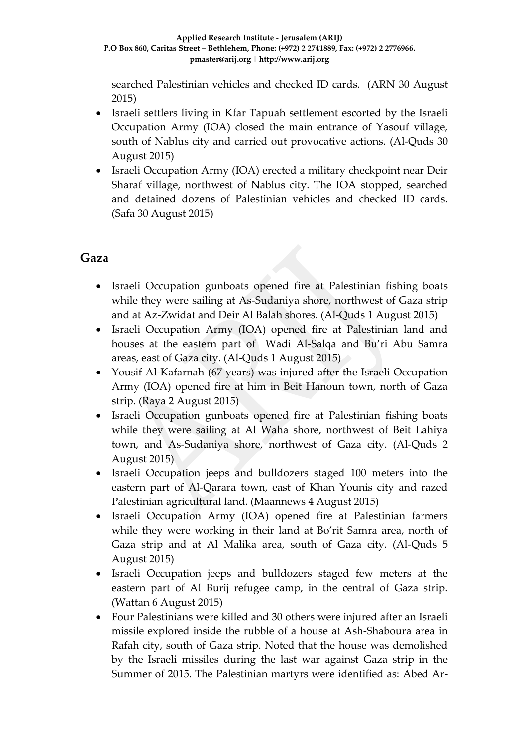searched Palestinian vehicles and checked ID cards. (ARN 30 August 2015)

- Israeli settlers living in Kfar Tapuah settlement escorted by the Israeli Occupation Army (IOA) closed the main entrance of Yasouf village, south of Nablus city and carried out provocative actions. (Al-Quds 30 August 2015)
- Israeli Occupation Army (IOA) erected a military checkpoint near Deir Sharaf village, northwest of Nablus city. The IOA stopped, searched and detained dozens of Palestinian vehicles and checked ID cards. (Safa 30 August 2015)

## **Gaza**

- Israeli Occupation gunboats opened fire at Palestinian fishing boats while they were sailing at As-Sudaniya shore, northwest of Gaza strip and at Az-Zwidat and Deir Al Balah shores. (Al-Quds 1 August 2015)
- Israeli Occupation Army (IOA) opened fire at Palestinian land and houses at the eastern part of Wadi Al-Salqa and Bu'ri Abu Samra areas, east of Gaza city. (Al-Quds 1 August 2015)
- Yousif Al-Kafarnah (67 years) was injured after the Israeli Occupation Army (IOA) opened fire at him in Beit Hanoun town, north of Gaza strip. (Raya 2 August 2015)
- Israeli Occupation gunboats opened fire at Palestinian fishing boats while they were sailing at Al Waha shore, northwest of Beit Lahiya town, and As-Sudaniya shore, northwest of Gaza city. (Al-Quds 2 August 2015)
- Israeli Occupation jeeps and bulldozers staged 100 meters into the eastern part of Al-Qarara town, east of Khan Younis city and razed Palestinian agricultural land. (Maannews 4 August 2015)
- Israeli Occupation Army (IOA) opened fire at Palestinian farmers while they were working in their land at Bo'rit Samra area, north of Gaza strip and at Al Malika area, south of Gaza city. (Al-Quds 5 August 2015)
- Israeli Occupation jeeps and bulldozers staged few meters at the eastern part of Al Burij refugee camp, in the central of Gaza strip. (Wattan 6 August 2015)
- Four Palestinians were killed and 30 others were injured after an Israeli missile explored inside the rubble of a house at Ash-Shaboura area in Rafah city, south of Gaza strip. Noted that the house was demolished by the Israeli missiles during the last war against Gaza strip in the Summer of 2015. The Palestinian martyrs were identified as: Abed Ar-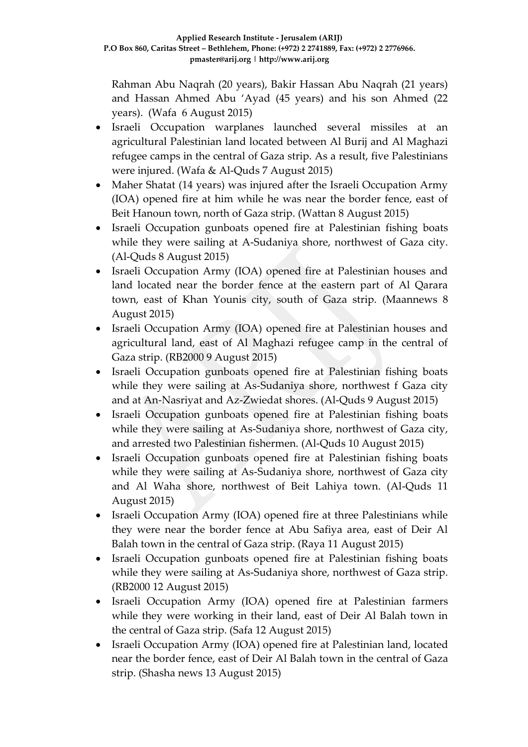Rahman Abu Naqrah (20 years), Bakir Hassan Abu Naqrah (21 years) and Hassan Ahmed Abu 'Ayad (45 years) and his son Ahmed (22 years). (Wafa 6 August 2015)

- Israeli Occupation warplanes launched several missiles at an agricultural Palestinian land located between Al Burij and Al Maghazi refugee camps in the central of Gaza strip. As a result, five Palestinians were injured. (Wafa & Al-Quds 7 August 2015)
- Maher Shatat (14 years) was injured after the Israeli Occupation Army (IOA) opened fire at him while he was near the border fence, east of Beit Hanoun town, north of Gaza strip. (Wattan 8 August 2015)
- Israeli Occupation gunboats opened fire at Palestinian fishing boats while they were sailing at A-Sudaniya shore, northwest of Gaza city. (Al-Quds 8 August 2015)
- Israeli Occupation Army (IOA) opened fire at Palestinian houses and land located near the border fence at the eastern part of Al Qarara town, east of Khan Younis city, south of Gaza strip. (Maannews 8 August 2015)
- Israeli Occupation Army (IOA) opened fire at Palestinian houses and agricultural land, east of Al Maghazi refugee camp in the central of Gaza strip. (RB2000 9 August 2015)
- Israeli Occupation gunboats opened fire at Palestinian fishing boats while they were sailing at As-Sudaniya shore, northwest f Gaza city and at An-Nasriyat and Az-Zwiedat shores. (Al-Quds 9 August 2015)
- Israeli Occupation gunboats opened fire at Palestinian fishing boats while they were sailing at As-Sudaniya shore, northwest of Gaza city, and arrested two Palestinian fishermen. (Al-Quds 10 August 2015)
- Israeli Occupation gunboats opened fire at Palestinian fishing boats while they were sailing at As-Sudaniya shore, northwest of Gaza city and Al Waha shore, northwest of Beit Lahiya town. (Al-Quds 11 August 2015)
- Israeli Occupation Army (IOA) opened fire at three Palestinians while they were near the border fence at Abu Safiya area, east of Deir Al Balah town in the central of Gaza strip. (Raya 11 August 2015)
- Israeli Occupation gunboats opened fire at Palestinian fishing boats while they were sailing at As-Sudaniya shore, northwest of Gaza strip. (RB2000 12 August 2015)
- Israeli Occupation Army (IOA) opened fire at Palestinian farmers while they were working in their land, east of Deir Al Balah town in the central of Gaza strip. (Safa 12 August 2015)
- Israeli Occupation Army (IOA) opened fire at Palestinian land, located near the border fence, east of Deir Al Balah town in the central of Gaza strip. (Shasha news 13 August 2015)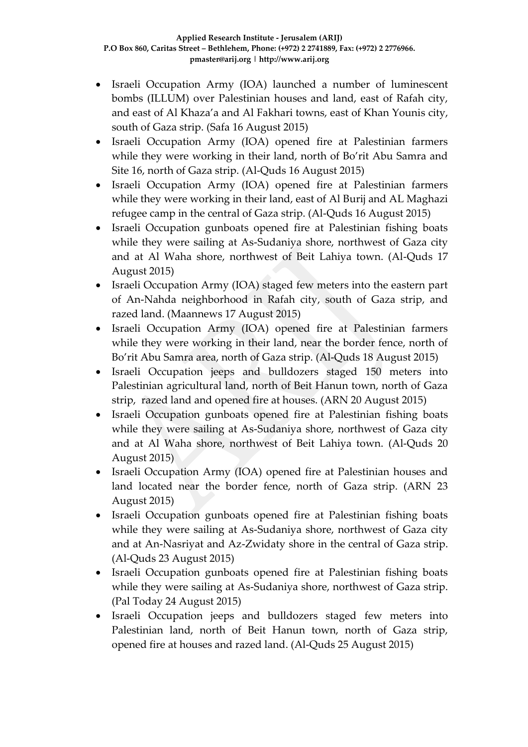- Israeli Occupation Army (IOA) launched a number of luminescent bombs (ILLUM) over Palestinian houses and land, east of Rafah city, and east of Al Khaza'a and Al Fakhari towns, east of Khan Younis city, south of Gaza strip. (Safa 16 August 2015)
- Israeli Occupation Army (IOA) opened fire at Palestinian farmers while they were working in their land, north of Bo'rit Abu Samra and Site 16, north of Gaza strip. (Al-Quds 16 August 2015)
- Israeli Occupation Army (IOA) opened fire at Palestinian farmers while they were working in their land, east of Al Burij and AL Maghazi refugee camp in the central of Gaza strip. (Al-Quds 16 August 2015)
- Israeli Occupation gunboats opened fire at Palestinian fishing boats while they were sailing at As-Sudaniya shore, northwest of Gaza city and at Al Waha shore, northwest of Beit Lahiya town. (Al-Quds 17 August 2015)
- Israeli Occupation Army (IOA) staged few meters into the eastern part of An-Nahda neighborhood in Rafah city, south of Gaza strip, and razed land. (Maannews 17 August 2015)
- Israeli Occupation Army (IOA) opened fire at Palestinian farmers while they were working in their land, near the border fence, north of Bo'rit Abu Samra area, north of Gaza strip. (Al-Quds 18 August 2015)
- Israeli Occupation jeeps and bulldozers staged 150 meters into Palestinian agricultural land, north of Beit Hanun town, north of Gaza strip, razed land and opened fire at houses. (ARN 20 August 2015)
- Israeli Occupation gunboats opened fire at Palestinian fishing boats while they were sailing at As-Sudaniya shore, northwest of Gaza city and at Al Waha shore, northwest of Beit Lahiya town. (Al-Quds 20 August 2015)
- Israeli Occupation Army (IOA) opened fire at Palestinian houses and land located near the border fence, north of Gaza strip. (ARN 23 August 2015)
- Israeli Occupation gunboats opened fire at Palestinian fishing boats while they were sailing at As-Sudaniya shore, northwest of Gaza city and at An-Nasriyat and Az-Zwidaty shore in the central of Gaza strip. (Al-Quds 23 August 2015)
- Israeli Occupation gunboats opened fire at Palestinian fishing boats while they were sailing at As-Sudaniya shore, northwest of Gaza strip. (Pal Today 24 August 2015)
- Israeli Occupation jeeps and bulldozers staged few meters into Palestinian land, north of Beit Hanun town, north of Gaza strip, opened fire at houses and razed land. (Al-Quds 25 August 2015)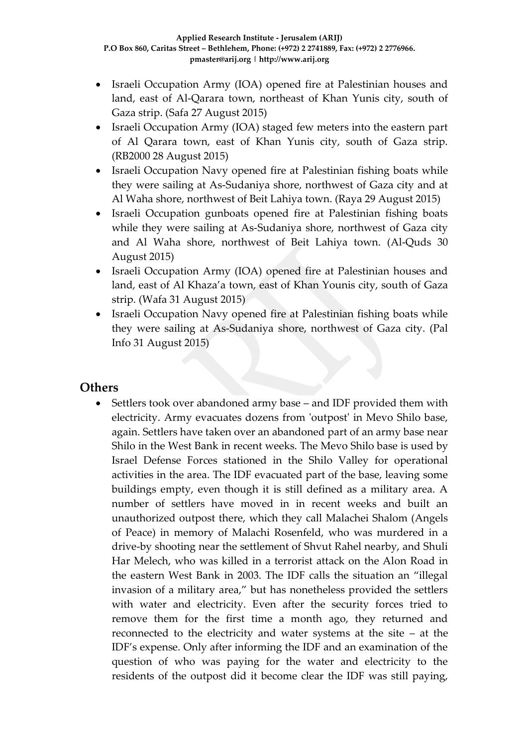- Israeli Occupation Army (IOA) opened fire at Palestinian houses and land, east of Al-Qarara town, northeast of Khan Yunis city, south of Gaza strip. (Safa 27 August 2015)
- Israeli Occupation Army (IOA) staged few meters into the eastern part of Al Qarara town, east of Khan Yunis city, south of Gaza strip. (RB2000 28 August 2015)
- Israeli Occupation Navy opened fire at Palestinian fishing boats while they were sailing at As-Sudaniya shore, northwest of Gaza city and at Al Waha shore, northwest of Beit Lahiya town. (Raya 29 August 2015)
- Israeli Occupation gunboats opened fire at Palestinian fishing boats while they were sailing at As-Sudaniya shore, northwest of Gaza city and Al Waha shore, northwest of Beit Lahiya town. (Al-Quds 30 August 2015)
- Israeli Occupation Army (IOA) opened fire at Palestinian houses and land, east of Al Khaza'a town, east of Khan Younis city, south of Gaza strip. (Wafa 31 August 2015)
- Israeli Occupation Navy opened fire at Palestinian fishing boats while they were sailing at As-Sudaniya shore, northwest of Gaza city. (Pal Info 31 August 2015)

#### **Others**

• Settlers took over abandoned army base – and IDF provided them with electricity. Army evacuates dozens from 'outpost' in Mevo Shilo base, again. Settlers have taken over an abandoned part of an army base near Shilo in the West Bank in recent weeks. The Mevo Shilo base is used by Israel Defense Forces stationed in the Shilo Valley for operational activities in the area. The IDF evacuated part of the base, leaving some buildings empty, even though it is still defined as a military area. A number of settlers have moved in in recent weeks and built an unauthorized outpost there, which they call Malachei Shalom (Angels of Peace) in memory of Malachi Rosenfeld, who was murdered in a drive-by shooting near the settlement of Shvut Rahel nearby, and Shuli Har Melech, who was killed in a terrorist attack on the Alon Road in the eastern West Bank in 2003. The IDF calls the situation an "illegal invasion of a military area," but has nonetheless provided the settlers with water and electricity. Even after the security forces tried to remove them for the first time a month ago, they returned and reconnected to the electricity and water systems at the site – at the IDF's expense. Only after informing the IDF and an examination of the question of who was paying for the water and electricity to the residents of the outpost did it become clear the IDF was still paying,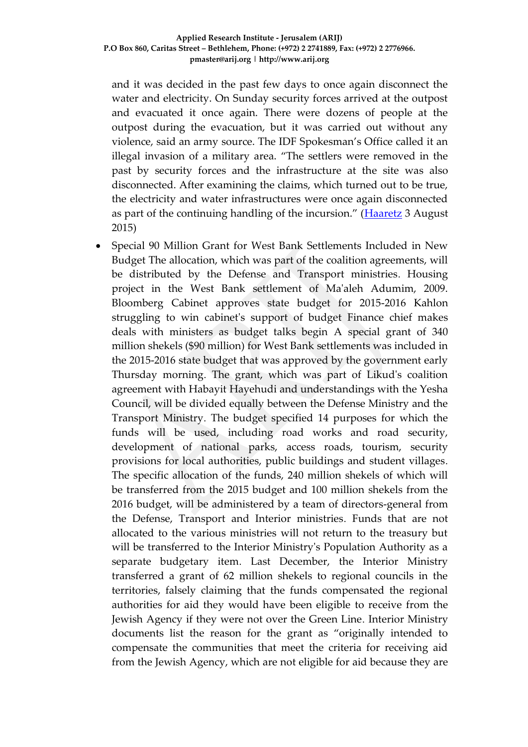and it was decided in the past few days to once again disconnect the water and electricity. On Sunday security forces arrived at the outpost and evacuated it once again. There were dozens of people at the outpost during the evacuation, but it was carried out without any violence, said an army source. The IDF Spokesman's Office called it an illegal invasion of a military area. "The settlers were removed in the past by security forces and the infrastructure at the site was also disconnected. After examining the claims, which turned out to be true, the electricity and water infrastructures were once again disconnected as part of the continuing handling of the incursion." ([Haaretz](http://www.haaretz.com/news/israel/.premium-1.669267) 3 August 2015)

 Special 90 Million Grant for West Bank Settlements Included in New Budget The allocation, which was part of the coalition agreements, will be distributed by the Defense and Transport ministries. Housing project in the West Bank settlement of Ma'aleh Adumim, 2009. Bloomberg Cabinet approves state budget for 2015-2016 Kahlon struggling to win cabinet's support of budget Finance chief makes deals with ministers as budget talks begin A special grant of 340 million shekels (\$90 million) for West Bank settlements was included in the 2015-2016 state budget that was approved by the government early Thursday morning. The grant, which was part of Likud's coalition agreement with Habayit Hayehudi and understandings with the Yesha Council, will be divided equally between the Defense Ministry and the Transport Ministry. The budget specified 14 purposes for which the funds will be used, including road works and road security, development of national parks, access roads, tourism, security provisions for local authorities, public buildings and student villages. The specific allocation of the funds, 240 million shekels of which will be transferred from the 2015 budget and 100 million shekels from the 2016 budget, will be administered by a team of directors-general from the Defense, Transport and Interior ministries. Funds that are not allocated to the various ministries will not return to the treasury but will be transferred to the Interior Ministry's Population Authority as a separate budgetary item. Last December, the Interior Ministry transferred a grant of 62 million shekels to regional councils in the territories, falsely claiming that the funds compensated the regional authorities for aid they would have been eligible to receive from the Jewish Agency if they were not over the Green Line. Interior Ministry documents list the reason for the grant as "originally intended to compensate the communities that meet the criteria for receiving aid from the Jewish Agency, which are not eligible for aid because they are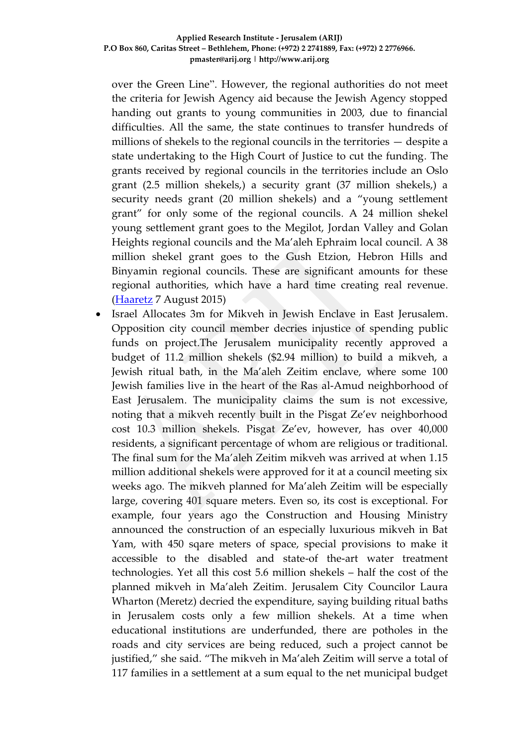over the Green Line". However, the regional authorities do not meet the criteria for Jewish Agency aid because the Jewish Agency stopped handing out grants to young communities in 2003, due to financial difficulties. All the same, the state continues to transfer hundreds of millions of shekels to the regional councils in the territories — despite a state undertaking to the High Court of Justice to cut the funding. The grants received by regional councils in the territories include an Oslo grant (2.5 million shekels,) a security grant (37 million shekels,) a security needs grant (20 million shekels) and a "young settlement grant" for only some of the regional councils. A 24 million shekel young settlement grant goes to the Megilot, Jordan Valley and Golan Heights regional councils and the Ma'aleh Ephraim local council. A 38 million shekel grant goes to the Gush Etzion, Hebron Hills and Binyamin regional councils. These are significant amounts for these regional authorities, which have a hard time creating real revenue. [\(Haaretz](http://www.haaretz.com/beta/.premium-1.669923) 7 August 2015)

 Israel Allocates 3m for Mikveh in Jewish Enclave in East Jerusalem. Opposition city council member decries injustice of spending public funds on project.The Jerusalem municipality recently approved a budget of 11.2 million shekels (\$2.94 million) to build a mikveh, a Jewish ritual bath, in the Ma'aleh Zeitim enclave, where some 100 Jewish families live in the heart of the Ras al-Amud neighborhood of East Jerusalem. The municipality claims the sum is not excessive, noting that a mikveh recently built in the Pisgat Ze'ev neighborhood cost 10.3 million shekels. Pisgat Ze'ev, however, has over 40,000 residents, a significant percentage of whom are religious or traditional. The final sum for the Ma'aleh Zeitim mikveh was arrived at when 1.15 million additional shekels were approved for it at a council meeting six weeks ago. The mikveh planned for Ma'aleh Zeitim will be especially large, covering 401 square meters. Even so, its cost is exceptional. For example, four years ago the Construction and Housing Ministry announced the construction of an especially luxurious mikveh in Bat Yam, with 450 sqare meters of space, special provisions to make it accessible to the disabled and state-of the-art water treatment technologies. Yet all this cost 5.6 million shekels – half the cost of the planned mikveh in Ma'aleh Zeitim. Jerusalem City Councilor Laura Wharton (Meretz) decried the expenditure, saying building ritual baths in Jerusalem costs only a few million shekels. At a time when educational institutions are underfunded, there are potholes in the roads and city services are being reduced, such a project cannot be justified," she said. "The mikveh in Ma'aleh Zeitim will serve a total of 117 families in a settlement at a sum equal to the net municipal budget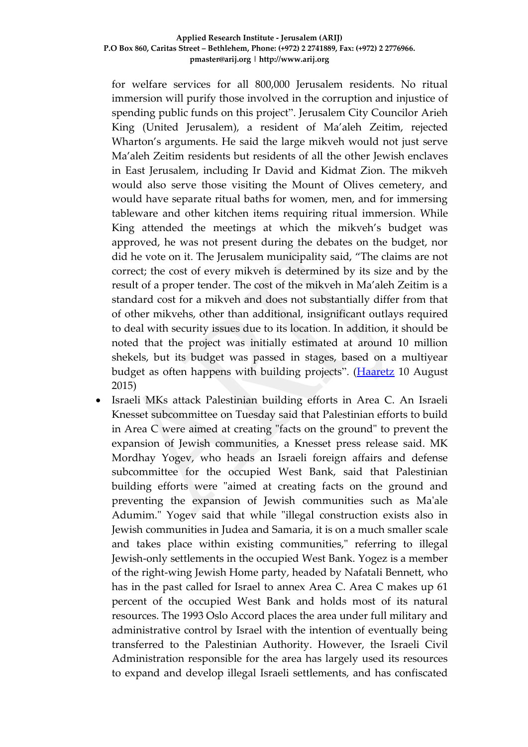for welfare services for all 800,000 Jerusalem residents. No ritual immersion will purify those involved in the corruption and injustice of spending public funds on this project". Jerusalem City Councilor Arieh King (United Jerusalem), a resident of Ma'aleh Zeitim, rejected Wharton's arguments. He said the large mikveh would not just serve Ma'aleh Zeitim residents but residents of all the other Jewish enclaves in East Jerusalem, including Ir David and Kidmat Zion. The mikveh would also serve those visiting the Mount of Olives cemetery, and would have separate ritual baths for women, men, and for immersing tableware and other kitchen items requiring ritual immersion. While King attended the meetings at which the mikveh's budget was approved, he was not present during the debates on the budget, nor did he vote on it. The Jerusalem municipality said, "The claims are not correct; the cost of every mikveh is determined by its size and by the result of a proper tender. The cost of the mikveh in Ma'aleh Zeitim is a standard cost for a mikveh and does not substantially differ from that of other mikvehs, other than additional, insignificant outlays required to deal with security issues due to its location. In addition, it should be noted that the project was initially estimated at around 10 million shekels, but its budget was passed in stages, based on a multiyear budget as often happens with building projects". [\(Haaretz](http://www.haaretz.com/news/israel/.premium-1.670407) 10 August 2015)

 Israeli MKs attack Palestinian building efforts in Area C. An Israeli Knesset subcommittee on Tuesday said that Palestinian efforts to build in Area C were aimed at creating "facts on the ground" to prevent the expansion of Jewish communities, a Knesset press release said. MK Mordhay Yogev, who heads an Israeli foreign affairs and defense subcommittee for the occupied West Bank, said that Palestinian building efforts were "aimed at creating facts on the ground and preventing the expansion of Jewish communities such as Ma'ale Adumim." Yogev said that while "illegal construction exists also in Jewish communities in Judea and Samaria, it is on a much smaller scale and takes place within existing communities," referring to illegal Jewish-only settlements in the occupied West Bank. Yogez is a member of the right-wing Jewish Home party, headed by Nafatali Bennett, who has in the past called for Israel to annex Area C. Area C makes up 61 percent of the occupied West Bank and holds most of its natural resources. The 1993 Oslo Accord places the area under full military and administrative control by Israel with the intention of eventually being transferred to the Palestinian Authority. However, the Israeli Civil Administration responsible for the area has largely used its resources to expand and develop illegal Israeli settlements, and has confiscated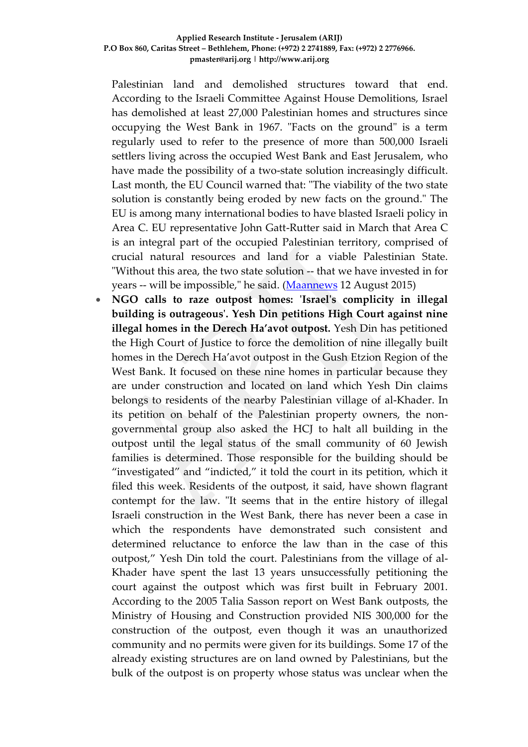Palestinian land and demolished structures toward that end. According to the Israeli Committee Against House Demolitions, Israel has demolished at least 27,000 Palestinian homes and structures since occupying the West Bank in 1967. "Facts on the ground" is a term regularly used to refer to the presence of more than 500,000 Israeli settlers living across the occupied West Bank and East Jerusalem, who have made the possibility of a two-state solution increasingly difficult. Last month, the EU Council warned that: "The viability of the two state solution is constantly being eroded by new facts on the ground." The EU is among many international bodies to have blasted Israeli policy in Area C. EU representative John Gatt-Rutter said in March that Area C is an integral part of the occupied Palestinian territory, comprised of crucial natural resources and land for a viable Palestinian State. "Without this area, the two state solution -- that we have invested in for years -- will be impossible," he said. [\(Maannews](http://www.maannews.com/Content.aspx?id=766996) 12 August 2015)

 **NGO calls to raze outpost homes: 'Israel's complicity in illegal building is outrageous'. Yesh Din petitions High Court against nine illegal homes in the Derech Ha'avot outpost.** Yesh Din has petitioned the High Court of Justice to force the demolition of nine illegally built homes in the Derech Ha'avot outpost in the Gush Etzion Region of the West Bank. It focused on these nine homes in particular because they are under construction and located on land which Yesh Din claims belongs to residents of the nearby Palestinian village of al-Khader. In its petition on behalf of the Palestinian property owners, the nongovernmental group also asked the HCJ to halt all building in the outpost until the legal status of the small community of 60 Jewish families is determined. Those responsible for the building should be "investigated" and "indicted," it told the court in its petition, which it filed this week. Residents of the outpost, it said, have shown flagrant contempt for the law. "It seems that in the entire history of illegal Israeli construction in the West Bank, there has never been a case in which the respondents have demonstrated such consistent and determined reluctance to enforce the law than in the case of this outpost," Yesh Din told the court. Palestinians from the village of al-Khader have spent the last 13 years unsuccessfully petitioning the court against the outpost which was first built in February 2001. According to the 2005 Talia Sasson report on West Bank outposts, the Ministry of Housing and Construction provided NIS 300,000 for the construction of the outpost, even though it was an unauthorized community and no permits were given for its buildings. Some 17 of the already existing structures are on land owned by Palestinians, but the bulk of the outpost is on property whose status was unclear when the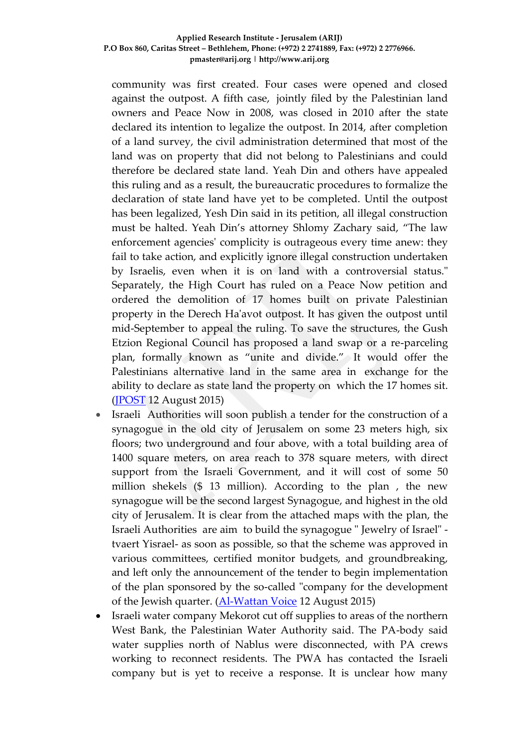community was first created. Four cases were opened and closed against the outpost. A fifth case, jointly filed by the Palestinian land owners and Peace Now in 2008, was closed in 2010 after the state declared its intention to legalize the outpost. In 2014, after completion of a land survey, the civil administration determined that most of the land was on property that did not belong to Palestinians and could therefore be declared state land. Yeah Din and others have appealed this ruling and as a result, the bureaucratic procedures to formalize the declaration of state land have yet to be completed. Until the outpost has been legalized, Yesh Din said in its petition, all illegal construction must be halted. Yeah Din's attorney Shlomy Zachary said, "The law enforcement agencies' complicity is outrageous every time anew: they fail to take action, and explicitly ignore illegal construction undertaken by Israelis, even when it is on land with a controversial status." Separately, the High Court has ruled on a Peace Now petition and ordered the demolition of 17 homes built on private Palestinian property in the Derech Ha'avot outpost. It has given the outpost until mid-September to appeal the ruling. To save the structures, the Gush Etzion Regional Council has proposed a land swap or a re-parceling plan, formally known as "unite and divide." It would offer the Palestinians alternative land in the same area in exchange for the ability to declare as state land the property on which the 17 homes sit. [\(JPOST](http://www.jpost.com/Arab-Israeli-Conflict/NGO-calls-to-raze-outpost-homes-Israels-complicity-in-illegal-building-is-outrageous-411884) 12 August 2015)

- Israeli Authorities will soon publish a tender for the construction of a synagogue in the old city of Jerusalem on some 23 meters high, six floors; two underground and four above, with a total building area of 1400 square meters, on area reach to 378 square meters, with direct support from the Israeli Government, and it will cost of some 50 million shekels (\$ 13 million). According to the plan , the new synagogue will be the second largest Synagogue, and highest in the old city of Jerusalem. It is clear from the attached maps with the plan, the Israeli Authorities are aim to build the synagogue " Jewelry of Israel" tvaert Yisrael- as soon as possible, so that the scheme was approved in various committees, certified monitor budgets, and groundbreaking, and left only the announcement of the tender to begin implementation of the plan sponsored by the so-called "company for the development of the Jewish quarter. [\(Al-Wattan Voice](http://www.alwatanvoice.com/arabic/news/2015/08/12/757603.html) 12 August 2015)
- Israeli water company Mekorot cut off supplies to areas of the northern West Bank, the Palestinian Water Authority said. The PA-body said water supplies north of Nablus were disconnected, with PA crews working to reconnect residents. The PWA has contacted the Israeli company but is yet to receive a response. It is unclear how many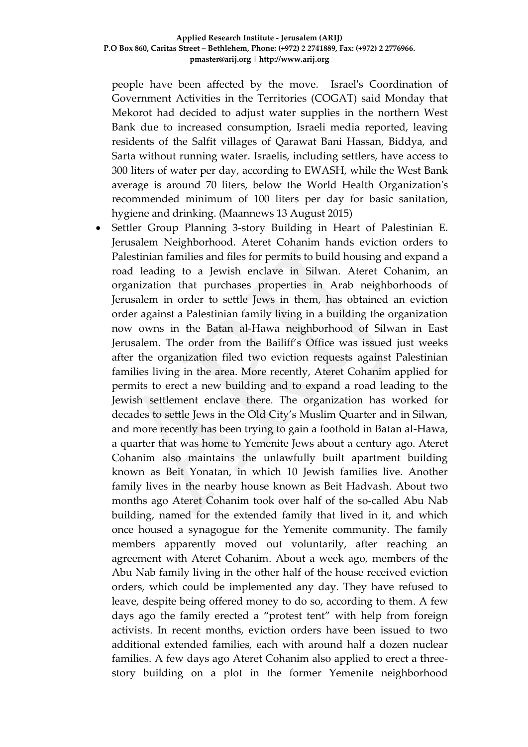people have been affected by the move. Israel's Coordination of Government Activities in the Territories (COGAT) said Monday that Mekorot had decided to adjust water supplies in the northern West Bank due to increased consumption, Israeli media reported, leaving residents of the Salfit villages of Qarawat Bani Hassan, Biddya, and Sarta without running water. Israelis, including settlers, have access to 300 liters of water per day, according to EWASH, while the West Bank average is around 70 liters, below the World Health Organization's recommended minimum of 100 liters per day for basic sanitation, hygiene and drinking. (Maannews 13 August 2015)

 Settler Group Planning 3-story Building in Heart of Palestinian E. Jerusalem Neighborhood. Ateret Cohanim hands eviction orders to Palestinian families and files for permits to build housing and expand a road leading to a Jewish enclave in Silwan. Ateret Cohanim, an organization that purchases properties in Arab neighborhoods of Jerusalem in order to settle Jews in them, has obtained an eviction order against a Palestinian family living in a building the organization now owns in the Batan al-Hawa neighborhood of Silwan in East Jerusalem. The order from the Bailiff's Office was issued just weeks after the organization filed two eviction requests against Palestinian families living in the area. More recently, Ateret Cohanim applied for permits to erect a new building and to expand a road leading to the Jewish settlement enclave there. The organization has worked for decades to settle Jews in the Old City's Muslim Quarter and in Silwan, and more recently has been trying to gain a foothold in Batan al-Hawa, a quarter that was home to Yemenite Jews about a century ago. Ateret Cohanim also maintains the unlawfully built apartment building known as Beit Yonatan, in which 10 Jewish families live. Another family lives in the nearby house known as Beit Hadvash. About two months ago Ateret Cohanim took over half of the so-called Abu Nab building, named for the extended family that lived in it, and which once housed a synagogue for the Yemenite community. The family members apparently moved out voluntarily, after reaching an agreement with Ateret Cohanim. About a week ago, members of the Abu Nab family living in the other half of the house received eviction orders, which could be implemented any day. They have refused to leave, despite being offered money to do so, according to them. A few days ago the family erected a "protest tent" with help from foreign activists. In recent months, eviction orders have been issued to two additional extended families, each with around half a dozen nuclear families. A few days ago Ateret Cohanim also applied to erect a threestory building on a plot in the former Yemenite neighborhood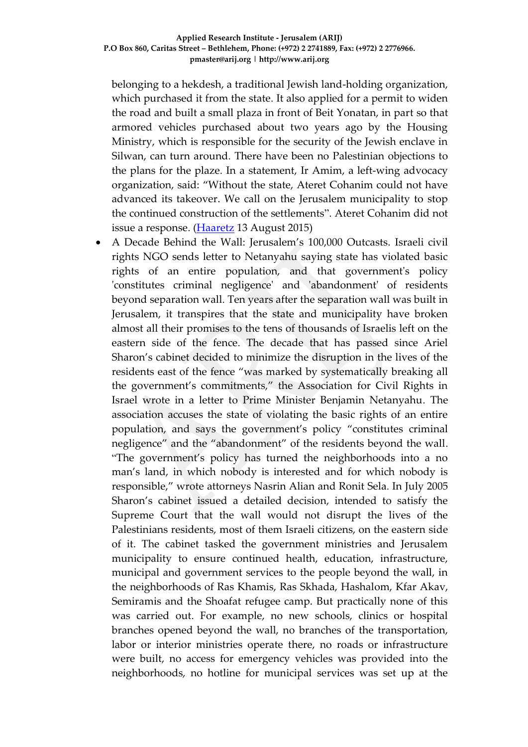belonging to a hekdesh, a traditional Jewish land-holding organization, which purchased it from the state. It also applied for a permit to widen the road and built a small plaza in front of Beit Yonatan, in part so that armored vehicles purchased about two years ago by the Housing Ministry, which is responsible for the security of the Jewish enclave in Silwan, can turn around. There have been no Palestinian objections to the plans for the plaze. In a statement, Ir Amim, a left-wing advocacy organization, said: "Without the state, Ateret Cohanim could not have advanced its takeover. We call on the Jerusalem municipality to stop the continued construction of the settlements". Ateret Cohanim did not issue a response. [\(Haaretz](http://www.haaretz.com/news/israel/.premium-1.670911) 13 August 2015)

 A Decade Behind the Wall: Jerusalem's 100,000 Outcasts. Israeli civil rights NGO sends letter to Netanyahu saying state has violated basic rights of an entire population, and that government's policy 'constitutes criminal negligence' and 'abandonment' of residents beyond separation wall. Ten years after the separation wall was built in Jerusalem, it transpires that the state and municipality have broken almost all their promises to the tens of thousands of Israelis left on the eastern side of the fence. The decade that has passed since Ariel Sharon's cabinet decided to minimize the disruption in the lives of the residents east of the fence "was marked by systematically breaking all the government's commitments," the Association for Civil Rights in Israel wrote in a letter to Prime Minister Benjamin Netanyahu. The association accuses the state of violating the basic rights of an entire population, and says the government's policy "constitutes criminal negligence" and the "abandonment" of the residents beyond the wall. "The government's policy has turned the neighborhoods into a no man's land, in which nobody is interested and for which nobody is responsible," wrote attorneys Nasrin Alian and Ronit Sela. In July 2005 Sharon's cabinet issued a detailed decision, intended to satisfy the Supreme Court that the wall would not disrupt the lives of the Palestinians residents, most of them Israeli citizens, on the eastern side of it. The cabinet tasked the government ministries and Jerusalem municipality to ensure continued health, education, infrastructure, municipal and government services to the people beyond the wall, in the neighborhoods of Ras Khamis, Ras Skhada, Hashalom, Kfar Akav, Semiramis and the Shoafat refugee camp. But practically none of this was carried out. For example, no new schools, clinics or hospital branches opened beyond the wall, no branches of the transportation, labor or interior ministries operate there, no roads or infrastructure were built, no access for emergency vehicles was provided into the neighborhoods, no hotline for municipal services was set up at the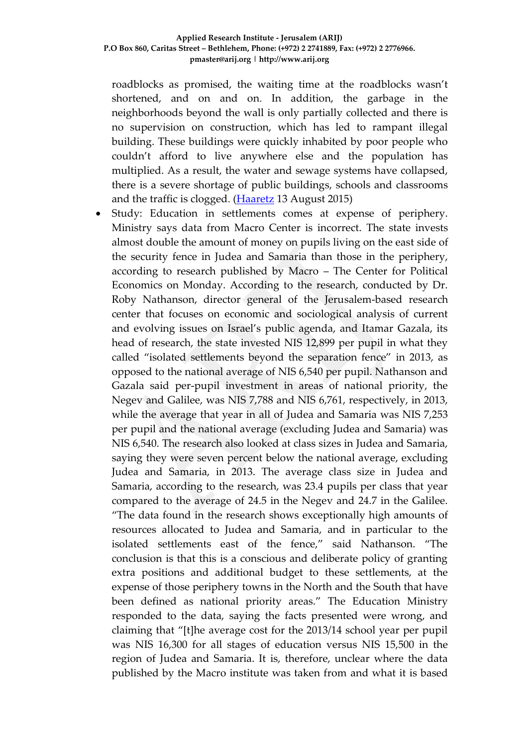roadblocks as promised, the waiting time at the roadblocks wasn't shortened, and on and on. In addition, the garbage in the neighborhoods beyond the wall is only partially collected and there is no supervision on construction, which has led to rampant illegal building. These buildings were quickly inhabited by poor people who couldn't afford to live anywhere else and the population has multiplied. As a result, the water and sewage systems have collapsed, there is a severe shortage of public buildings, schools and classrooms and the traffic is clogged. [\(Haaretz](http://www.haaretz.com/news/diplomacy-defense/.premium-1.670894) 13 August 2015)

 Study: Education in settlements comes at expense of periphery. Ministry says data from Macro Center is incorrect. The state invests almost double the amount of money on pupils living on the east side of the security fence in Judea and Samaria than those in the periphery, according to research published by Macro – The Center for Political Economics on Monday. According to the research, conducted by Dr. Roby Nathanson, director general of the Jerusalem-based research center that focuses on economic and sociological analysis of current and evolving issues on Israel's public agenda, and Itamar Gazala, its head of research, the state invested NIS 12,899 per pupil in what they called "isolated settlements beyond the separation fence" in 2013, as opposed to the national average of NIS 6,540 per pupil. Nathanson and Gazala said per-pupil investment in areas of national priority, the Negev and Galilee, was NIS 7,788 and NIS 6,761, respectively, in 2013, while the average that year in all of Judea and Samaria was NIS 7,253 per pupil and the national average (excluding Judea and Samaria) was NIS 6,540. The research also looked at class sizes in Judea and Samaria, saying they were seven percent below the national average, excluding Judea and Samaria, in 2013. The average class size in Judea and Samaria, according to the research, was 23.4 pupils per class that year compared to the average of 24.5 in the Negev and 24.7 in the Galilee. "The data found in the research shows exceptionally high amounts of resources allocated to Judea and Samaria, and in particular to the isolated settlements east of the fence," said Nathanson. "The conclusion is that this is a conscious and deliberate policy of granting extra positions and additional budget to these settlements, at the expense of those periphery towns in the North and the South that have been defined as national priority areas." The Education Ministry responded to the data, saying the facts presented were wrong, and claiming that "[t]he average cost for the 2013/14 school year per pupil was NIS 16,300 for all stages of education versus NIS 15,500 in the region of Judea and Samaria. It is, therefore, unclear where the data published by the Macro institute was taken from and what it is based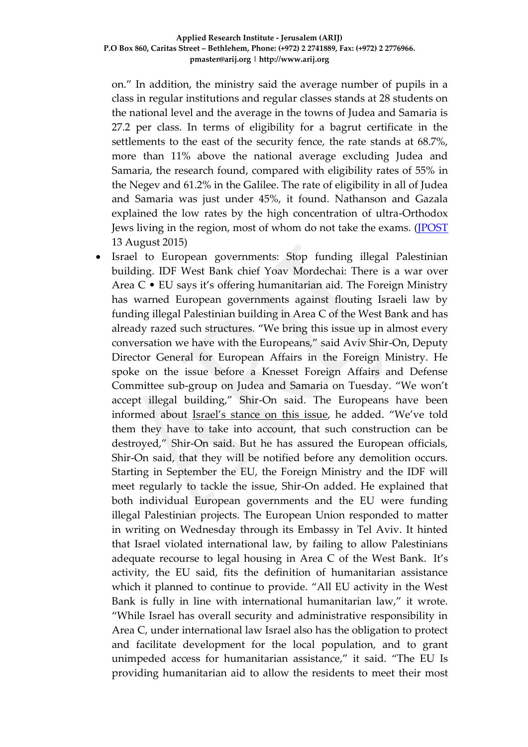on." In addition, the ministry said the average number of pupils in a class in regular institutions and regular classes stands at 28 students on the national level and the average in the towns of Judea and Samaria is 27.2 per class. In terms of eligibility for a bagrut certificate in the settlements to the east of the security fence, the rate stands at 68.7%, more than 11% above the national average excluding Judea and Samaria, the research found, compared with eligibility rates of 55% in the Negev and 61.2% in the Galilee. The rate of eligibility in all of Judea and Samaria was just under 45%, it found. Nathanson and Gazala explained the low rates by the high concentration of ultra-Orthodox Jews living in the region, most of whom do not take the exams. [\(JPOST](http://www.jpost.com/Israel-News/Education-Ministry-disputes-data-brought-in-study-411688) 13 August 2015)

 Israel to European governments: Stop funding illegal Palestinian building. IDF West Bank chief Yoav Mordechai: There is a war over Area C • EU says it's offering humanitarian aid. The Foreign Ministry has warned European governments against flouting Israeli law by funding illegal Palestinian building in Area C of the West Bank and has already razed such structures. "We bring this issue up in almost every conversation we have with the Europeans," said Aviv Shir-On, Deputy Director General for European Affairs in the Foreign Ministry. He spoke on the issue before a Knesset Foreign Affairs and Defense Committee sub-group on Judea and Samaria on Tuesday. "We won't accept illegal building," Shir-On said. The Europeans have been informed about Israel's [stance](http://www.jpost.com/Diplomacy-and-Politics/Settler-leaders-Israel-should-ban-EU-projects-in-Area-C-319991) on this issue, he added. "We've told them they have to take into account, that such construction can be destroyed," Shir-On said. But he has assured the European officials, Shir-On said, that they will be notified before any demolition occurs. Starting in September the EU, the Foreign Ministry and the IDF will meet regularly to tackle the issue, Shir-On added. He explained that both individual European governments and the EU were funding illegal Palestinian projects. The European Union responded to matter in writing on Wednesday through its Embassy in Tel Aviv. It hinted that Israel violated international law, by failing to allow Palestinians adequate recourse to legal housing in Area C of the West Bank. It's activity, the EU said, fits the definition of humanitarian assistance which it planned to continue to provide. "All EU activity in the West Bank is fully in line with international humanitarian law," it wrote. "While Israel has overall security and administrative responsibility in Area C, under international law Israel also has the obligation to protect and facilitate development for the local population, and to grant unimpeded access for humanitarian assistance," it said. "The EU Is providing humanitarian aid to allow the residents to meet their most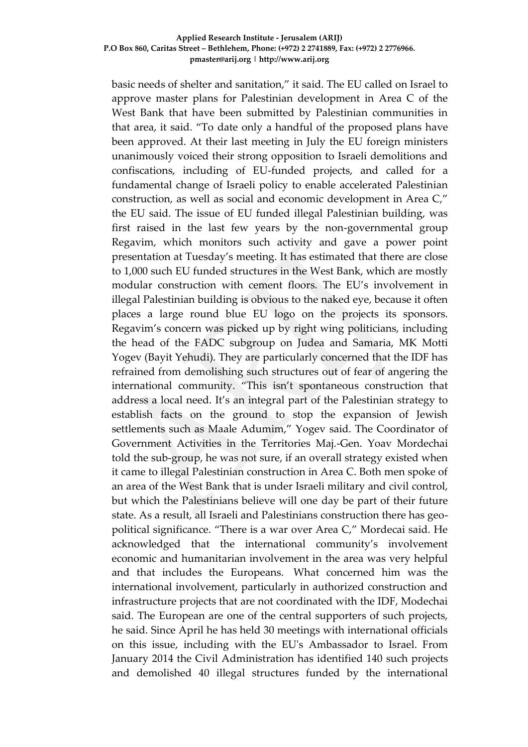basic needs of shelter and sanitation," it said. The EU called on Israel to approve master plans for Palestinian development in Area C of the West Bank that have been submitted by Palestinian communities in that area, it said. "To date only a handful of the proposed plans have been approved. At their last meeting in July the EU foreign ministers unanimously voiced their strong opposition to Israeli demolitions and confiscations, including of EU-funded projects, and called for a fundamental change of Israeli policy to enable accelerated Palestinian construction, as well as social and economic development in Area C," the EU said. The issue of EU funded illegal Palestinian building, was first raised in the last few years by the non-governmental group Regavim, which monitors such activity and gave a power point presentation at Tuesday's meeting. It has estimated that there are close to 1,000 such EU funded structures in the West Bank, which are mostly modular construction with cement floors. The EU's involvement in illegal Palestinian building is obvious to the naked eye, because it often places a large round blue EU logo on the projects its sponsors. Regavim's concern was picked up by right wing politicians, including the head of the FADC subgroup on Judea and Samaria, MK Motti Yogev (Bayit Yehudi). They are particularly concerned that the IDF has refrained from demolishing such structures out of fear of angering the international community. "This isn't spontaneous construction that address a local need. It's an integral part of the Palestinian strategy to establish facts on the ground to stop the expansion of Jewish settlements such as Maale Adumim," Yogev said. The Coordinator of Government Activities in the Territories Maj.-Gen. Yoav Mordechai told the sub-group, he was not sure, if an overall strategy existed when it came to illegal Palestinian construction in Area C. Both men spoke of an area of the West Bank that is under Israeli military and civil control, but which the Palestinians believe will one day be part of their future state. As a result, all Israeli and Palestinians construction there has geopolitical significance. "There is a war over Area C," Mordecai said. He acknowledged that the international community's involvement economic and humanitarian involvement in the area was very helpful and that includes the Europeans. What concerned him was the international involvement, particularly in authorized construction and infrastructure projects that are not coordinated with the IDF, Modechai said. The European are one of the central supporters of such projects, he said. Since April he has held 30 meetings with international officials on this issue, including with the EU's Ambassador to Israel. From January 2014 the Civil Administration has identified 140 such projects and demolished 40 illegal structures funded by the international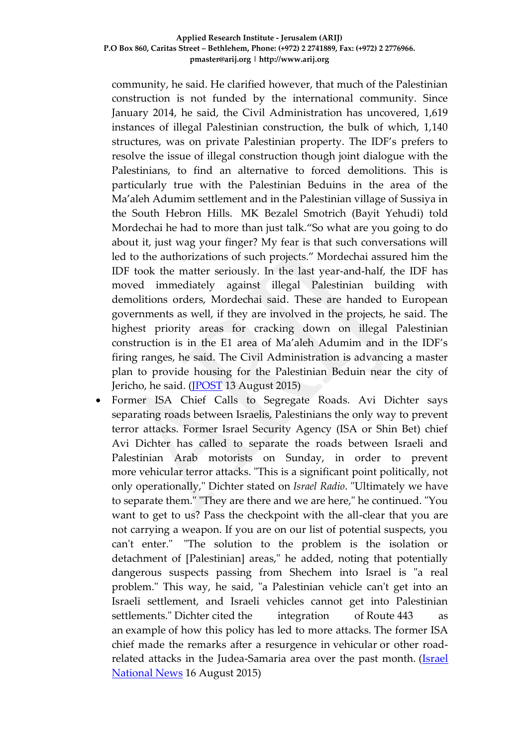community, he said. He clarified however, that much of the Palestinian construction is not funded by the international community. Since January 2014, he said, the Civil Administration has uncovered, 1,619 instances of illegal Palestinian construction, the bulk of which, 1,140 structures, was on private Palestinian property. The IDF's prefers to resolve the issue of illegal construction though joint dialogue with the Palestinians, to find an alternative to forced demolitions. This is particularly true with the Palestinian Beduins in the area of the Ma'aleh Adumim settlement and in the Palestinian village of Sussiya in the South Hebron Hills. MK Bezalel Smotrich (Bayit Yehudi) told Mordechai he had to more than just talk."So what are you going to do about it, just wag your finger? My fear is that such conversations will led to the authorizations of such projects." Mordechai assured him the IDF took the matter seriously. In the last year-and-half, the IDF has moved immediately against illegal Palestinian building with demolitions orders, Mordechai said. These are handed to European governments as well, if they are involved in the projects, he said. The highest priority areas for cracking down on illegal Palestinian construction is in the E1 area of Ma'aleh Adumim and in the IDF's firing ranges, he said. The Civil Administration is advancing a master plan to provide housing for the Palestinian Beduin near the city of Jericho, he said. [\(JPOST](http://www.jpost.com/Israel-News/Israel-to-European-governments-Stop-funding-illegal-Palestinian-building-411973) 13 August 2015)

 Former ISA Chief Calls to Segregate Roads. Avi Dichter says separating roads between Israelis, Palestinians the only way to prevent terror attacks. Former Israel Security Agency (ISA or Shin Bet) chief Avi Dichter has called to separate the roads between Israeli and Palestinian Arab motorists on Sunday, in order to prevent more vehicular terror attacks. "This is a significant point politically, not only operationally," Dichter stated on *Israel Radio*. "Ultimately we have to separate them." "They are there and we are here," he continued. "You want to get to us? Pass the checkpoint with the all-clear that you are not carrying a weapon. If you are on our list of potential suspects, you can't enter." "The solution to the problem is the isolation or detachment of [Palestinian] areas," he added, noting that potentially dangerous suspects passing from Shechem into Israel is "a real problem." This way, he said, "a Palestinian vehicle can't get into an Israeli settlement, and Israeli vehicles cannot get into Palestinian settlements." Dichter cited the integration of Route 443 as an example of how this policy has led to more attacks. The former ISA chief made the remarks after a resurgence in vehicular or other roadrelated attacks in the Judea-Samaria area over the past month. [\(Israel](http://www.israelnationalnews.com/News/News.aspx/199509#.VdGQvPmqqko)  [National News](http://www.israelnationalnews.com/News/News.aspx/199509#.VdGQvPmqqko) 16 August 2015)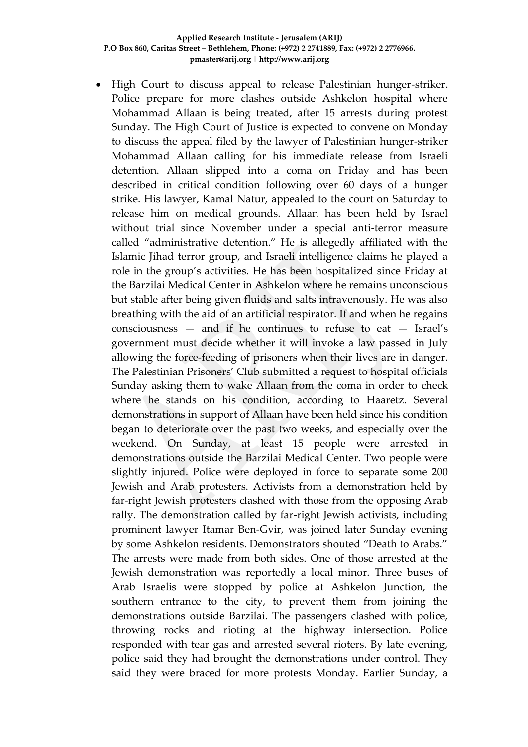• High Court to discuss appeal to release Palestinian hunger-striker. Police prepare for more clashes outside Ashkelon hospital where Mohammad Allaan is being treated, after 15 arrests during protest Sunday. The High Court of Justice is expected to convene on Monday to discuss the appeal filed by the lawyer of Palestinian hunger-striker Mohammad Allaan calling for his immediate release from Israeli detention. Allaan slipped into a coma on Friday and has been described in critical condition following over 60 days of a hunger strike. His lawyer, Kamal Natur, appealed to the court on Saturday to release him on medical grounds. Allaan has been held by Israel without trial since November under a special anti-terror measure called "administrative detention." He is allegedly affiliated with the Islamic Jihad terror group, and Israeli intelligence claims he played a role in the group's activities. He has been hospitalized since Friday at the Barzilai Medical Center in Ashkelon where he remains unconscious but stable after being given fluids and salts intravenously. He was also breathing with the aid of an artificial respirator. If and when he regains consciousness — and if he continues to refuse to eat — Israel's government must decide whether it will invoke a law passed in July allowing the force-feeding of prisoners when their lives are in danger. The Palestinian Prisoners' Club submitted a request to hospital officials Sunday asking them to wake Allaan from the coma in order to check where he stands on his condition, according to Haaretz. Several demonstrations in support of Allaan have been held since his condition began to deteriorate over the past two weeks, and especially over the weekend. On Sunday, at least 15 people were arrested in demonstrations outside the Barzilai Medical Center. Two people were slightly injured. Police were deployed in force to separate some 200 Jewish and Arab protesters. Activists from a demonstration held by far-right Jewish protesters clashed with those from the opposing Arab rally. The demonstration called by far-right Jewish activists, including prominent lawyer Itamar Ben-Gvir, was joined later Sunday evening by some Ashkelon residents. Demonstrators shouted "Death to Arabs." The arrests were made from both sides. One of those arrested at the Jewish demonstration was reportedly a local minor. Three buses of Arab Israelis were stopped by police at Ashkelon Junction, the southern entrance to the city, to prevent them from joining the demonstrations outside Barzilai. The passengers clashed with police, throwing rocks and rioting at the highway intersection. Police responded with tear gas and arrested several rioters. By late evening, police said they had brought the demonstrations under control. They said they were braced for more protests Monday. Earlier Sunday, a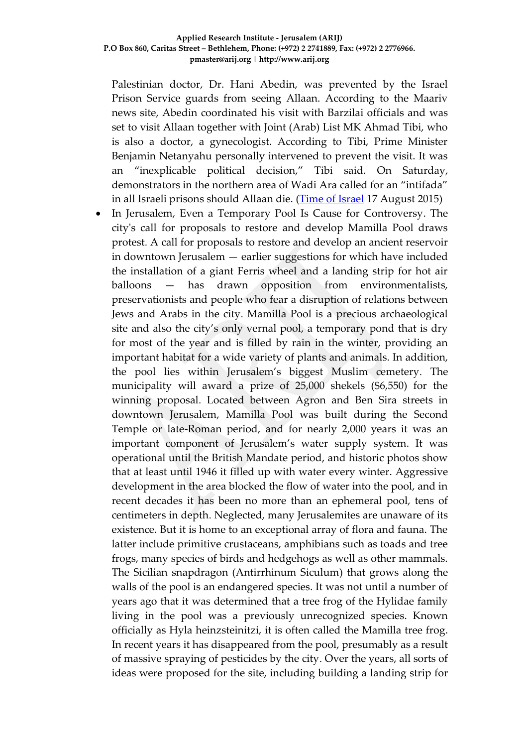Palestinian doctor, Dr. Hani Abedin, was prevented by the Israel Prison Service guards from seeing Allaan. According to the Maariv news site, Abedin coordinated his visit with Barzilai officials and was set to visit Allaan together with Joint (Arab) List MK Ahmad Tibi, who is also a doctor, a gynecologist. According to Tibi, Prime Minister Benjamin Netanyahu personally intervened to prevent the visit. It was an "inexplicable political decision," Tibi said. On Saturday, demonstrators in the northern area of Wadi Ara called for an "intifada" in all Israeli prisons should Allaan die. [\(Time of Israel](http://www.timesofisrael.com/high-court-to-discuss-appeal-to-release-palestinian-hunger-striker/) 17 August 2015)

• In Jerusalem, Even a Temporary Pool Is Cause for Controversy. The city's call for proposals to restore and develop Mamilla Pool draws protest. A call for proposals to restore and develop an ancient reservoir in downtown Jerusalem — earlier suggestions for which have included the installation of a giant Ferris wheel and a landing strip for hot air balloons — has drawn opposition from environmentalists, preservationists and people who fear a disruption of relations between Jews and Arabs in the city. Mamilla Pool is a precious archaeological site and also the city's only vernal pool, a temporary pond that is dry for most of the year and is filled by rain in the winter, providing an important habitat for a wide variety of plants and animals. In addition, the pool lies within Jerusalem's biggest Muslim cemetery. The municipality will award a prize of 25,000 shekels (\$6,550) for the winning proposal. Located between Agron and Ben Sira streets in downtown Jerusalem, Mamilla Pool was built during the Second Temple or late-Roman period, and for nearly 2,000 years it was an important component of Jerusalem's water supply system. It was operational until the British Mandate period, and historic photos show that at least until 1946 it filled up with water every winter. Aggressive development in the area blocked the flow of water into the pool, and in recent decades it has been no more than an ephemeral pool, tens of centimeters in depth. Neglected, many Jerusalemites are unaware of its existence. But it is home to an exceptional array of flora and fauna. The latter include primitive crustaceans, amphibians such as toads and tree frogs, many species of birds and hedgehogs as well as other mammals. The Sicilian snapdragon (Antirrhinum Siculum) that grows along the walls of the pool is an endangered species. It was not until a number of years ago that it was determined that a tree frog of the Hylidae family living in the pool was a previously unrecognized species. Known officially as Hyla heinzsteinitzi, it is often called the Mamilla tree frog. In recent years it has disappeared from the pool, presumably as a result of massive spraying of pesticides by the city. Over the years, all sorts of ideas were proposed for the site, including building a landing strip for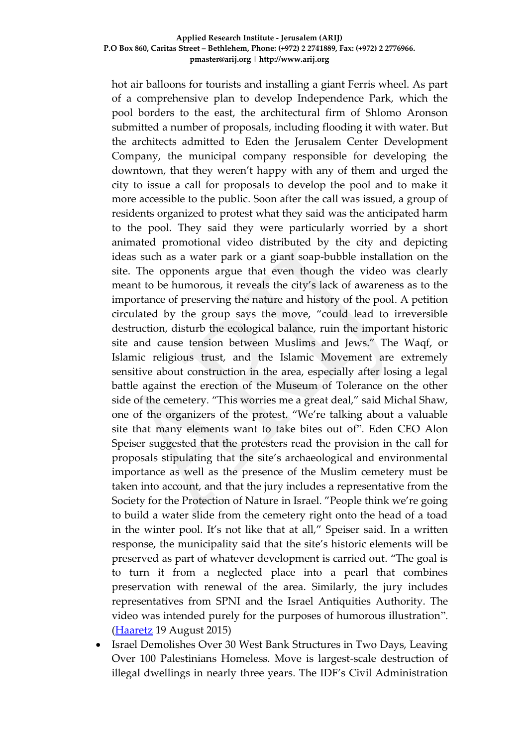hot air balloons for tourists and installing a giant Ferris wheel. As part of a comprehensive plan to develop Independence Park, which the pool borders to the east, the architectural firm of Shlomo Aronson submitted a number of proposals, including flooding it with water. But the architects admitted to Eden the Jerusalem Center Development Company, the municipal company responsible for developing the downtown, that they weren't happy with any of them and urged the city to issue a call for proposals to develop the pool and to make it more accessible to the public. Soon after the call was issued, a group of residents organized to protest what they said was the anticipated harm to the pool. They said they were particularly worried by a short animated promotional video distributed by the city and depicting ideas such as a water park or a giant soap-bubble installation on the site. The opponents argue that even though the video was clearly meant to be humorous, it reveals the city's lack of awareness as to the importance of preserving the nature and history of the pool. A petition circulated by the group says the move, "could lead to irreversible destruction, disturb the ecological balance, ruin the important historic site and cause tension between Muslims and Jews." The Waqf, or Islamic religious trust, and the Islamic Movement are extremely sensitive about construction in the area, especially after losing a legal battle against the erection of the Museum of Tolerance on the other side of the cemetery. "This worries me a great deal," said Michal Shaw, one of the organizers of the protest. "We're talking about a valuable site that many elements want to take bites out of". Eden CEO Alon Speiser suggested that the protesters read the provision in the call for proposals stipulating that the site's archaeological and environmental importance as well as the presence of the Muslim cemetery must be taken into account, and that the jury includes a representative from the Society for the Protection of Nature in Israel. "People think we're going to build a water slide from the cemetery right onto the head of a toad in the winter pool. It's not like that at all," Speiser said. In a written response, the municipality said that the site's historic elements will be preserved as part of whatever development is carried out. "The goal is to turn it from a neglected place into a pearl that combines preservation with renewal of the area. Similarly, the jury includes representatives from SPNI and the Israel Antiquities Authority. The video was intended purely for the purposes of humorous illustration". [\(Haaretz](http://www.haaretz.com/news/israel/.premium-1.671577) 19 August 2015)

 Israel Demolishes Over 30 West Bank Structures in Two Days, Leaving Over 100 Palestinians Homeless. Move is largest-scale destruction of illegal dwellings in nearly three years. The IDF's Civil Administration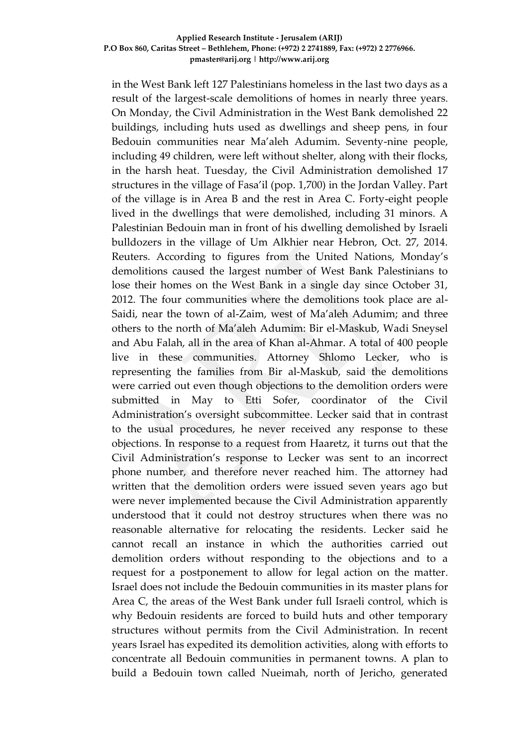in the West Bank left 127 Palestinians homeless in the last two days as a result of the largest-scale demolitions of homes in nearly three years. On Monday, the Civil Administration in the West Bank demolished 22 buildings, including huts used as dwellings and sheep pens, in four Bedouin communities near Ma'aleh Adumim. Seventy-nine people, including 49 children, were left without shelter, along with their flocks, in the harsh heat. Tuesday, the Civil Administration demolished 17 structures in the village of Fasa'il (pop. 1,700) in the Jordan Valley. Part of the village is in Area B and the rest in Area C. Forty-eight people lived in the dwellings that were demolished, including 31 minors. A Palestinian Bedouin man in front of his dwelling demolished by Israeli bulldozers in the village of Um Alkhier near Hebron, Oct. 27, 2014. Reuters. According to figures from the United Nations, Monday's demolitions caused the largest number of West Bank Palestinians to lose their homes on the West Bank in a single day since October 31, 2012. The four communities where the demolitions took place are al-Saidi, near the town of al-Zaim, west of Ma'aleh Adumim; and three others to the north of Ma'aleh Adumim: Bir el-Maskub, Wadi Sneysel and Abu Falah, all in the area of Khan al-Ahmar. A total of 400 people live in these communities. Attorney Shlomo Lecker, who is representing the families from Bir al-Maskub, said the demolitions were carried out even though objections to the demolition orders were submitted in May to Etti Sofer, coordinator of the Civil Administration's oversight subcommittee. Lecker said that in contrast to the usual procedures, he never received any response to these objections. In response to a request from Haaretz, it turns out that the Civil Administration's response to Lecker was sent to an incorrect phone number, and therefore never reached him. The attorney had written that the demolition orders were issued seven years ago but were never implemented because the Civil Administration apparently understood that it could not destroy structures when there was no reasonable alternative for relocating the residents. Lecker said he cannot recall an instance in which the authorities carried out demolition orders without responding to the objections and to a request for a postponement to allow for legal action on the matter. Israel does not include the Bedouin communities in its master plans for Area C, the areas of the West Bank under full Israeli control, which is why Bedouin residents are forced to build huts and other temporary structures without permits from the Civil Administration. In recent years Israel has expedited its demolition activities, along with efforts to concentrate all Bedouin communities in permanent towns. A plan to build a Bedouin town called Nueimah, north of Jericho, generated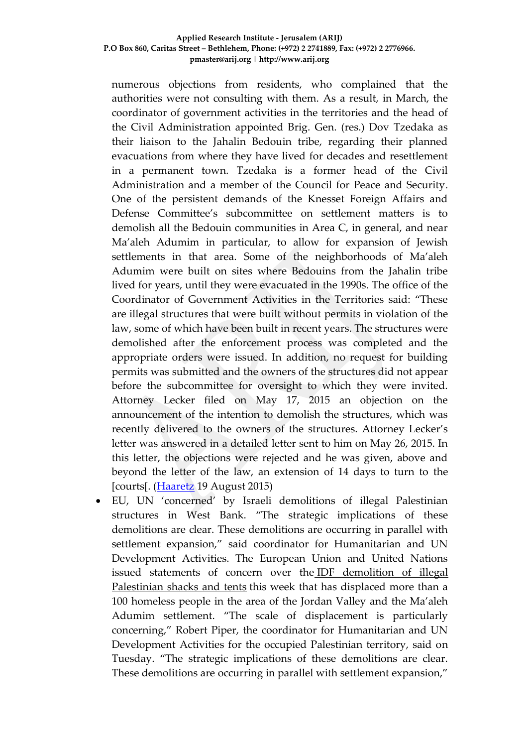numerous objections from residents, who complained that the authorities were not consulting with them. As a result, in March, the coordinator of government activities in the territories and the head of the Civil Administration appointed Brig. Gen. (res.) Dov Tzedaka as their liaison to the Jahalin Bedouin tribe, regarding their planned evacuations from where they have lived for decades and resettlement in a permanent town. Tzedaka is a former head of the Civil Administration and a member of the Council for Peace and Security. One of the persistent demands of the Knesset Foreign Affairs and Defense Committee's subcommittee on settlement matters is to demolish all the Bedouin communities in Area C, in general, and near Ma'aleh Adumim in particular, to allow for expansion of Jewish settlements in that area. Some of the neighborhoods of Ma'aleh Adumim were built on sites where Bedouins from the Jahalin tribe lived for years, until they were evacuated in the 1990s. The office of the Coordinator of Government Activities in the Territories said: "These are illegal structures that were built without permits in violation of the law, some of which have been built in recent years. The structures were demolished after the enforcement process was completed and the appropriate orders were issued. In addition, no request for building permits was submitted and the owners of the structures did not appear before the subcommittee for oversight to which they were invited. Attorney Lecker filed on May 17, 2015 an objection on the announcement of the intention to demolish the structures, which was recently delivered to the owners of the structures. Attorney Lecker's letter was answered in a detailed letter sent to him on May 26, 2015. In this letter, the objections were rejected and he was given, above and beyond the letter of the law, an extension of 14 days to turn to the [courts]. [\(Haaretz](http://www.haaretz.com/news/diplomacy-defense/.premium-1.671838?date=1439965718900) 19 August 2015)

 EU, UN 'concerned' by Israeli demolitions of illegal Palestinian structures in West Bank. "The strategic implications of these demolitions are clear. These demolitions are occurring in parallel with settlement expansion," said coordinator for Humanitarian and UN Development Activities. The European Union and United Nations issued statements of concern over the IDF [demolition](http://www.jpost.com/Arab-Israeli-Conflict/20-Palestinian-Beduin-families-displaced-after-govt-razes-illegally-constructed-homes-in-E1-412385) of illegal [Palestinian](http://www.jpost.com/Arab-Israeli-Conflict/20-Palestinian-Beduin-families-displaced-after-govt-razes-illegally-constructed-homes-in-E1-412385) shacks and tents this week that has displaced more than a 100 homeless people in the area of the Jordan Valley and the Ma'aleh Adumim settlement. "The scale of displacement is particularly concerning," Robert Piper, the coordinator for Humanitarian and UN Development Activities for the occupied Palestinian territory, said on Tuesday. "The strategic implications of these demolitions are clear. These demolitions are occurring in parallel with settlement expansion,"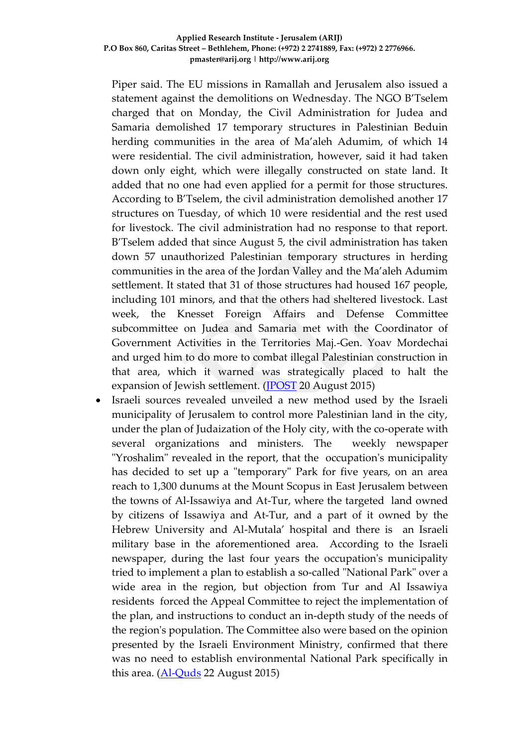Piper said. The EU missions in Ramallah and Jerusalem also issued a statement against the demolitions on Wednesday. The NGO B'Tselem charged that on Monday, the Civil Administration for Judea and Samaria demolished 17 temporary structures in Palestinian Beduin herding communities in the area of Ma'aleh Adumim, of which 14 were residential. The civil administration, however, said it had taken down only eight, which were illegally constructed on state land. It added that no one had even applied for a permit for those structures. According to B'Tselem, the civil administration demolished another 17 structures on Tuesday, of which 10 were residential and the rest used for livestock. The civil administration had no response to that report. B'Tselem added that since August 5, the civil administration has taken down 57 unauthorized Palestinian temporary structures in herding communities in the area of the Jordan Valley and the Ma'aleh Adumim settlement. It stated that 31 of those structures had housed 167 people, including 101 minors, and that the others had sheltered livestock. Last week, the Knesset Foreign Affairs and Defense Committee subcommittee on Judea and Samaria met with the Coordinator of Government Activities in the Territories Maj.-Gen. Yoav Mordechai and urged him to do more to combat illegal Palestinian construction in that area, which it warned was strategically placed to halt the expansion of Jewish settlement. [\(JPOST](http://www.jpost.com/Arab-Israeli-Conflict/EU-UN-concerned-by-Israeli-demolitions-of-illegal-Palestinian-structures-in-West-Bank-412662) 20 August 2015)

 Israeli sources revealed unveiled a new method used by the Israeli municipality of Jerusalem to control more Palestinian land in the city, under the plan of Judaization of the Holy city, with the co-operate with several organizations and ministers. The weekly newspaper "Yroshalim" revealed in the report, that the occupation's municipality has decided to set up a "temporary" Park for five years, on an area reach to 1,300 dunums at the Mount Scopus in East Jerusalem between the towns of Al-Issawiya and At-Tur, where the targeted land owned by citizens of Issawiya and At-Tur, and a part of it owned by the Hebrew University and Al-Mutala' hospital and there is an Israeli military base in the aforementioned area. According to the Israeli newspaper, during the last four years the occupation's municipality tried to implement a plan to establish a so-called "National Park" over a wide area in the region, but objection from Tur and Al Issawiya residents forced the Appeal Committee to reject the implementation of the plan, and instructions to conduct an in-depth study of the needs of the region's population. The Committee also were based on the opinion presented by the Israeli Environment Ministry, confirmed that there was no need to establish environmental National Park specifically in this area.  $(\underline{Al}\text{-}\underline{Quds}$  22 August 2015)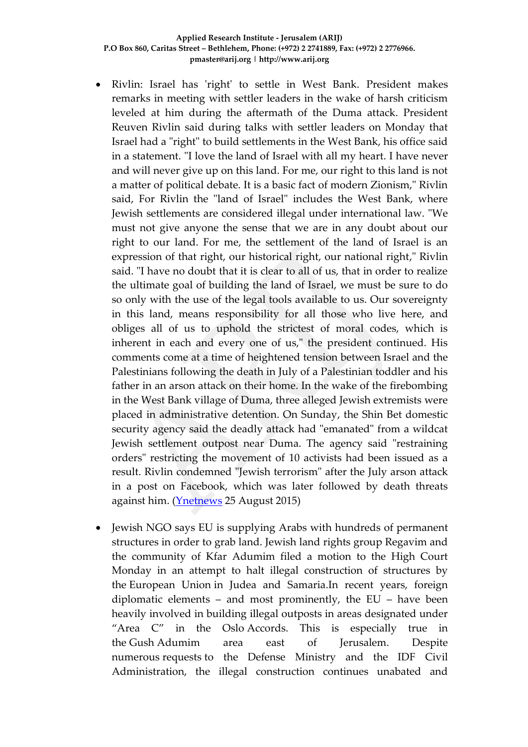- Rivlin: Israel has 'right' to settle in West Bank. President makes remarks in meeting with settler leaders in the wake of harsh criticism leveled at him during the aftermath of the Duma attack. President Reuven Rivlin said during talks with settler leaders on Monday that Israel had a "right" to build settlements in the West Bank, his office said in a statement. "I love the land of Israel with all my heart. I have never and will never give up on this land. For me, our right to this land is not a matter of political debate. It is a basic fact of modern Zionism," Rivlin said, For Rivlin the "land of Israel" includes the West Bank, where Jewish settlements are considered illegal under international law. "We must not give anyone the sense that we are in any doubt about our right to our land. For me, the settlement of the land of Israel is an expression of that right, our historical right, our national right," Rivlin said. "I have no doubt that it is clear to all of us, that in order to realize the ultimate goal of building the land of Israel, we must be sure to do so only with the use of the legal tools available to us. Our sovereignty in this land, means responsibility for all those who live here, and obliges all of us to uphold the strictest of moral codes, which is inherent in each and every one of us," the president continued. His comments come at a time of heightened tension between Israel and the Palestinians following the death in July of a Palestinian toddler and his father in an arson attack on their home. In the wake of the firebombing in the West Bank village of Duma, three alleged Jewish extremists were placed in administrative detention. On Sunday, the Shin Bet domestic security agency said the deadly attack had "emanated" from a wildcat Jewish settlement outpost near Duma. The agency said "restraining orders" restricting the movement of 10 activists had been issued as a result. Rivlin condemned "Jewish terrorism" after the July arson attack in a post on Facebook, which was later followed by death threats against him. [\(Ynetnews](http://www.ynetnews.com/articles/0,7340,L-4694181,00.html) 25 August 2015)
- Jewish NGO says EU is supplying Arabs with hundreds of permanent structures in order to grab land. Jewish land rights group Regavim and the community of Kfar Adumim filed a motion to the High Court Monday in an attempt to halt illegal construction of structures by the European Union in Judea and Samaria.In recent years, foreign diplomatic elements – and most prominently, the EU – have been heavily involved in building illegal outposts in areas designated under "Area C" in the Oslo Accords. This is especially true in the Gush Adumim area east of Jerusalem. Despite numerous requests to the Defense Ministry and the IDF Civil Administration, the illegal construction continues unabated and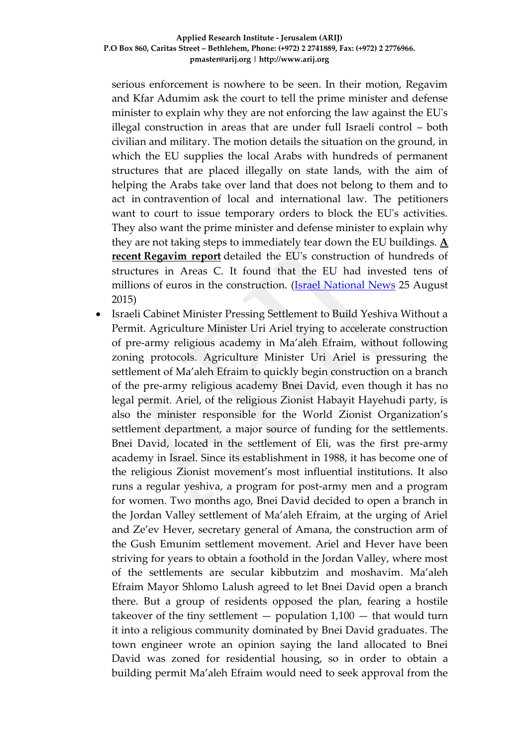serious enforcement is nowhere to be seen. In their motion, Regavim and Kfar Adumim ask the court to tell the prime minister and defense minister to explain why they are not enforcing the law against the EU's illegal construction in areas that are under full Israeli control – both civilian and military. The motion details the situation on the ground, in which the EU supplies the local Arabs with hundreds of permanent structures that are placed illegally on state lands, with the aim of helping the Arabs take over land that does not belong to them and to act in contravention of local and international law. The petitioners want to court to issue temporary orders to block the EU's activities. They also want the prime minister and defense minister to explain why they are not taking steps to immediately tear down the EU buildings. **[A](http://www.israelnationalnews.com/News/News.aspx/191036)  recent [Regavim report](http://www.israelnationalnews.com/News/News.aspx/191036)** detailed the EU's construction of hundreds of structures in Areas C. It found that the EU had invested tens of millions of euros in the construction. [\(Israel National News](http://www.israelnationalnews.com/News/News.aspx/199894#.VdxTiPmqqko) 25 August 2015)

 Israeli Cabinet Minister Pressing Settlement to Build Yeshiva Without a Permit. Agriculture Minister Uri Ariel trying to accelerate construction of pre-army religious academy in Ma'aleh Efraim, without following zoning protocols. Agriculture Minister Uri Ariel is pressuring the settlement of Ma'aleh Efraim to quickly begin construction on a branch of the pre-army religious academy Bnei David, even though it has no legal permit. Ariel, of the religious Zionist Habayit Hayehudi party, is also the minister responsible for the World Zionist Organization's settlement department, a major source of funding for the settlements. Bnei David, located in the settlement of Eli, was the first pre-army academy in Israel. Since its establishment in 1988, it has become one of the religious Zionist movement's most influential institutions. It also runs a regular yeshiva, a program for post-army men and a program for women. Two months ago, Bnei David decided to open a branch in the Jordan Valley settlement of Ma'aleh Efraim, at the urging of Ariel and Ze'ev Hever, secretary general of Amana, the construction arm of the Gush Emunim settlement movement. Ariel and Hever have been striving for years to obtain a foothold in the Jordan Valley, where most of the settlements are secular kibbutzim and moshavim. Ma'aleh Efraim Mayor Shlomo Lalush agreed to let Bnei David open a branch there. But a group of residents opposed the plan, fearing a hostile takeover of the tiny settlement  $-$  population  $1,100 -$  that would turn it into a religious community dominated by Bnei David graduates. The town engineer wrote an opinion saying the land allocated to Bnei David was zoned for residential housing, so in order to obtain a building permit Ma'aleh Efraim would need to seek approval from the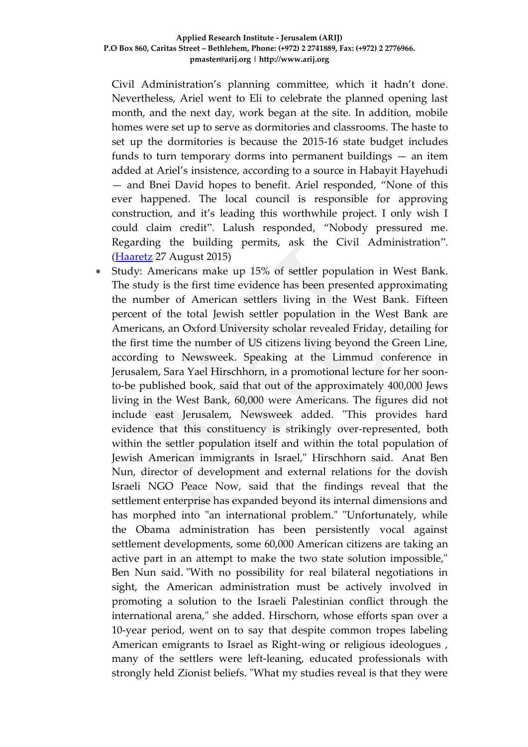Civil Administration's planning committee, which it hadn't done. Nevertheless, Ariel went to Eli to celebrate the planned opening last month, and the next day, work began at the site. In addition, mobile homes were set up to serve as dormitories and classrooms. The haste to set up the dormitories is because the 2015-16 state budget includes funds to turn temporary dorms into permanent buildings — an item added at Ariel's insistence, according to a source in Habayit Hayehudi — and Bnei David hopes to benefit. Ariel responded, "None of this ever happened. The local council is responsible for approving construction, and it's leading this worthwhile project. I only wish I could claim credit". Lalush responded, "Nobody pressured me. Regarding the building permits, ask the Civil Administration". [\(Haaretz](http://www.haaretz.com/news/israel/1.673110) 27 August 2015)

 Study: Americans make up 15% of settler population in West Bank. The study is the first time evidence has been presented approximating the number of American settlers living in the West Bank. Fifteen percent of the total Jewish settler population in the West Bank are Americans, an Oxford University scholar revealed Friday, detailing for the first time the number of US citizens living beyond the Green Line, according to Newsweek. Speaking at the Limmud conference in Jerusalem, Sara Yael Hirschhorn, in a promotional lecture for her soonto-be published book, said that out of the approximately 400,000 Jews living in the West Bank, 60,000 were Americans. The figures did not include east Jerusalem, Newsweek added. "This provides hard evidence that this constituency is strikingly over-represented, both within the settler population itself and within the total population of Jewish American immigrants in Israel," Hirschhorn said. Anat Ben Nun, director of development and external relations for the dovish Israeli NGO Peace Now, said that the findings reveal that the settlement enterprise has expanded beyond its internal dimensions and has morphed into "an international problem." "Unfortunately, while the Obama administration has been persistently vocal against settlement developments, some 60,000 American citizens are taking an active part in an attempt to make the two state solution impossible," Ben Nun said. "With no possibility for real bilateral negotiations in sight, the American administration must be actively involved in promoting a solution to the Israeli Palestinian conflict through the international arena," she added. Hirschorn, whose efforts span over a 10-year period, went on to say that despite common tropes labeling American emigrants to Israel as Right-wing or religious ideologues , many of the settlers were left-leaning, educated professionals with strongly held Zionist beliefs. "What my studies reveal is that they were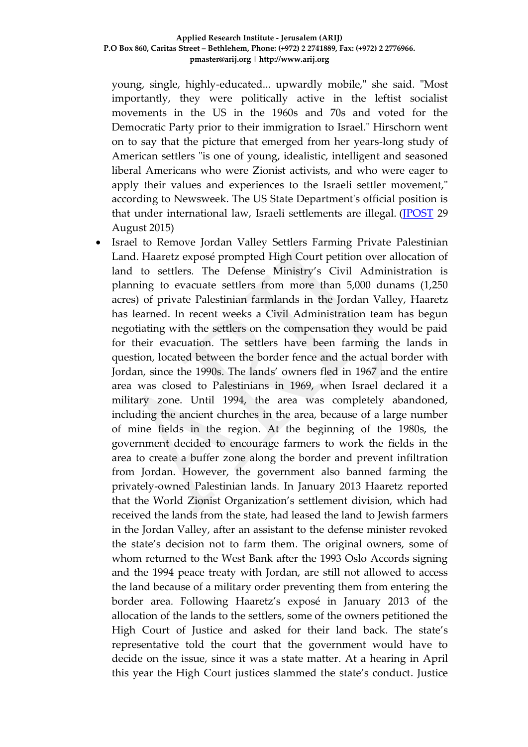young, single, highly-educated... upwardly mobile," she said. "Most importantly, they were politically active in the leftist socialist movements in the US in the 1960s and 70s and voted for the Democratic Party prior to their immigration to Israel." Hirschorn went on to say that the picture that emerged from her years-long study of American settlers "is one of young, idealistic, intelligent and seasoned liberal Americans who were Zionist activists, and who were eager to apply their values and experiences to the Israeli settler movement," according to Newsweek. The US State Department's official position is that under international law, Israeli settlements are illegal. [\(JPOST](http://www.jpost.com/Israel-News/Politics-And-Diplomacy/Study-Americans-make-up-15-percent-of-settler-population-in-West-Bank-413610) 29 August 2015)

• Israel to Remove Jordan Valley Settlers Farming Private Palestinian Land. Haaretz exposé prompted High Court petition over allocation of land to settlers. The Defense Ministry's Civil Administration is planning to evacuate settlers from more than 5,000 dunams (1,250 acres) of private Palestinian farmlands in the Jordan Valley, Haaretz has learned. In recent weeks a Civil Administration team has begun negotiating with the settlers on the compensation they would be paid for their evacuation. The settlers have been farming the lands in question, located between the border fence and the actual border with Jordan, since the 1990s. The lands' owners fled in 1967 and the entire area was closed to Palestinians in 1969, when Israel declared it a military zone. Until 1994, the area was completely abandoned, including the ancient churches in the area, because of a large number of mine fields in the region. At the beginning of the 1980s, the government decided to encourage farmers to work the fields in the area to create a buffer zone along the border and prevent infiltration from Jordan. However, the government also banned farming the privately-owned Palestinian lands. In January 2013 Haaretz reported that the World Zionist Organization's settlement division, which had received the lands from the state, had leased the land to Jewish farmers in the Jordan Valley, after an assistant to the defense minister revoked the state's decision not to farm them. The original owners, some of whom returned to the West Bank after the 1993 Oslo Accords signing and the 1994 peace treaty with Jordan, are still not allowed to access the land because of a military order preventing them from entering the border area. Following Haaretz's exposé in January 2013 of the allocation of the lands to the settlers, some of the owners petitioned the High Court of Justice and asked for their land back. The state's representative told the court that the government would have to decide on the issue, since it was a state matter. At a hearing in April this year the High Court justices slammed the state's conduct. Justice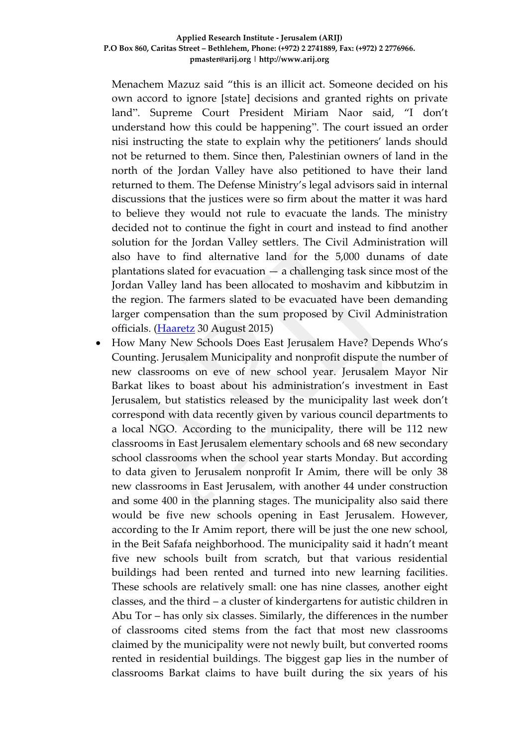Menachem Mazuz said "this is an illicit act. Someone decided on his own accord to ignore [state] decisions and granted rights on private land". Supreme Court President Miriam Naor said, "I don't understand how this could be happening". The court issued an order nisi instructing the state to explain why the petitioners' lands should not be returned to them. Since then, Palestinian owners of land in the north of the Jordan Valley have also petitioned to have their land returned to them. The Defense Ministry's legal advisors said in internal discussions that the justices were so firm about the matter it was hard to believe they would not rule to evacuate the lands. The ministry decided not to continue the fight in court and instead to find another solution for the Jordan Valley settlers. The Civil Administration will also have to find alternative land for the 5,000 dunams of date plantations slated for evacuation — a challenging task since most of the Jordan Valley land has been allocated to moshavim and kibbutzim in the region. The farmers slated to be evacuated have been demanding larger compensation than the sum proposed by Civil Administration officials. [\(Haaretz](http://www.haaretz.com/news/diplomacy-defense/.premium-1.673527) 30 August 2015)

• How Many New Schools Does East Jerusalem Have? Depends Who's Counting. Jerusalem Municipality and nonprofit dispute the number of new classrooms on eve of new school year. Jerusalem Mayor Nir Barkat likes to boast about his administration's investment in East Jerusalem, but statistics released by the municipality last week don't correspond with data recently given by various council departments to a local NGO. According to the municipality, there will be 112 new classrooms in East Jerusalem elementary schools and 68 new secondary school classrooms when the school year starts Monday. But according to data given to Jerusalem nonprofit Ir Amim, there will be only 38 new classrooms in East Jerusalem, with another 44 under construction and some 400 in the planning stages. The municipality also said there would be five new schools opening in East Jerusalem. However, according to the Ir Amim report, there will be just the one new school, in the Beit Safafa neighborhood. The municipality said it hadn't meant five new schools built from scratch, but that various residential buildings had been rented and turned into new learning facilities. These schools are relatively small: one has nine classes, another eight classes, and the third – a cluster of kindergartens for autistic children in Abu Tor – has only six classes. Similarly, the differences in the number of classrooms cited stems from the fact that most new classrooms claimed by the municipality were not newly built, but converted rooms rented in residential buildings. The biggest gap lies in the number of classrooms Barkat claims to have built during the six years of his